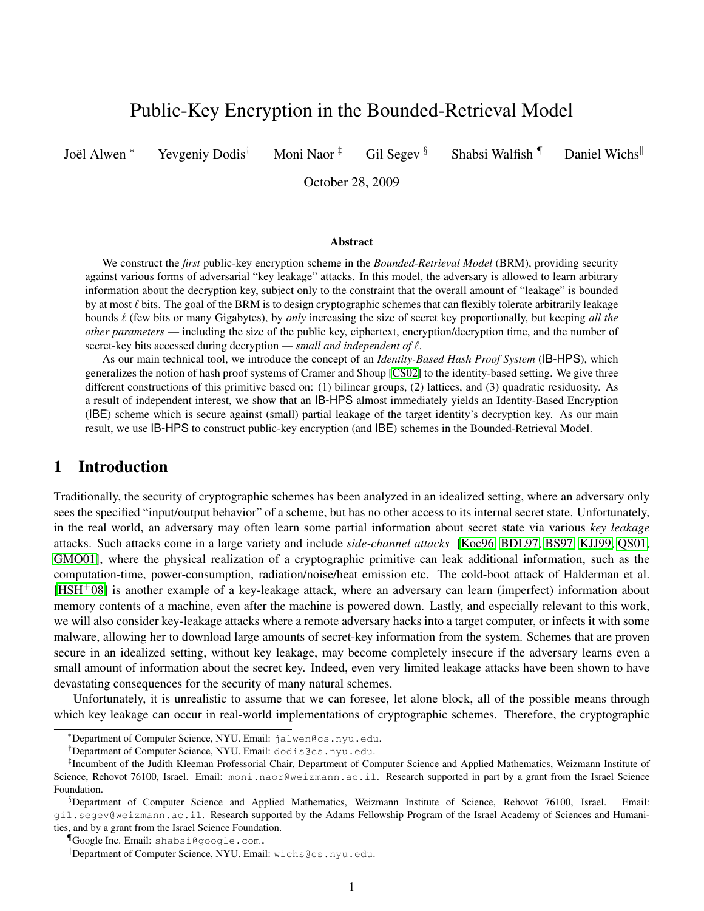# Public-Key Encryption in the Bounded-Retrieval Model

Joël Alwen<sup>\*</sup> Yevgeniy Dodis<sup>†</sup> Moni Naor  $\frac{4}{5}$  Gil Segev § Shabsi Walfish  $\frac{1}{5}$  Daniel Wichs

October 28, 2009

#### Abstract

We construct the *first* public-key encryption scheme in the *Bounded-Retrieval Model* (BRM), providing security against various forms of adversarial "key leakage" attacks. In this model, the adversary is allowed to learn arbitrary information about the decryption key, subject only to the constraint that the overall amount of "leakage" is bounded by at most  $\ell$  bits. The goal of the BRM is to design cryptographic schemes that can flexibly tolerate arbitrarily leakage bounds ` (few bits or many Gigabytes), by *only* increasing the size of secret key proportionally, but keeping *all the other parameters* — including the size of the public key, ciphertext, encryption/decryption time, and the number of secret-key bits accessed during decryption — *small and independent of*  $\ell$ *.* 

As our main technical tool, we introduce the concept of an *Identity-Based Hash Proof System* (IB-HPS), which generalizes the notion of hash proof systems of Cramer and Shoup [\[CS02\]](#page-15-0) to the identity-based setting. We give three different constructions of this primitive based on: (1) bilinear groups, (2) lattices, and (3) quadratic residuosity. As a result of independent interest, we show that an IB-HPS almost immediately yields an Identity-Based Encryption (IBE) scheme which is secure against (small) partial leakage of the target identity's decryption key. As our main result, we use IB-HPS to construct public-key encryption (and IBE) schemes in the Bounded-Retrieval Model.

## 1 Introduction

Traditionally, the security of cryptographic schemes has been analyzed in an idealized setting, where an adversary only sees the specified "input/output behavior" of a scheme, but has no other access to its internal secret state. Unfortunately, in the real world, an adversary may often learn some partial information about secret state via various *key leakage* attacks. Such attacks come in a large variety and include *side-channel attacks* [\[Koc96,](#page-16-0) [BDL97,](#page-15-1) [BS97,](#page-15-2) [KJJ99,](#page-16-1) [QS01,](#page-16-2) [GMO01\]](#page-15-3), where the physical realization of a cryptographic primitive can leak additional information, such as the computation-time, power-consumption, radiation/noise/heat emission etc. The cold-boot attack of Halderman et al. [\[HSH](#page-15-4)+08] is another example of a key-leakage attack, where an adversary can learn (imperfect) information about memory contents of a machine, even after the machine is powered down. Lastly, and especially relevant to this work, we will also consider key-leakage attacks where a remote adversary hacks into a target computer, or infects it with some malware, allowing her to download large amounts of secret-key information from the system. Schemes that are proven secure in an idealized setting, without key leakage, may become completely insecure if the adversary learns even a small amount of information about the secret key. Indeed, even very limited leakage attacks have been shown to have devastating consequences for the security of many natural schemes.

Unfortunately, it is unrealistic to assume that we can foresee, let alone block, all of the possible means through which key leakage can occur in real-world implementations of cryptographic schemes. Therefore, the cryptographic

<sup>∗</sup>Department of Computer Science, NYU. Email: jalwen@cs.nyu.edu.

<sup>†</sup>Department of Computer Science, NYU. Email: dodis@cs.nyu.edu.

<sup>‡</sup> Incumbent of the Judith Kleeman Professorial Chair, Department of Computer Science and Applied Mathematics, Weizmann Institute of Science, Rehovot 76100, Israel. Email: moni.naor@weizmann.ac.il. Research supported in part by a grant from the Israel Science Foundation.

<sup>§</sup>Department of Computer Science and Applied Mathematics, Weizmann Institute of Science, Rehovot 76100, Israel. Email: gil.segev@weizmann.ac.il. Research supported by the Adams Fellowship Program of the Israel Academy of Sciences and Humanities, and by a grant from the Israel Science Foundation.

<sup>¶</sup>Google Inc. Email: shabsi@google.com.

Department of Computer Science, NYU. Email: wichs@cs.nyu.edu.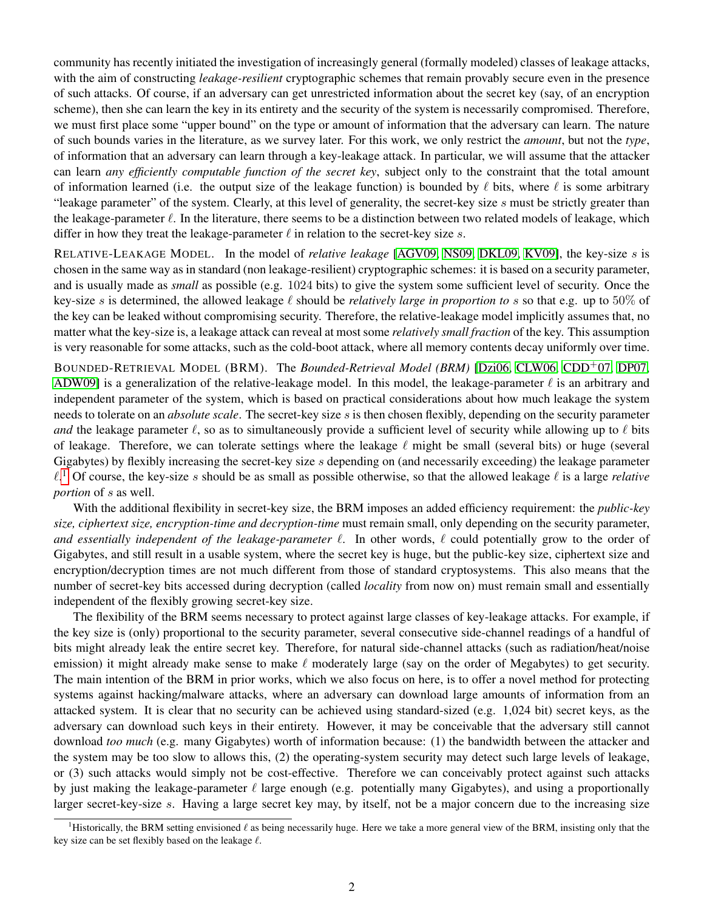community has recently initiated the investigation of increasingly general (formally modeled) classes of leakage attacks, with the aim of constructing *leakage-resilient* cryptographic schemes that remain provably secure even in the presence of such attacks. Of course, if an adversary can get unrestricted information about the secret key (say, of an encryption scheme), then she can learn the key in its entirety and the security of the system is necessarily compromised. Therefore, we must first place some "upper bound" on the type or amount of information that the adversary can learn. The nature of such bounds varies in the literature, as we survey later. For this work, we only restrict the *amount*, but not the *type*, of information that an adversary can learn through a key-leakage attack. In particular, we will assume that the attacker can learn *any efficiently computable function of the secret key*, subject only to the constraint that the total amount of information learned (i.e. the output size of the leakage function) is bounded by  $\ell$  bits, where  $\ell$  is some arbitrary "leakage parameter" of the system. Clearly, at this level of generality, the secret-key size  $s$  must be strictly greater than the leakage-parameter  $\ell$ . In the literature, there seems to be a distinction between two related models of leakage, which differ in how they treat the leakage-parameter  $\ell$  in relation to the secret-key size s.

RELATIVE-LEAKAGE MODEL. In the model of *relative leakage* [\[AGV09,](#page-14-0) [NS09,](#page-16-3) [DKL09,](#page-15-5) [KV09\]](#page-16-4), the key-size s is chosen in the same way as in standard (non leakage-resilient) cryptographic schemes: it is based on a security parameter, and is usually made as *small* as possible (e.g. 1024 bits) to give the system some sufficient level of security. Once the key-size s is determined, the allowed leakage  $\ell$  should be *relatively large in proportion to* s so that e.g. up to 50% of the key can be leaked without compromising security. Therefore, the relative-leakage model implicitly assumes that, no matter what the key-size is, a leakage attack can reveal at most some *relatively small fraction* of the key. This assumption is very reasonable for some attacks, such as the cold-boot attack, where all memory contents decay uniformly over time.

BOUNDED-RETRIEVAL MODEL (BRM). The *Bounded-Retrieval Model (BRM)* [\[Dzi06,](#page-15-6) [CLW06,](#page-15-7) [CDD](#page-15-8)+07, [DP07,](#page-15-9) [ADW09\]](#page-14-1) is a generalization of the relative-leakage model. In this model, the leakage-parameter  $\ell$  is an arbitrary and independent parameter of the system, which is based on practical considerations about how much leakage the system needs to tolerate on an *absolute scale*. The secret-key size s is then chosen flexibly, depending on the security parameter *and* the leakage parameter  $\ell$ , so as to simultaneously provide a sufficient level of security while allowing up to  $\ell$  bits of leakage. Therefore, we can tolerate settings where the leakage  $\ell$  might be small (several bits) or huge (several Gigabytes) by flexibly increasing the secret-key size s depending on (and necessarily exceeding) the leakage parameter  $\ell$ <sup>[1](#page-1-0)</sup>. Of course, the key-size s should be as small as possible otherwise, so that the allowed leakage  $\ell$  is a large *relative portion* of s as well.

With the additional flexibility in secret-key size, the BRM imposes an added efficiency requirement: the *public-key size, ciphertext size, encryption-time and decryption-time* must remain small, only depending on the security parameter, *and essentially independent of the leakage-parameter*  $\ell$ . In other words,  $\ell$  could potentially grow to the order of Gigabytes, and still result in a usable system, where the secret key is huge, but the public-key size, ciphertext size and encryption/decryption times are not much different from those of standard cryptosystems. This also means that the number of secret-key bits accessed during decryption (called *locality* from now on) must remain small and essentially independent of the flexibly growing secret-key size.

The flexibility of the BRM seems necessary to protect against large classes of key-leakage attacks. For example, if the key size is (only) proportional to the security parameter, several consecutive side-channel readings of a handful of bits might already leak the entire secret key. Therefore, for natural side-channel attacks (such as radiation/heat/noise emission) it might already make sense to make  $\ell$  moderately large (say on the order of Megabytes) to get security. The main intention of the BRM in prior works, which we also focus on here, is to offer a novel method for protecting systems against hacking/malware attacks, where an adversary can download large amounts of information from an attacked system. It is clear that no security can be achieved using standard-sized (e.g. 1,024 bit) secret keys, as the adversary can download such keys in their entirety. However, it may be conceivable that the adversary still cannot download *too much* (e.g. many Gigabytes) worth of information because: (1) the bandwidth between the attacker and the system may be too slow to allows this, (2) the operating-system security may detect such large levels of leakage, or (3) such attacks would simply not be cost-effective. Therefore we can conceivably protect against such attacks by just making the leakage-parameter  $\ell$  large enough (e.g. potentially many Gigabytes), and using a proportionally larger secret-key-size s. Having a large secret key may, by itself, not be a major concern due to the increasing size

<span id="page-1-0"></span><sup>&</sup>lt;sup>1</sup>Historically, the BRM setting envisioned  $\ell$  as being necessarily huge. Here we take a more general view of the BRM, insisting only that the key size can be set flexibly based on the leakage  $\ell$ .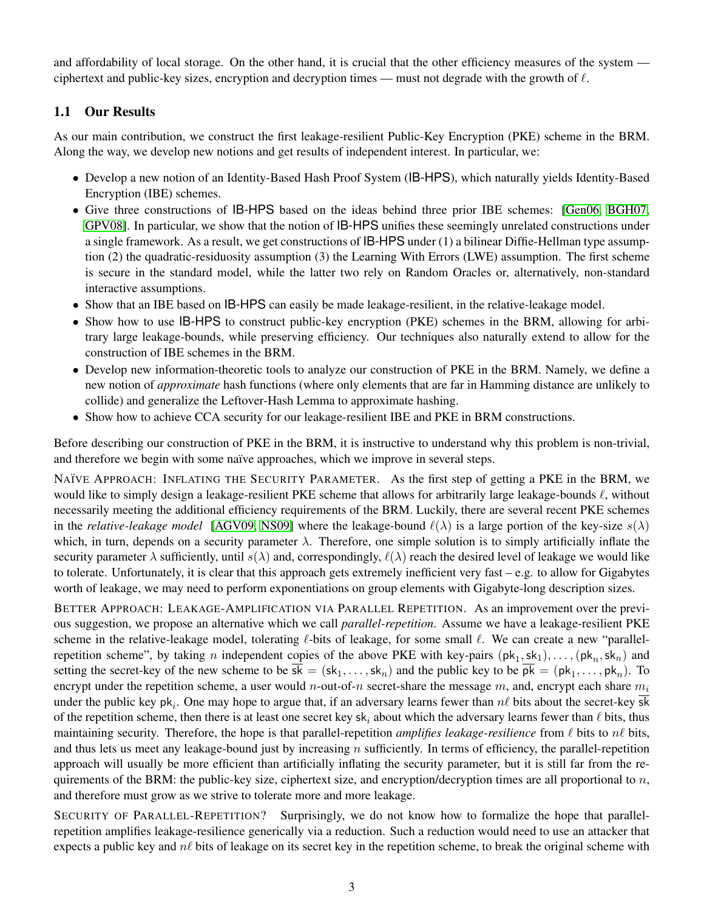and affordability of local storage. On the other hand, it is crucial that the other efficiency measures of the system ciphertext and public-key sizes, encryption and decryption times — must not degrade with the growth of  $\ell$ .

## 1.1 Our Results

As our main contribution, we construct the first leakage-resilient Public-Key Encryption (PKE) scheme in the BRM. Along the way, we develop new notions and get results of independent interest. In particular, we:

- Develop a new notion of an Identity-Based Hash Proof System (IB-HPS), which naturally yields Identity-Based Encryption (IBE) schemes.
- Give three constructions of IB-HPS based on the ideas behind three prior IBE schemes: [\[Gen06,](#page-15-10) [BGH07,](#page-15-11) [GPV08\]](#page-15-12). In particular, we show that the notion of IB-HPS unifies these seemingly unrelated constructions under a single framework. As a result, we get constructions of IB-HPS under (1) a bilinear Diffie-Hellman type assumption (2) the quadratic-residuosity assumption (3) the Learning With Errors (LWE) assumption. The first scheme is secure in the standard model, while the latter two rely on Random Oracles or, alternatively, non-standard interactive assumptions.
- Show that an IBE based on IB-HPS can easily be made leakage-resilient, in the relative-leakage model.
- Show how to use IB-HPS to construct public-key encryption (PKE) schemes in the BRM, allowing for arbitrary large leakage-bounds, while preserving efficiency. Our techniques also naturally extend to allow for the construction of IBE schemes in the BRM.
- Develop new information-theoretic tools to analyze our construction of PKE in the BRM. Namely, we define a new notion of *approximate* hash functions (where only elements that are far in Hamming distance are unlikely to collide) and generalize the Leftover-Hash Lemma to approximate hashing.
- Show how to achieve CCA security for our leakage-resilient IBE and PKE in BRM constructions.

Before describing our construction of PKE in the BRM, it is instructive to understand why this problem is non-trivial, and therefore we begin with some naïve approaches, which we improve in several steps.

NAÏVE APPROACH: INFLATING THE SECURITY PARAMETER. As the first step of getting a PKE in the BRM, we would like to simply design a leakage-resilient PKE scheme that allows for arbitrarily large leakage-bounds  $\ell$ , without necessarily meeting the additional efficiency requirements of the BRM. Luckily, there are several recent PKE schemes in the *relative-leakage model* [\[AGV09,](#page-14-0) [NS09\]](#page-16-3) where the leakage-bound  $\ell(\lambda)$  is a large portion of the key-size  $s(\lambda)$ which, in turn, depends on a security parameter  $\lambda$ . Therefore, one simple solution is to simply artificially inflate the security parameter  $\lambda$  sufficiently, until  $s(\lambda)$  and, correspondingly,  $\ell(\lambda)$  reach the desired level of leakage we would like to tolerate. Unfortunately, it is clear that this approach gets extremely inefficient very fast  $-e.g.$  to allow for Gigabytes worth of leakage, we may need to perform exponentiations on group elements with Gigabyte-long description sizes.

BETTER APPROACH: LEAKAGE-AMPLIFICATION VIA PARALLEL REPETITION. As an improvement over the previous suggestion, we propose an alternative which we call *parallel-repetition*. Assume we have a leakage-resilient PKE scheme in the relative-leakage model, tolerating  $\ell$ -bits of leakage, for some small  $\ell$ . We can create a new "parallelrepetition scheme", by taking *n* independent copies of the above PKE with key-pairs  $(\mathsf{pk}_1, \mathsf{sk}_1), \ldots, (\mathsf{pk}_n, \mathsf{sk}_n)$  and setting the secret-key of the new scheme to be  $sk = (sk_1, \ldots, sk_n)$  and the public key to be  $pk = (pk_1, \ldots, pk_n)$ . To encrypt under the repetition scheme, a user would *n*-out-of-*n* secret-share the message m, and, encrypt each share  $m_i$ under the public key pk<sub>i</sub>. One may hope to argue that, if an adversary learns fewer than  $n\ell$  bits about the secret-key sk of the repetition scheme, then there is at least one secret key sk<sub>i</sub> about which the adversary learns fewer than  $\ell$  bits, thus maintaining security. Therefore, the hope is that parallel-repetition *amplifies leakage-resilience* from  $\ell$  bits to  $n\ell$  bits, and thus lets us meet any leakage-bound just by increasing  $n$  sufficiently. In terms of efficiency, the parallel-repetition approach will usually be more efficient than artificially inflating the security parameter, but it is still far from the requirements of the BRM: the public-key size, ciphertext size, and encryption/decryption times are all proportional to  $n$ , and therefore must grow as we strive to tolerate more and more leakage.

SECURITY OF PARALLEL-REPETITION? Surprisingly, we do not know how to formalize the hope that parallelrepetition amplifies leakage-resilience generically via a reduction. Such a reduction would need to use an attacker that expects a public key and  $n\ell$  bits of leakage on its secret key in the repetition scheme, to break the original scheme with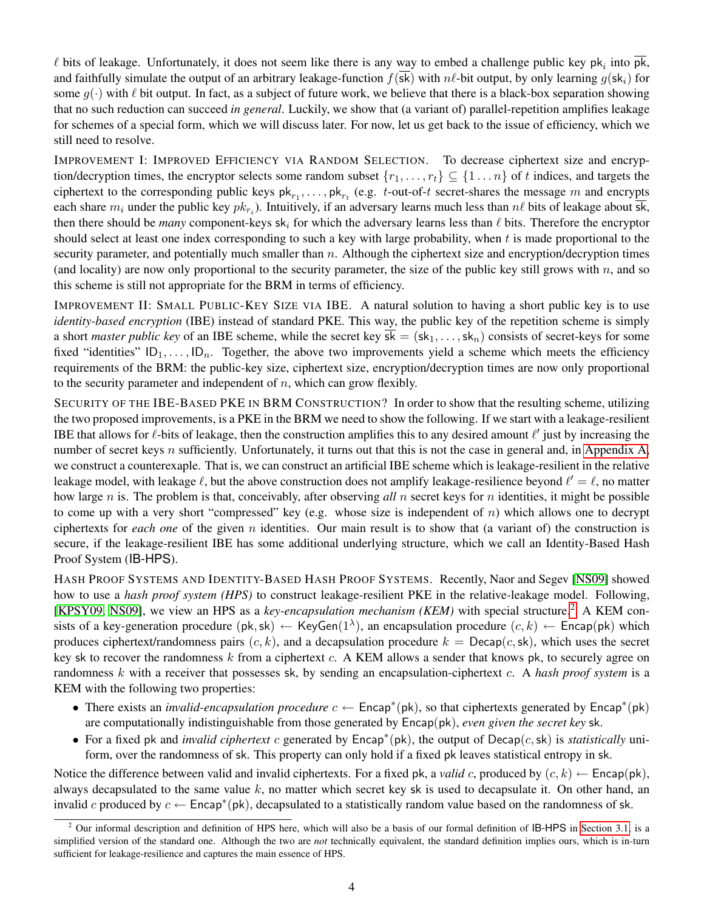$\ell$  bits of leakage. Unfortunately, it does not seem like there is any way to embed a challenge public key pk<sub>i</sub> into pk, and faithfully simulate the output of an arbitrary leakage-function  $f(\overline{sk})$  with  $n\ell$ -bit output, by only learning  $g(\overline{sk}_i)$  for some  $g(\cdot)$  with  $\ell$  bit output. In fact, as a subject of future work, we believe that there is a black-box separation showing that no such reduction can succeed *in general*. Luckily, we show that (a variant of) parallel-repetition amplifies leakage for schemes of a special form, which we will discuss later. For now, let us get back to the issue of efficiency, which we still need to resolve.

IMPROVEMENT I: IMPROVED EFFICIENCY VIA RANDOM SELECTION. To decrease ciphertext size and encryption/decryption times, the encryptor selects some random subset  $\{r_1, \ldots, r_t\} \subseteq \{1 \ldots n\}$  of t indices, and targets the ciphertext to the corresponding public keys  $pk_{r_1}, \ldots, pk_{r_t}$  (e.g. t-out-of-t secret-shares the message m and encrypts each share  $m_i$  under the public key  $pk_{r_i}$ ). Intuitively, if an adversary learns much less than  $n\ell$  bits of leakage about sk, then there should be *many* component-keys  $sk_i$  for which the adversary learns less than  $\ell$  bits. Therefore the encryptor should select at least one index corresponding to such a key with large probability, when t is made proportional to the security parameter, and potentially much smaller than  $n$ . Although the ciphertext size and encryption/decryption times (and locality) are now only proportional to the security parameter, the size of the public key still grows with  $n$ , and so this scheme is still not appropriate for the BRM in terms of efficiency.

IMPROVEMENT II: SMALL PUBLIC-KEY SIZE VIA IBE. A natural solution to having a short public key is to use *identity-based encryption* (IBE) instead of standard PKE. This way, the public key of the repetition scheme is simply a short *master public key* of an IBE scheme, while the secret key  $sk = (sk_1, \ldots, sk_n)$  consists of secret-keys for some fixed "identities"  $ID_1, \ldots, ID_n$ . Together, the above two improvements yield a scheme which meets the efficiency requirements of the BRM: the public-key size, ciphertext size, encryption/decryption times are now only proportional to the security parameter and independent of  $n$ , which can grow flexibly.

SECURITY OF THE IBE-BASED PKE IN BRM CONSTRUCTION? In order to show that the resulting scheme, utilizing the two proposed improvements, is a PKE in the BRM we need to show the following. If we start with a leakage-resilient IBE that allows for  $\ell$ -bits of leakage, then the construction amplifies this to any desired amount  $\ell'$  just by increasing the number of secret keys n sufficiently. Unfortunately, it turns out that this is not the case in general and, in [Appendix A,](#page-17-0) we construct a counterexaple. That is, we can construct an artificial IBE scheme which is leakage-resilient in the relative leakage model, with leakage  $\ell$ , but the above construction does not amplify leakage-resilience beyond  $\ell' = \ell$ , no matter how large n is. The problem is that, conceivably, after observing *all* n secret keys for n identities, it might be possible to come up with a very short "compressed" key (e.g. whose size is independent of  $n$ ) which allows one to decrypt ciphertexts for *each one* of the given n identities. Our main result is to show that (a variant of) the construction is secure, if the leakage-resilient IBE has some additional underlying structure, which we call an Identity-Based Hash Proof System (IB-HPS).

HASH PROOF SYSTEMS AND IDENTITY-BASED HASH PROOF SYSTEMS. Recently, Naor and Segev [\[NS09\]](#page-16-3) showed how to use a *hash proof system (HPS)* to construct leakage-resilient PKE in the relative-leakage model. Following, [\[KPSY09,](#page-16-5) [NS09\]](#page-16-3), we view an HPS as a *key-encapsulation mechanism (KEM)* with special structure.<sup>[2](#page-3-0)</sup> A KEM consists of a key-generation procedure  $(\mathsf{pk}, \mathsf{sk}) \leftarrow \mathsf{KeyGen}(1^{\lambda})$ , an encapsulation procedure  $(c, k) \leftarrow \mathsf{Encap}(\mathsf{pk})$  which produces ciphertext/randomness pairs  $(c, k)$ , and a decapsulation procedure  $k = \text{Decap}(c, sk)$ , which uses the secret key sk to recover the randomness  $k$  from a ciphertext  $c$ . A KEM allows a sender that knows pk, to securely agree on randomness k with a receiver that possesses sk, by sending an encapsulation-ciphertext c. A *hash proof system* is a KEM with the following two properties:

- There exists an *invalid-encapsulation procedure*  $c \leftarrow$  Encap<sup>\*</sup>(pk), so that ciphertexts generated by Encap<sup>\*</sup>(pk) are computationally indistinguishable from those generated by Encap(pk), *even given the secret key* sk.
- For a fixed pk and *invalid ciphertext* c generated by Encap<sup>∗</sup> (pk), the output of Decap(c,sk) is *statistically* uniform, over the randomness of sk. This property can only hold if a fixed pk leaves statistical entropy in sk.

Notice the difference between valid and invalid ciphertexts. For a fixed pk, a *valid c*, produced by  $(c, k) \leftarrow$  Encap(pk), always decapsulated to the same value  $k$ , no matter which secret key sk is used to decapsulate it. On other hand, an invalid c produced by  $c \leftarrow$  Encap<sup>\*</sup>(pk), decapsulated to a statistically random value based on the randomness of sk.

<span id="page-3-0"></span><sup>&</sup>lt;sup>2</sup> Our informal description and definition of HPS here, which will also be a basis of our formal definition of IB-HPS in [Section 3.1,](#page-5-0) is a simplified version of the standard one. Although the two are *not* technically equivalent, the standard definition implies ours, which is in-turn sufficient for leakage-resilience and captures the main essence of HPS.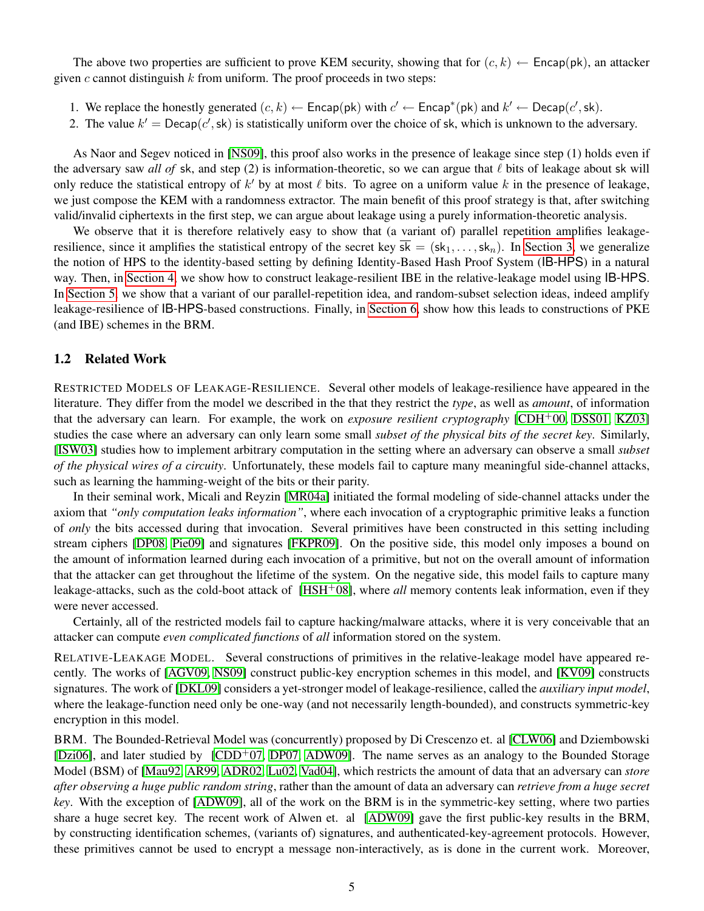The above two properties are sufficient to prove KEM security, showing that for  $(c, k) \leftarrow$  Encap(pk), an attacker given  $c$  cannot distinguish  $k$  from uniform. The proof proceeds in two steps:

- 1. We replace the honestly generated  $(c, k)$  ← Encap(pk) with  $c'$  ← Encap<sup>\*</sup>(pk) and  $k'$  ← Decap( $c'$ , sk).
- 2. The value  $k' = \text{Decap}(c', sk)$  is statistically uniform over the choice of sk, which is unknown to the adversary.

As Naor and Segev noticed in [\[NS09\]](#page-16-3), this proof also works in the presence of leakage since step (1) holds even if the adversary saw *all of* sk, and step (2) is information-theoretic, so we can argue that  $\ell$  bits of leakage about sk will only reduce the statistical entropy of  $k'$  by at most  $\ell$  bits. To agree on a uniform value k in the presence of leakage, we just compose the KEM with a randomness extractor. The main benefit of this proof strategy is that, after switching valid/invalid ciphertexts in the first step, we can argue about leakage using a purely information-theoretic analysis.

We observe that it is therefore relatively easy to show that (a variant of) parallel repetition amplifies leakageresilience, since it amplifies the statistical entropy of the secret key  $sk = (sk_1, \ldots, sk_n)$ . In [Section 3,](#page-5-1) we generalize the notion of HPS to the identity-based setting by defining Identity-Based Hash Proof System (IB-HPS) in a natural way. Then, in [Section 4,](#page-8-0) we show how to construct leakage-resilient IBE in the relative-leakage model using IB-HPS. In [Section 5,](#page-11-0) we show that a variant of our parallel-repetition idea, and random-subset selection ideas, indeed amplify leakage-resilience of IB-HPS-based constructions. Finally, in [Section 6,](#page-12-0) show how this leads to constructions of PKE (and IBE) schemes in the BRM.

#### 1.2 Related Work

RESTRICTED MODELS OF LEAKAGE-RESILIENCE. Several other models of leakage-resilience have appeared in the literature. They differ from the model we described in the that they restrict the *type*, as well as *amount*, of information that the adversary can learn. For example, the work on *exposure resilient cryptography* [\[CDH](#page-15-13)+00, [DSS01,](#page-15-14) [KZ03\]](#page-16-6) studies the case where an adversary can only learn some small *subset of the physical bits of the secret key*. Similarly, [\[ISW03\]](#page-15-15) studies how to implement arbitrary computation in the setting where an adversary can observe a small *subset of the physical wires of a circuity*. Unfortunately, these models fail to capture many meaningful side-channel attacks, such as learning the hamming-weight of the bits or their parity.

In their seminal work, Micali and Reyzin [\[MR04a\]](#page-16-7) initiated the formal modeling of side-channel attacks under the axiom that *"only computation leaks information"*, where each invocation of a cryptographic primitive leaks a function of *only* the bits accessed during that invocation. Several primitives have been constructed in this setting including stream ciphers [\[DP08,](#page-15-16) [Pie09\]](#page-16-8) and signatures [\[FKPR09\]](#page-15-17). On the positive side, this model only imposes a bound on the amount of information learned during each invocation of a primitive, but not on the overall amount of information that the attacker can get throughout the lifetime of the system. On the negative side, this model fails to capture many leakage-attacks, such as the cold-boot attack of [\[HSH](#page-15-4)+08], where *all* memory contents leak information, even if they were never accessed.

Certainly, all of the restricted models fail to capture hacking/malware attacks, where it is very conceivable that an attacker can compute *even complicated functions* of *all* information stored on the system.

RELATIVE-LEAKAGE MODEL. Several constructions of primitives in the relative-leakage model have appeared recently. The works of [\[AGV09,](#page-14-0) [NS09\]](#page-16-3) construct public-key encryption schemes in this model, and [\[KV09\]](#page-16-4) constructs signatures. The work of [\[DKL09\]](#page-15-5) considers a yet-stronger model of leakage-resilience, called the *auxiliary input model*, where the leakage-function need only be one-way (and not necessarily length-bounded), and constructs symmetric-key encryption in this model.

BRM. The Bounded-Retrieval Model was (concurrently) proposed by Di Crescenzo et. al [\[CLW06\]](#page-15-7) and Dziembowski [\[Dzi06\]](#page-15-6), and later studied by  $[CDD<sup>+</sup>07, DP07, ADW09]$  $[CDD<sup>+</sup>07, DP07, ADW09]$  $[CDD<sup>+</sup>07, DP07, ADW09]$  $[CDD<sup>+</sup>07, DP07, ADW09]$ . The name serves as an analogy to the Bounded Storage Model (BSM) of [\[Mau92,](#page-16-9) [AR99,](#page-14-2) [ADR02,](#page-14-3) [Lu02,](#page-16-10) [Vad04\]](#page-16-11), which restricts the amount of data that an adversary can *store after observing a huge public random string*, rather than the amount of data an adversary can *retrieve from a huge secret key*. With the exception of [\[ADW09\]](#page-14-1), all of the work on the BRM is in the symmetric-key setting, where two parties share a huge secret key. The recent work of Alwen et. al [\[ADW09\]](#page-14-1) gave the first public-key results in the BRM, by constructing identification schemes, (variants of) signatures, and authenticated-key-agreement protocols. However, these primitives cannot be used to encrypt a message non-interactively, as is done in the current work. Moreover,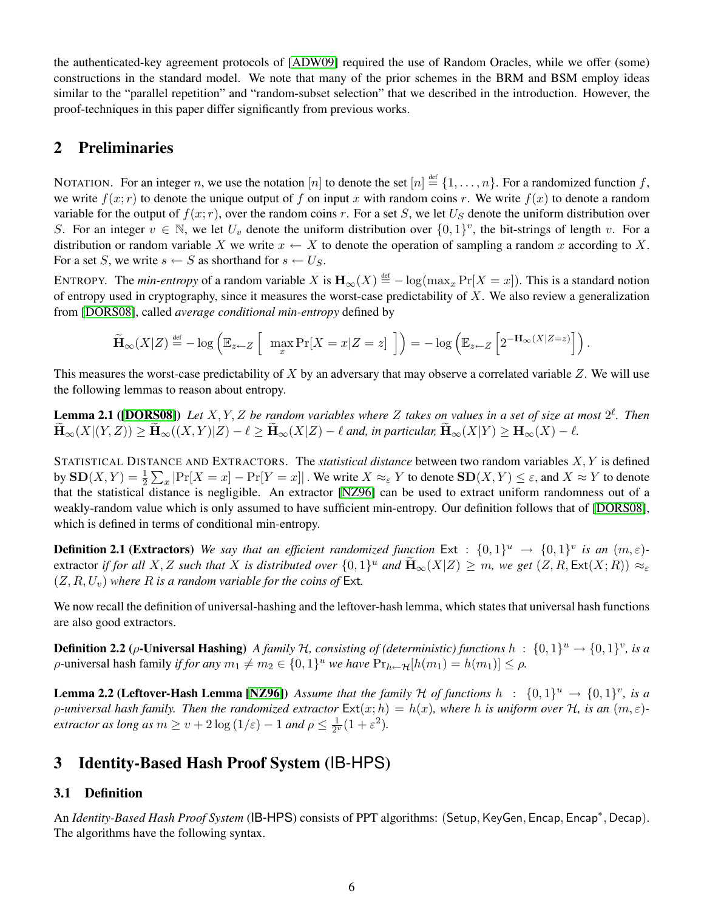the authenticated-key agreement protocols of [\[ADW09\]](#page-14-1) required the use of Random Oracles, while we offer (some) constructions in the standard model. We note that many of the prior schemes in the BRM and BSM employ ideas similar to the "parallel repetition" and "random-subset selection" that we described in the introduction. However, the proof-techniques in this paper differ significantly from previous works.

# 2 Preliminaries

NOTATION. For an integer n, we use the notation  $[n]$  to denote the set  $[n] \stackrel{\text{def}}{=} \{1,\ldots,n\}$ . For a randomized function f, we write  $f(x; r)$  to denote the unique output of f on input x with random coins r. We write  $f(x)$  to denote a random variable for the output of  $f(x; r)$ , over the random coins r. For a set S, we let  $U<sub>S</sub>$  denote the uniform distribution over S. For an integer  $v \in \mathbb{N}$ , we let  $U_v$  denote the uniform distribution over  $\{0,1\}^v$ , the bit-strings of length v. For a distribution or random variable X we write  $x \leftarrow X$  to denote the operation of sampling a random x according to X. For a set S, we write  $s \leftarrow S$  as shorthand for  $s \leftarrow U_S$ .

ENTROPY. The *min-entropy* of a random variable X is  $H_{\infty}(X) \stackrel{\text{def}}{=} -\log(\max_x \Pr[X=x])$ . This is a standard notion of entropy used in cryptography, since it measures the worst-case predictability of  $X$ . We also review a generalization from [\[DORS08\]](#page-15-18), called *average conditional min-entropy* defined by

<span id="page-5-3"></span>
$$
\widetilde{\mathbf{H}}_{\infty}(X|Z) \stackrel{\text{def}}{=} -\log\left(\mathbb{E}_{z \leftarrow Z} \left[ \max_{x} \Pr[X=x|Z=z] \right] \right) \right) = -\log\left(\mathbb{E}_{z \leftarrow Z} \left[ 2^{-\mathbf{H}_{\infty}(X|Z=z)} \right] \right).
$$

This measures the worst-case predictability of  $X$  by an adversary that may observe a correlated variable  $Z$ . We will use the following lemmas to reason about entropy.

**Lemma 2.1** ([\[DORS08\]](#page-15-18)) Let  $X, Y, Z$  be random variables where  $Z$  takes on values in a set of size at most  $2^{\ell}$ . Then  $\mathbf{H}_{\infty}(X|(Y,Z)) \ge \mathbf{H}_{\infty}((X,Y)|Z) - \ell \ge \mathbf{H}_{\infty}(X|Z) - \ell$  and, in particular,  $\mathbf{H}_{\infty}(X|Y) \ge \mathbf{H}_{\infty}(X) - \ell$ .

STATISTICAL DISTANCE AND EXTRACTORS. The *statistical distance* between two random variables X, Y is defined by  $\text{SD}(X, Y) = \frac{1}{2} \sum_x |\Pr[X = x] - \Pr[Y = x]|$ . We write  $X \approx_{\varepsilon} Y$  to denote  $\text{SD}(X, Y) \leq \varepsilon$ , and  $X \approx Y$  to denote that the statistical distance is negligible. An extractor [\[NZ96\]](#page-16-12) can be used to extract uniform randomness out of a weakly-random value which is only assumed to have sufficient min-entropy. Our definition follows that of [\[DORS08\]](#page-15-18), which is defined in terms of conditional min-entropy.

**Definition 2.1 (Extractors)** We say that an efficient randomized function  $Ext : \{0,1\}^u \to \{0,1\}^v$  is an  $(m,\varepsilon)$ extractor *if for all* X, Z such that X is distributed over  $\{0,1\}^u$  and  $\widetilde{\mathbf{H}}_{\infty}(X|Z) \geq m$ , we get  $(Z, R, \text{Ext}(X; R)) \approx_{\varepsilon}$  $(Z, R, U_v)$  *where* R *is a random variable for the coins of* Ext.

We now recall the definition of universal-hashing and the leftover-hash lemma, which states that universal hash functions are also good extractors.

**Definition 2.2** ( $\rho$ -Universal Hashing) A family H, consisting of (deterministic) functions  $h : \{0,1\}^u \to \{0,1\}^v$ , is a  $\rho$ -universal hash family *if for any*  $m_1 \neq m_2 \in \{0, 1\}^u$  *we have*  $Pr_{h \leftarrow H}[h(m_1) = h(m_1)] \leq \rho$ .

<span id="page-5-2"></span>**Lemma 2.2 (Leftover-Hash Lemma [\[NZ96\]](#page-16-12))** Assume that the family H of functions  $h : \{0,1\}^u \to \{0,1\}^v$ , is a ρ*-universal hash family. Then the randomized extractor* Ext(x; h) = h(x)*, where* h *is uniform over* H*, is an* (m, ε) *extractor as long as*  $m \geq v + 2 \log{(1/\varepsilon)} - 1$  *and*  $\rho \leq \frac{1}{2v}$  $\frac{1}{2^v}(1+\varepsilon^2).$ 

# <span id="page-5-1"></span>3 Identity-Based Hash Proof System (IB-HPS)

## <span id="page-5-0"></span>3.1 Definition

An *Identity-Based Hash Proof System* (IB-HPS) consists of PPT algorithms: (Setup, KeyGen, Encap, Encap<sup>\*</sup>, Decap). The algorithms have the following syntax.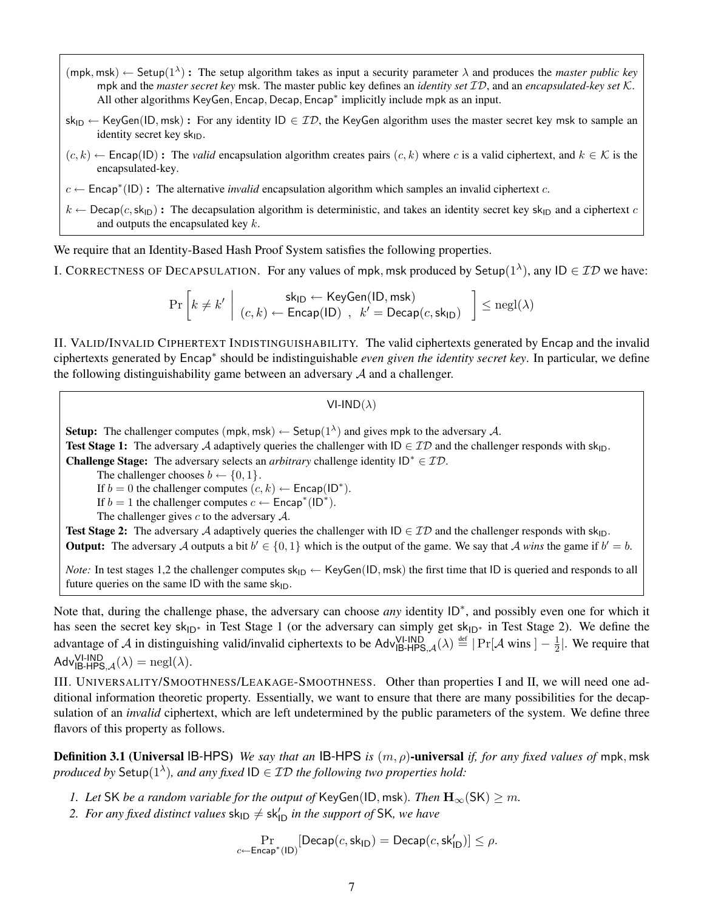- $(mpk, msk) \leftarrow$  Setup(1<sup> $\lambda$ </sup>): The setup algorithm takes as input a security parameter  $\lambda$  and produces the *master public key* mpk and the *master secret key* msk. The master public key defines an *identity set* ID, and an *encapsulated-key set* K. All other algorithms KeyGen, Encap, Decap, Encap<sup>∗</sup> implicitly include mpk as an input.
- sk<sub>ID</sub> ← KeyGen(ID, msk): For any identity ID  $\in \mathcal{ID}$ , the KeyGen algorithm uses the master secret key msk to sample an identity secret key  $sk_{ID}$ .
- $(c, k) \leftarrow$  Encap(ID): The *valid* encapsulation algorithm creates pairs  $(c, k)$  where c is a valid ciphertext, and  $k \in \mathcal{K}$  is the encapsulated-key.
- $c \leftarrow$  Encap<sup>\*</sup>(ID): The alternative *invalid* encapsulation algorithm which samples an invalid ciphertext c.
- $k \leftarrow \text{Decap}(c, \text{sk}_{\text{ID}})$ : The decapsulation algorithm is deterministic, and takes an identity secret key sk<sub>ID</sub> and a ciphertext c and outputs the encapsulated key k.

We require that an Identity-Based Hash Proof System satisfies the following properties.

I. CORRECTNESS OF DECAPSULATION. For any values of mpk, msk produced by Setup( $1^{\lambda}$ ), any ID  $\in \mathcal{ID}$  we have:

$$
\Pr\left[k \neq k' \mid (c, k) \leftarrow \frac{\mathsf{sk}_{\mathsf{ID}} \leftarrow \mathsf{KeyGen}(\mathsf{ID}, \mathsf{msk})}{\mathsf{Encap}(\mathsf{ID}) \, , \, k' = \mathsf{Decap}(c, \mathsf{sk}_{\mathsf{ID}}) \, \right] \le \mathsf{negl}(\lambda)
$$

II. VALID/INVALID CIPHERTEXT INDISTINGUISHABILITY. The valid ciphertexts generated by Encap and the invalid ciphertexts generated by Encap<sup>∗</sup> should be indistinguishable *even given the identity secret key*. In particular, we define the following distinguishability game between an adversary  $A$  and a challenger.

### $VI-IND(\lambda)$

**Setup:** The challenger computes (mpk, msk)  $\leftarrow$  Setup( $1^{\lambda}$ ) and gives mpk to the adversary A.

Test Stage 1: The adversary A adaptively queries the challenger with  $ID \in TD$  and the challenger responds with sk<sub>ID</sub>. **Challenge Stage:** The adversary selects an *arbitrary* challenge identity  $ID^* \in ID$ .

The challenger chooses  $b \leftarrow \{0, 1\}.$ 

If  $b = 0$  the challenger computes  $(c, k) \leftarrow$  Encap(ID<sup>\*</sup>).

If  $b = 1$  the challenger computes  $c \leftarrow \text{Encap}^*(ID^*)$ .

The challenger gives  $c$  to the adversary  $A$ .

Test Stage 2: The adversary A adaptively queries the challenger with  $ID \in TD$  and the challenger responds with sk<sub>ID</sub>. **Output:** The adversary A outputs a bit  $b' \in \{0, 1\}$  which is the output of the game. We say that A *wins* the game if  $b' = b$ .

*Note:* In test stages 1,2 the challenger computes  $sk_{ID} \leftarrow KeyGen(ID, msk)$  the first time that ID is queried and responds to all future queries on the same ID with the same  $sk_{ID}$ .

Note that, during the challenge phase, the adversary can choose *any* identity ID<sup>∗</sup> , and possibly even one for which it has seen the secret key sk<sub>ID<sup>∗</sup></sub> in Test Stage 1 (or the adversary can simply get sk<sub>ID<sup>∗</sup></sub> in Test Stage 2). We define the advantage of A in distinguishing valid/invalid ciphertexts to be Adv<sup>VI-IND</sup><sub>IB-HPS, $_A(\lambda) \stackrel{\text{def}}{=} |\Pr[\mathcal{A} \text{ wins}] - \frac{1}{2}$ </sub>  $\frac{1}{2}$ . We require that  $Adv_{IB\text{-HPS},\mathcal{A}}^{\text{VI-IND}}(\lambda) = \text{negl}(\lambda).$ 

III. UNIVERSALITY/SMOOTHNESS/LEAKAGE-SMOOTHNESS. Other than properties I and II, we will need one additional information theoretic property. Essentially, we want to ensure that there are many possibilities for the decapsulation of an *invalid* ciphertext, which are left undetermined by the public parameters of the system. We define three flavors of this property as follows.

Definition 3.1 (Universal IB-HPS) *We say that an* IB-HPS *is* (m, ρ)-universal *if, for any fixed values of* mpk, msk *produced by*  $\mathsf{Setup}(1^{\lambda})$ *, and any fixed*  $\mathsf{ID} \in \mathcal{ID}$  the following two properties hold:

- *1. Let* SK *be a random variable for the output of* KeyGen(ID, msk). Then  $\mathbf{H}_{\infty}$ (SK)  $\geq m$ .
- 2. For any fixed distinct values  $\mathsf{sk}_{\mathsf{ID}} \neq \mathsf{sk}_{\mathsf{ID}}'$  in the support of SK, we have

$$
\Pr_{c \leftarrow \mathsf{Encap}^*(\mathsf{ID})}[\mathsf{Decap}(c, \mathsf{sk}_{\mathsf{ID}}) = \mathsf{Decap}(c, \mathsf{sk}'_{\mathsf{ID}})] \le \rho.
$$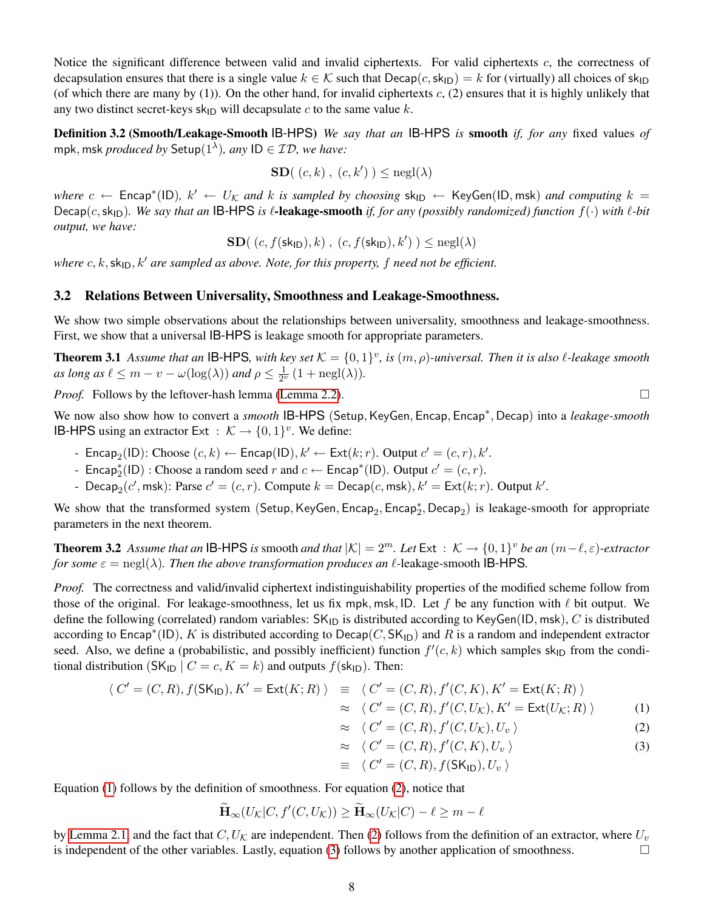Notice the significant difference between valid and invalid ciphertexts. For valid ciphertexts  $c$ , the correctness of decapsulation ensures that there is a single value  $k \in \mathcal{K}$  such that  $\text{Decap}(c, \text{sk}_{\text{ID}}) = k$  for (virtually) all choices of sk<sub>ID</sub> (of which there are many by (1)). On the other hand, for invalid ciphertexts  $c$ , (2) ensures that it is highly unlikely that any two distinct secret-keys sk<sub>ID</sub> will decapsulate c to the same value k.

Definition 3.2 (Smooth/Leakage-Smooth IB-HPS) *We say that an* IB-HPS *is* smooth *if, for any* fixed values *of* mpk, msk *produced by* Setup $(1^{\lambda})$ *, any* ID  $\in$  *ID, we have:* 

$$
\mathbf{SD}((c, k), (c, k')) \le \mathrm{negl}(\lambda)
$$

 $where \ c \leftarrow$  Encap<sup>\*</sup>(ID),  $k' \leftarrow U_{\mathcal{K}}$  and  $k$  is sampled by choosing  $sk_{ID} \leftarrow$  KeyGen(ID, msk) and computing  $k =$ Decap(c, sk<sub>ID</sub>). We say that an IB-HPS is  $\ell$ -leakage-smooth *if, for any (possibly randomized) function*  $f(\cdot)$  *with*  $\ell$ -*bit output, we have:*

 $\textbf{SD}((c, f(\textsf{sk}_{\textsf{ID}}), k), (c, f(\textsf{sk}_{\textsf{ID}}), k')) \le \text{negl}(\lambda)$ 

*where*  $c, k, \text{sk}_{\text{ID}}, k'$  *are sampled as above. Note, for this property, f need not be efficient.* 

#### 3.2 Relations Between Universality, Smoothness and Leakage-Smoothness.

We show two simple observations about the relationships between universality, smoothness and leakage-smoothness. First, we show that a universal IB-HPS is leakage smooth for appropriate parameters.

**Theorem 3.1** Assume that an IB-HPS, with key set  $K = \{0,1\}^v$ , is  $(m,\rho)$ -universal. Then it is also  $\ell$ -leakage smooth *as long as*  $\ell \leq m - v - \omega(\log(\lambda))$  *and*  $\rho \leq \frac{1}{2v}$  $\frac{1}{2^v}(1 + \text{negl}(\lambda)).$ 

*Proof.* Follows by the leftover-hash lemma [\(Lemma 2.2\)](#page-5-2).  $\square$ 

We now also show how to convert a *smooth* IB-HPS (Setup, KeyGen, Encap, Encap<sup>\*</sup>, Decap) into a *leakage-smooth* **IB-HPS** using an extractor Ext :  $K \rightarrow \{0, 1\}^v$ . We define:

- Encap<sub>2</sub>(ID): Choose  $(c, k) \leftarrow$  Encap(ID),  $k' \leftarrow \text{Ext}(k; r)$ . Output  $c' = (c, r)$ ,  $k'$ .
- Encap<sup>\*</sup><sub>2</sub>(ID) : Choose a random seed r and  $c \leftarrow$  Encap<sup>\*</sup>(ID). Output  $c' = (c, r)$ .
- Decap<sub>2</sub>(c', msk): Parse  $c' = (c, r)$ . Compute  $k = \text{Decap}(c, \text{msk})$ ,  $k' = \text{Ext}(k; r)$ . Output  $k'$ .

We show that the transformed system (Setup, KeyGen, Encap<sub>2</sub>, Encap<sub>2</sub>, Decap<sub>2</sub>) is leakage-smooth for appropriate parameters in the next theorem.

<span id="page-7-1"></span>**Theorem 3.2** Assume that an IB-HPS is smooth and that  $|K| = 2^m$ . Let Ext :  $K \to \{0,1\}^v$  be an  $(m-\ell, \varepsilon)$ -extractor *for some*  $\varepsilon = \text{negl}(\lambda)$ *. Then the above transformation produces an*  $\ell$ *-leakage-smooth IB-HPS.* 

*Proof.* The correctness and valid/invalid ciphertext indistinguishability properties of the modified scheme follow from those of the original. For leakage-smoothness, let us fix mpk, msk, ID. Let f be any function with  $\ell$  bit output. We define the following (correlated) random variables:  $SK<sub>ID</sub>$  is distributed according to KeyGen(ID, msk),  $C$  is distributed according to Encap<sup>\*</sup>(ID), K is distributed according to Decap(C, SK<sub>ID</sub>) and R is a random and independent extractor seed. Also, we define a (probabilistic, and possibly inefficient) function  $f'(c, k)$  which samples sk<sub>ID</sub> from the conditional distribution (SK<sub>ID</sub> |  $C = c, K = k$ ) and outputs  $f(\mathsf{sk}_{\mathsf{ID}})$ . Then:

<span id="page-7-0"></span>
$$
\langle C' = (C, R), f(\mathsf{SK}_{\mathsf{ID}}), K' = \mathsf{Ext}(K; R) \rangle \equiv \langle C' = (C, R), f'(C, K), K' = \mathsf{Ext}(K; R) \rangle
$$
  

$$
\approx \langle C' = (C, R), f'(C, U_K), K' = \mathsf{Ext}(U_K; R) \rangle
$$
 (1)

$$
\approx \langle C' = (C, R), f'(C, U_{\mathcal{K}}), K' = \text{Ext}(U_{\mathcal{K}}; R) \rangle \tag{1}
$$

$$
\approx \langle C' = (C, R), f'(C, U_{\mathcal{K}}), U_{v} \rangle \tag{2}
$$

$$
\approx \langle C' = (C, R), f'(C, K), U_v \rangle \tag{3}
$$

$$
\equiv \langle C' = (C, R), f(\mathsf{SK}_{\mathsf{ID}}), U_v \rangle
$$

Equation [\(1\)](#page-7-0) follows by the definition of smoothness. For equation [\(2\)](#page-7-0), notice that

$$
\widetilde{\mathbf{H}}_{\infty}(U_{\mathcal{K}}|C, f'(C, U_{\mathcal{K}})) \ge \widetilde{\mathbf{H}}_{\infty}(U_{\mathcal{K}}|C) - \ell \ge m - \ell
$$

by [Lemma 2.1,](#page-5-3) and the fact that  $C, U_{\mathcal{K}}$  are independent. Then [\(2\)](#page-7-0) follows from the definition of an extractor, where  $U_v$ is independent of the other variables. Lastly, equation [\(3\)](#page-7-0) follows by another application of smoothness.  $\Box$ 

<span id="page-7-2"></span>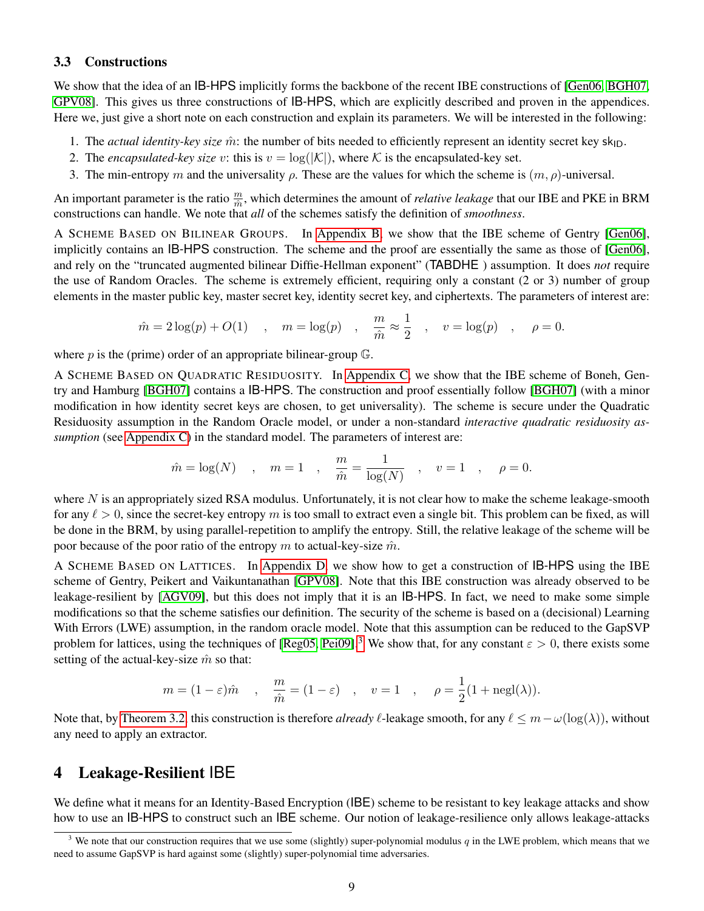#### 3.3 Constructions

We show that the idea of an IB-HPS implicitly forms the backbone of the recent IBE constructions of [\[Gen06,](#page-15-10) [BGH07,](#page-15-11) [GPV08\]](#page-15-12). This gives us three constructions of IB-HPS, which are explicitly described and proven in the appendices. Here we, just give a short note on each construction and explain its parameters. We will be interested in the following:

- 1. The *actual identity-key size*  $\hat{m}$ : the number of bits needed to efficiently represent an identity secret key sk<sub>ID</sub>.
- 2. The *encapsulated-key size* v: this is  $v = \log(|\mathcal{K}|)$ , where K is the encapsulated-key set.
- 3. The min-entropy m and the universality  $\rho$ . These are the values for which the scheme is  $(m, \rho)$ -universal.

An important parameter is the ratio  $\frac{m}{\hat{m}}$ , which determines the amount of *relative leakage* that our IBE and PKE in BRM constructions can handle. We note that *all* of the schemes satisfy the definition of *smoothness*.

A SCHEME BASED ON BILINEAR GROUPS. In [Appendix B,](#page-17-1) we show that the IBE scheme of Gentry [\[Gen06\]](#page-15-10), implicitly contains an IB-HPS construction. The scheme and the proof are essentially the same as those of [\[Gen06\]](#page-15-10), and rely on the "truncated augmented bilinear Diffie-Hellman exponent" (TABDHE ) assumption. It does *not* require the use of Random Oracles. The scheme is extremely efficient, requiring only a constant (2 or 3) number of group elements in the master public key, master secret key, identity secret key, and ciphertexts. The parameters of interest are:

$$
\hat{m}=2\log(p)+O(1)\quad,\quad m=\log(p)\quad,\quad \frac{m}{\hat{m}}\approx\frac{1}{2}\quad,\quad v=\log(p)\quad,\quad\rho=0.
$$

where  $p$  is the (prime) order of an appropriate bilinear-group  $\mathbb{G}$ .

A SCHEME BASED ON QUADRATIC RESIDUOSITY. In [Appendix C,](#page-19-0) we show that the IBE scheme of Boneh, Gentry and Hamburg [\[BGH07\]](#page-15-11) contains a IB-HPS. The construction and proof essentially follow [\[BGH07\]](#page-15-11) (with a minor modification in how identity secret keys are chosen, to get universality). The scheme is secure under the Quadratic Residuosity assumption in the Random Oracle model, or under a non-standard *interactive quadratic residuosity assumption* (see [Appendix C\)](#page-19-0) in the standard model. The parameters of interest are:

$$
\hat{m}=\log(N)\quad,\quad m=1\quad,\quad\frac{m}{\hat{m}}=\frac{1}{\log(N)}\quad,\quad v=1\quad,\quad\rho=0.
$$

where  $N$  is an appropriately sized RSA modulus. Unfortunately, it is not clear how to make the scheme leakage-smooth for any  $\ell > 0$ , since the secret-key entropy m is too small to extract even a single bit. This problem can be fixed, as will be done in the BRM, by using parallel-repetition to amplify the entropy. Still, the relative leakage of the scheme will be poor because of the poor ratio of the entropy m to actual-key-size  $\hat{m}$ .

A SCHEME BASED ON LATTICES. In [Appendix D,](#page-22-0) we show how to get a construction of IB-HPS using the IBE scheme of Gentry, Peikert and Vaikuntanathan [\[GPV08\]](#page-15-12). Note that this IBE construction was already observed to be leakage-resilient by [\[AGV09\]](#page-14-0), but this does not imply that it is an IB-HPS. In fact, we need to make some simple modifications so that the scheme satisfies our definition. The security of the scheme is based on a (decisional) Learning With Errors (LWE) assumption, in the random oracle model. Note that this assumption can be reduced to the GapSVP problem for lattices, using the techniques of [\[Reg05,](#page-16-13) [Pei09\]](#page-16-14).<sup>[3](#page-8-1)</sup> We show that, for any constant  $\varepsilon > 0$ , there exists some setting of the actual-key-size  $\hat{m}$  so that:

$$
m = (1 - \varepsilon)\hat{m}
$$
,  $\frac{m}{\hat{m}} = (1 - \varepsilon)$ ,  $v = 1$ ,  $\rho = \frac{1}{2}(1 + \text{negl}(\lambda)).$ 

Note that, by [Theorem 3.2,](#page-7-1) this construction is therefore *already*  $\ell$ -leakage smooth, for any  $\ell \leq m - \omega(\log(\lambda))$ , without any need to apply an extractor.

# <span id="page-8-0"></span>4 Leakage-Resilient IBE

We define what it means for an Identity-Based Encryption (IBE) scheme to be resistant to key leakage attacks and show how to use an IB-HPS to construct such an IBE scheme. Our notion of leakage-resilience only allows leakage-attacks

<span id="page-8-1"></span><sup>&</sup>lt;sup>3</sup> We note that our construction requires that we use some (slightly) super-polynomial modulus  $q$  in the LWE problem, which means that we need to assume GapSVP is hard against some (slightly) super-polynomial time adversaries.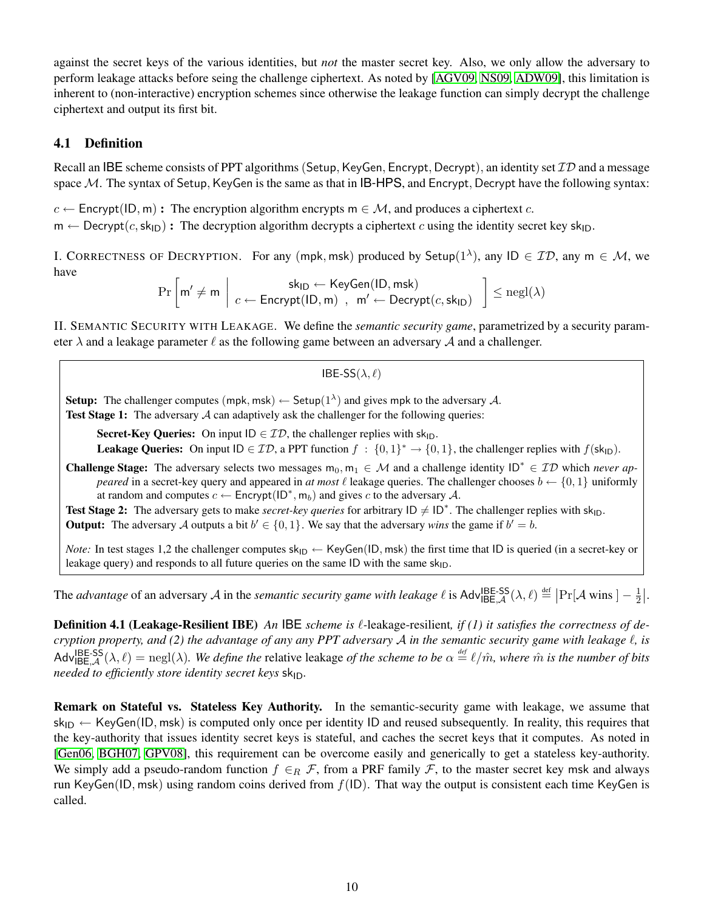against the secret keys of the various identities, but *not* the master secret key. Also, we only allow the adversary to perform leakage attacks before seing the challenge ciphertext. As noted by [\[AGV09,](#page-14-0) [NS09,](#page-16-3) [ADW09\]](#page-14-1), this limitation is inherent to (non-interactive) encryption schemes since otherwise the leakage function can simply decrypt the challenge ciphertext and output its first bit.

## 4.1 Definition

Recall an IBE scheme consists of PPT algorithms (Setup, KeyGen, Encrypt, Decrypt), an identity set  $\mathcal{ID}$  and a message space  $M$ . The syntax of Setup, KeyGen is the same as that in IB-HPS, and Encrypt, Decrypt have the following syntax:

 $c \leftarrow$  Encrypt(ID, m): The encryption algorithm encrypts m  $\in \mathcal{M}$ , and produces a ciphertext c.

 $m \leftarrow$  Decrypt $(c, sk_{ID})$ : The decryption algorithm decrypts a ciphertext c using the identity secret key sk<sub>ID</sub>.

I. CORRECTNESS OF DECRYPTION. For any (mpk, msk) produced by Setup( $1^{\lambda}$ ), any ID  $\in \mathcal{ID}$ , any m  $\in \mathcal{M}$ , we have

 $\Pr\left[m' \neq m\right]$  $\mathsf{sk}_{\mathsf{ID}} \leftarrow \mathsf{KeyGen}(\mathsf{ID},\mathsf{msk})$  $c \leftarrow \mathsf{Encrypt}(\mathsf{ID}, \mathsf{m})$ ,  $\mathsf{m}' \leftarrow \mathsf{Decrypt}(c, \mathsf{sk}_{\mathsf{ID}})$  $\Big] \leq$  negl( $\lambda$ )

II. SEMANTIC SECURITY WITH LEAKAGE. We define the *semantic security game*, parametrized by a security parameter  $\lambda$  and a leakage parameter  $\ell$  as the following game between an adversary  $\mathcal A$  and a challenger.

### IBE-SS $(\lambda, \ell)$

**Setup:** The challenger computes (mpk, msk)  $\leftarrow$  Setup( $1^{\lambda}$ ) and gives mpk to the adversary A.

**Test Stage 1:** The adversary  $\mathcal A$  can adaptively ask the challenger for the following queries:

**Secret-Key Queries:** On input  $ID \in ID$ , the challenger replies with sk<sub>ID</sub>.

**Leakage Queries:** On input  $ID \in ID$ , a PPT function  $f : \{0,1\}^* \to \{0,1\}$ , the challenger replies with  $f(\mathsf{sk}_{ID})$ .

Challenge Stage: The adversary selects two messages  $m_0, m_1 \in \mathcal{M}$  and a challenge identity ID<sup>\*</sup> ∈ *TD* which *never appeared* in a secret-key query and appeared in *at most*  $\ell$  leakage queries. The challenger chooses  $b \leftarrow \{0, 1\}$  uniformly at random and computes  $c \leftarrow \text{Encrypt}(\text{ID}^*, \text{m}_b)$  and gives c to the adversary A.

Test Stage 2: The adversary gets to make *secret-key queries* for arbitrary  $ID \neq ID^*$ . The challenger replies with sk<sub>ID</sub>. **Output:** The adversary A outputs a bit  $b' \in \{0, 1\}$ . We say that the adversary *wins* the game if  $b' = b$ .

*Note:* In test stages 1,2 the challenger computes  $sk_{ID} \leftarrow KeyGen(ID, msk)$  the first time that ID is queried (in a secret-key or leakage query) and responds to all future queries on the same ID with the same  $sk<sub>ID</sub>$ .

The *advantage* of an adversary A in the *semantic security game with leakage*  $\ell$  is Adv ${}_{\text{B}E,A}^{\text{B}E\text{-SS}}(\lambda,\ell) \stackrel{\text{def}}{=} |\Pr[\mathcal{A} \text{ wins }]-\frac{1}{2}$  $\frac{1}{2}$ .

**Definition 4.1 (Leakage-Resilient IBE)** An IBE *scheme is*  $\ell$ -leakage-resilient, if  $(1)$  it satisfies the correctness of de*cryption property, and (2) the advantage of any any PPT adversary A in the semantic security game with leakage*  $\ell$ *, is*  $\text{Adv}_{\mathsf{IBE},\mathcal{A}}^{\mathsf{IBE-SS}}(\lambda,\ell) = \text{negl}(\lambda)$ *. We define the relative leakage of the scheme to be*  $\alpha \stackrel{\text{def}}{=} \ell/\hat{m}$ *, where*  $\hat{m}$  *is the number of bits needed to efficiently store identity secret keys*  $sk_{ID}$ *.* 

Remark on Stateful vs. Stateless Key Authority. In the semantic-security game with leakage, we assume that  $sk_{ID} \leftarrow KeyGen(ID, msk)$  is computed only once per identity ID and reused subsequently. In reality, this requires that the key-authority that issues identity secret keys is stateful, and caches the secret keys that it computes. As noted in [\[Gen06,](#page-15-10) [BGH07,](#page-15-11) [GPV08\]](#page-15-12), this requirement can be overcome easily and generically to get a stateless key-authority. We simply add a pseudo-random function  $f \in_R \mathcal{F}$ , from a PRF family  $\mathcal{F}$ , to the master secret key msk and always run KeyGen(ID, msk) using random coins derived from  $f$ (ID). That way the output is consistent each time KeyGen is called.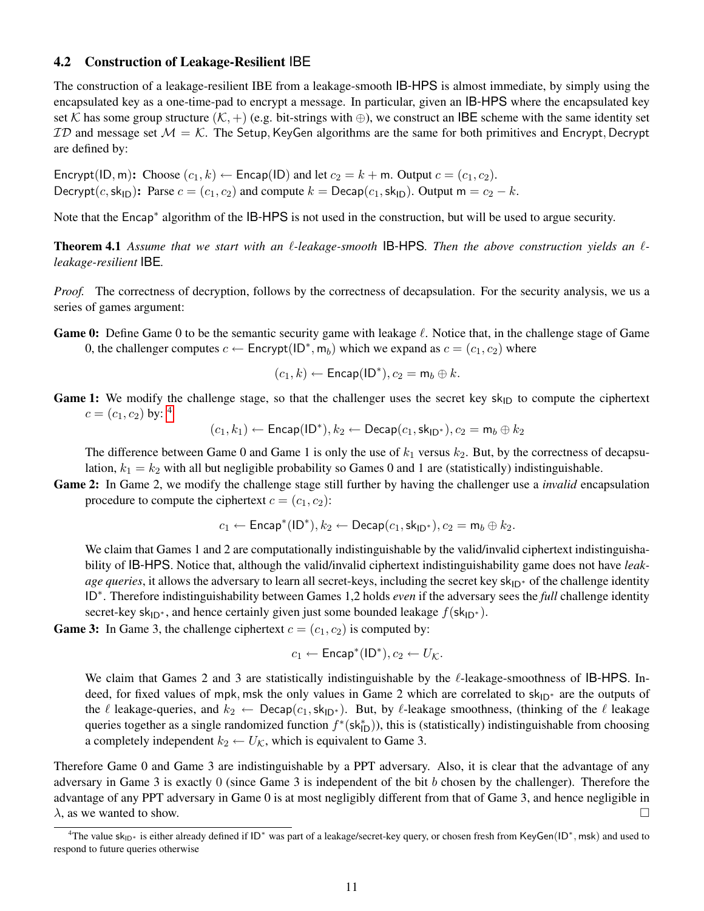### 4.2 Construction of Leakage-Resilient IBE

The construction of a leakage-resilient IBE from a leakage-smooth IB-HPS is almost immediate, by simply using the encapsulated key as a one-time-pad to encrypt a message. In particular, given an IB-HPS where the encapsulated key set K has some group structure  $(K,+)$  (e.g. bit-strings with ⊕), we construct an IBE scheme with the same identity set  $ID$  and message set  $M = K$ . The Setup, KeyGen algorithms are the same for both primitives and Encrypt, Decrypt are defined by:

Encrypt(ID, m): Choose  $(c_1, k) \leftarrow$  Encap(ID) and let  $c_2 = k + m$ . Output  $c = (c_1, c_2)$ . Decrypt(c, sk<sub>ID</sub>): Parse  $c = (c_1, c_2)$  and compute  $k = \text{Decap}(c_1, \text{sk}_{\text{ID}})$ . Output  $m = c_2 - k$ .

<span id="page-10-1"></span>Note that the Encap<sup>∗</sup> algorithm of the IB-HPS is not used in the construction, but will be used to argue security.

Theorem 4.1 Assume that we start with an  $\ell$ -leakage-smooth IB-HPS. Then the above construction yields an  $\ell$ *leakage-resilient* IBE*.*

*Proof.* The correctness of decryption, follows by the correctness of decapsulation. For the security analysis, we us a series of games argument:

**Game 0:** Define Game 0 to be the semantic security game with leakage  $\ell$ . Notice that, in the challenge stage of Game 0, the challenger computes  $c \leftarrow$  Encrypt(ID<sup>\*</sup>, m<sub>b</sub>) which we expand as  $c = (c_1, c_2)$  where

$$
(c_1,k) \leftarrow \mathsf{Encap}(\mathsf{ID}^*), c_2 = \mathsf{m}_b \oplus k.
$$

Game 1: We modify the challenge stage, so that the challenger uses the secret key sk<sub>ID</sub> to compute the ciphertext  $c = (c_1, c_2)$  by: <sup>[4](#page-10-0)</sup>

 $(c_1, k_1) \leftarrow$  Encap $(\textsf{ID}^*), k_2 \leftarrow \textsf{Decap}(c_1, \textsf{sk}_{\textsf{ID}^*}), c_2 = \textsf{m}_b \oplus k_2$ 

The difference between Game 0 and Game 1 is only the use of  $k_1$  versus  $k_2$ . But, by the correctness of decapsulation,  $k_1 = k_2$  with all but negligible probability so Games 0 and 1 are (statistically) indistinguishable.

Game 2: In Game 2, we modify the challenge stage still further by having the challenger use a *invalid* encapsulation procedure to compute the ciphertext  $c = (c_1, c_2)$ :

$$
c_1 \leftarrow \mathsf{Encap}^*(\mathsf{ID}^*), k_2 \leftarrow \mathsf{Decap}(c_1, \mathsf{sk}_{\mathsf{ID}^*}), c_2 = \mathsf{m}_b \oplus k_2.
$$

We claim that Games 1 and 2 are computationally indistinguishable by the valid/invalid ciphertext indistinguishability of IB-HPS. Notice that, although the valid/invalid ciphertext indistinguishability game does not have *leakage queries*, it allows the adversary to learn all secret-keys, including the secret key sk<sub>ID<sup>∗</sup></sub> of the challenge identity ID<sup>∗</sup> . Therefore indistinguishability between Games 1,2 holds *even* if the adversary sees the *full* challenge identity secret-key sk<sub>ID<sup>∗</sup></sub>, and hence certainly given just some bounded leakage  $f(\text{sk}_{ID}^*)$ .

**Game 3:** In Game 3, the challenge ciphertext  $c = (c_1, c_2)$  is computed by:

$$
c_1 \leftarrow \mathsf{Encap}^*(\mathsf{ID}^*), c_2 \leftarrow U_{\mathcal{K}}.
$$

We claim that Games 2 and 3 are statistically indistinguishable by the  $\ell$ -leakage-smoothness of IB-HPS. Indeed, for fixed values of mpk, msk the only values in Game 2 which are correlated to sk<sub>ID<sup>∗</sup></sub> are the outputs of the  $\ell$  leakage-queries, and  $k_2 \leftarrow \text{Decap}(c_1, \text{sk}_{1D^*})$ . But, by  $\ell$ -leakage smoothness, (thinking of the  $\ell$  leakage queries together as a single randomized function  $f^*(sk_D^*))$ , this is (statistically) indistinguishable from choosing a completely independent  $k_2 \leftarrow U_{\mathcal{K}}$ , which is equivalent to Game 3.

Therefore Game 0 and Game 3 are indistinguishable by a PPT adversary. Also, it is clear that the advantage of any adversary in Game 3 is exactly 0 (since Game 3 is independent of the bit b chosen by the challenger). Therefore the advantage of any PPT adversary in Game 0 is at most negligibly different from that of Game 3, and hence negligible in  $\lambda$ , as we wanted to show.

<span id="page-10-0"></span><sup>&</sup>lt;sup>4</sup>The value sk<sub>ID</sub>∗ is either already defined if ID<sup>\*</sup> was part of a leakage/secret-key query, or chosen fresh from KeyGen(ID<sup>\*</sup>, msk) and used to respond to future queries otherwise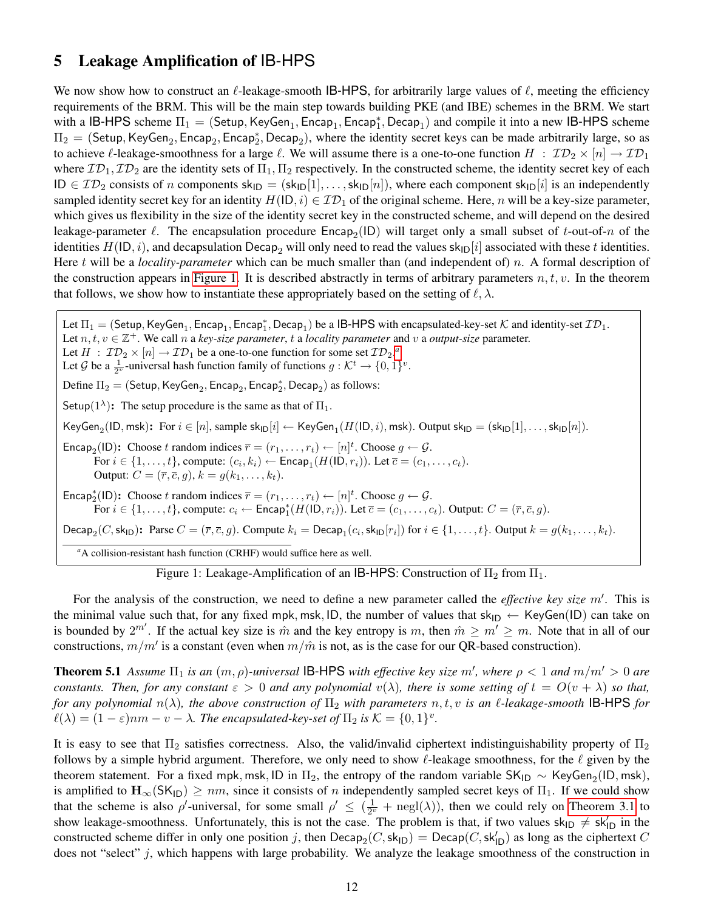# <span id="page-11-0"></span>5 Leakage Amplification of IB-HPS

We now show how to construct an  $\ell$ -leakage-smooth IB-HPS, for arbitrarily large values of  $\ell$ , meeting the efficiency requirements of the BRM. This will be the main step towards building PKE (and IBE) schemes in the BRM. We start with a IB-HPS scheme  $\Pi_1 = (\mathsf{Setup},\mathsf{KeyGen}_1,\mathsf{Encap}_1,\mathsf{Encap}_1^*)$  and compile it into a new IB-HPS scheme  $\Pi_2 = ($ Setup, KeyGen<sub>2</sub>, Encap<sub>2</sub>, Encap<sub>2</sub><sup>\*</sup>, Decap<sub>2</sub>), where the identity secret keys can be made arbitrarily large, so as to achieve  $\ell$ -leakage-smoothness for a large  $\ell$ . We will assume there is a one-to-one function  $H : ID_2 \times [n] \to ID_1$ where  $ID_1$ ,  $ID_2$  are the identity sets of  $\Pi_1$ ,  $\Pi_2$  respectively. In the constructed scheme, the identity secret key of each ID  $\in \mathcal{ID}_2$  consists of n components sk<sub>ID</sub> = (sk<sub>ID</sub>[1], ..., sk<sub>ID</sub>[n]), where each component sk<sub>ID</sub>[i] is an independently sampled identity secret key for an identity  $H(\mathsf{ID}, i) \in \mathcal{ID}_1$  of the original scheme. Here, n will be a key-size parameter, which gives us flexibility in the size of the identity secret key in the constructed scheme, and will depend on the desired leakage-parameter  $\ell$ . The encapsulation procedure  $\mathsf{Encap}_2(\mathsf{ID})$  will target only a small subset of t-out-of-n of the identities  $H([D, i)]$ , and decapsulation Decap<sub>2</sub> will only need to read the values  $\mathsf{sk}_{|D}[i]$  associated with these t identities. Here t will be a *locality-parameter* which can be much smaller than (and independent of) n. A formal description of the construction appears in [Figure 1.](#page-11-1) It is described abstractly in terms of arbitrary parameters  $n, t, v$ . In the theorem that follows, we show how to instantiate these appropriately based on the setting of  $\ell, \lambda$ .

Let  $\Pi_1=$  (Setup, KeyGen<sub>1</sub>, Encap<sub>1</sub>, Encap<sub>1</sub>, Decap<sub>1</sub>) be a IB-HPS with encapsulated-key-set  ${\cal K}$  and identity-set  $\mathcal{ID}_1$ . Let  $n, t, v \in \mathbb{Z}^+$ . We call n a key-size parameter, t a *locality parameter* and v a *output-size* parameter. Let  $H : \mathcal{ID}_2 \times [n] \to \mathcal{ID}_1$  $H : \mathcal{ID}_2 \times [n] \to \mathcal{ID}_1$  $H : \mathcal{ID}_2 \times [n] \to \mathcal{ID}_1$  be a one-to-one function for some set  $\mathcal{ID}_2$ .<sup>*a*</sup> Let  $\mathcal G$  be a  $\frac{1}{2^v}$ -universal hash function family of functions  $g: \mathcal K^t \to \{0,1\}^v$ . Define  $\Pi_2=(\mathsf{Setup},\mathsf{KeyGen}_2,\mathsf{Encap}_2,\mathsf{Encap}_2^*,\mathsf{Decap}_2)$  as follows: Setup( $1^{\lambda}$ ): The setup procedure is the same as that of  $\Pi_1$ . KeyGen<sub>2</sub>(ID, msk): For  $i \in [n]$ , sample sk<sub>ID</sub> $[i] \leftarrow$  KeyGen<sub>1</sub>( $H(\mathsf{ID}, i)$ , msk). Output sk<sub>ID</sub> = (sk<sub>ID</sub>[1],..., sk<sub>ID</sub>[n]). Encap<sub>2</sub>(ID): Choose t random indices  $\overline{r} = (r_1, \ldots, r_t) \leftarrow [n]^t$ . Choose  $g \leftarrow \mathcal{G}$ . For  $i \in \{1, \ldots, t\}$ , compute:  $(c_i, k_i) \leftarrow \mathsf{Encap}_1(H(\mathsf{ID}, r_i))$ . Let  $\overline{c} = (c_1, \ldots, c_t)$ . Output:  $C = (\overline{r}, \overline{c}, g), k = g(k_1, \ldots, k_t).$ Encap ${}_{2}^{*}$ (ID): Choose t random indices  $\overline{r} = (r_1, \ldots, r_t) \leftarrow [n]^{t}$ . Choose  $g \leftarrow \mathcal{G}$ . For  $i \in \{1, \ldots, t\}$ , compute:  $c_i \leftarrow \text{Encap}_1^*(H(\mathsf{ID}, r_i))$ . Let  $\overline{c} = (c_1, \ldots, c_t)$ . Output:  $C = (\overline{r}, \overline{c}, g)$ . Decap<sub>2</sub>(*C*, sk<sub>ID</sub>): Parse  $C = (\overline{r}, \overline{c}, g)$ . Compute  $k_i = \text{Decap}_1(c_i, \text{sk}_{ID}[r_i])$  for  $i \in \{1, ..., t\}$ . Output  $k = g(k_1, ..., k_t)$ . *<sup>a</sup>*A collision-resistant hash function (CRHF) would suffice here as well.

<span id="page-11-3"></span><span id="page-11-1"></span>Figure 1: Leakage-Amplification of an IB-HPS: Construction of  $\Pi_2$  from  $\Pi_1$ .

<span id="page-11-2"></span>For the analysis of the construction, we need to define a new parameter called the *effective key size*  $m'$ . This is the minimal value such that, for any fixed mpk, msk, ID, the number of values that  $sk_{ID} \leftarrow KeyGen(ID)$  can take on is bounded by  $2^{m'}$ . If the actual key size is  $\hat{m}$  and the key entropy is m, then  $\hat{m} \ge m' \ge m$ . Note that in all of our constructions,  $m/m'$  is a constant (even when  $m/\hat{m}$  is not, as is the case for our QR-based construction).

**Theorem 5.1** Assume  $\Pi_1$  is an  $(m, \rho)$ -universal IB-HPS with effective key size m', where  $\rho < 1$  and  $m/m' > 0$  are *constants. Then, for any constant*  $\varepsilon > 0$  *and any polynomial*  $v(\lambda)$ *, there is some setting of*  $t = O(v + \lambda)$  *so that, for any polynomial*  $n(\lambda)$ , the above construction of  $\Pi_2$  with parameters  $n, t, v$  is an  $\ell$ -leakage-smooth **IB-HPS** for  $\ell(\lambda) = (1 - \varepsilon)nm - v - \lambda$ . The encapsulated-key-set of  $\Pi_2$  is  $\mathcal{K} = \{0, 1\}^v$ .

It is easy to see that  $\Pi_2$  satisfies correctness. Also, the valid/invalid ciphertext indistinguishability property of  $\Pi_2$ follows by a simple hybrid argument. Therefore, we only need to show  $\ell$ -leakage smoothness, for the  $\ell$  given by the theorem statement. For a fixed mpk, msk, ID in  $\Pi_2$ , the entropy of the random variable SK<sub>ID</sub>  $\sim$  KeyGen<sub>2</sub>(ID, msk), is amplified to  $H_{\infty}(SK_{1D}) \ge nm$ , since it consists of n independently sampled secret keys of  $\Pi_1$ . If we could show that the scheme is also  $\rho'$ -universal, for some small  $\rho' \leq (\frac{1}{2\pi})$  $\frac{1}{2^v}$  + negl( $\lambda$ )), then we could rely on [Theorem 3.1](#page-7-2) to show leakage-smoothness. Unfortunately, this is not the case. The problem is that, if two values  $sk_{ID} \neq sk'_{ID}$  in the constructed scheme differ in only one position j, then  $\text{Decap}_2(C, \text{sk}_{ID}) = \text{Decap}(C, \text{sk}_{ID}')}$  as long as the ciphertext C does not "select" j, which happens with large probability. We analyze the leakage smoothness of the construction in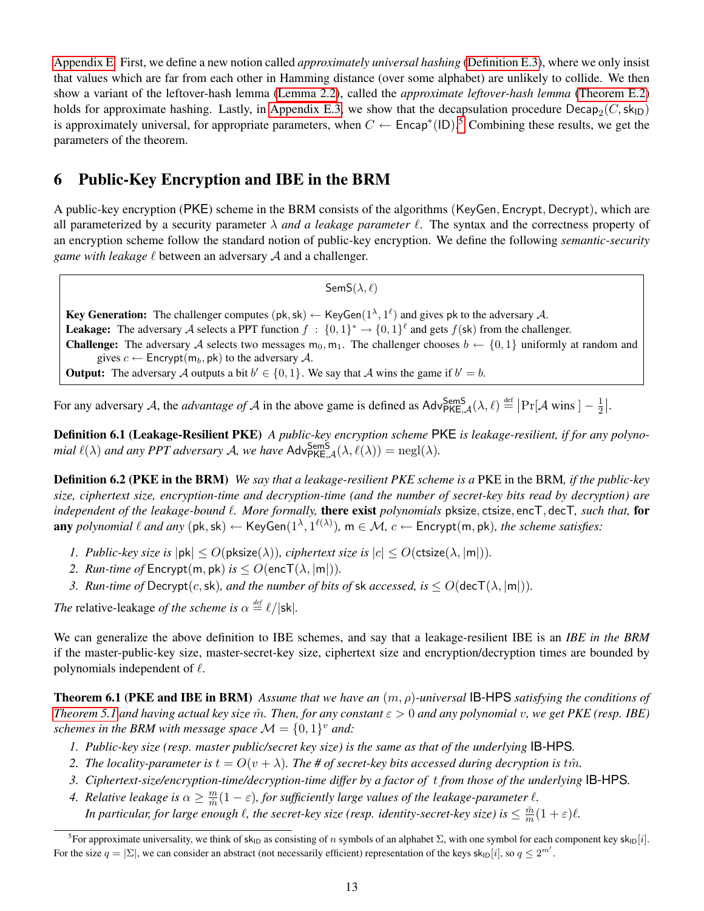[Appendix E.](#page-26-0) First, we define a new notion called *approximately universal hashing* [\(Definition E.3\)](#page-27-0), where we only insist that values which are far from each other in Hamming distance (over some alphabet) are unlikely to collide. We then show a variant of the leftover-hash lemma [\(Lemma 2.2\)](#page-5-2), called the *approximate leftover-hash lemma* [\(Theorem E.2\)](#page-27-1) holds for approximate hashing. Lastly, in [Appendix E.3,](#page-28-0) we show that the decapsulation procedure  $\text{Decap}_2(C, \text{sk}_{\text{ID}})$ is approximately universal, for appropriate parameters, when  $C \leftarrow$  Encap<sup>\*</sup>(ID).<sup>[5](#page-12-1)</sup> Combining these results, we get the parameters of the theorem.

# <span id="page-12-0"></span>6 Public-Key Encryption and IBE in the BRM

A public-key encryption (PKE) scheme in the BRM consists of the algorithms (KeyGen, Encrypt, Decrypt), which are all parameterized by a security parameter  $\lambda$  *and a leakage parameter*  $\ell$ . The syntax and the correctness property of an encryption scheme follow the standard notion of public-key encryption. We define the following *semantic-security game with leakage*  $\ell$  between an adversary  $\mathcal A$  and a challenger.

 $SemS(\lambda, \ell)$ 

**Key Generation:** The challenger computes  $(\mathsf{pk}, \mathsf{sk}) \leftarrow \mathsf{KeyGen}(1^{\lambda}, 1^{\ell})$  and gives pk to the adversary A. **Leakage:** The adversary A selects a PPT function  $f : \{0,1\}^* \to \{0,1\}^{\ell}$  and gets  $f(\mathsf{sk})$  from the challenger. **Challenge:** The adversary A selects two messages  $m_0, m_1$ . The challenger chooses  $b \leftarrow \{0, 1\}$  uniformly at random and gives  $c \leftarrow$  Encrypt $(m_b, pk)$  to the adversary A. **Output:** The adversary A outputs a bit  $b' \in \{0, 1\}$ . We say that A wins the game if  $b' = b$ .

For any adversary A, the *advantage of* A in the above game is defined as  $\text{Adv}_{\text{PKE},\mathcal{A}}^{\text{Sems}}(\lambda,\ell) \stackrel{\text{def}}{=} |\Pr[\mathcal{A} \text{ wins}] - \frac{1}{2}$  $\frac{1}{2}$ .

Definition 6.1 (Leakage-Resilient PKE) *A public-key encryption scheme* PKE *is leakage-resilient, if for any polynomial*  $\ell(\lambda)$  *and any PPT adversary* A, we have  $Adv_{PKE,A}^{Sems}(\lambda, \ell(\lambda)) = negl(\lambda)$ *.* 

Definition 6.2 (PKE in the BRM) *We say that a leakage-resilient PKE scheme is a* PKE in the BRM*, if the public-key size, ciphertext size, encryption-time and decryption-time (and the number of secret-key bits read by decryption) are independent of the leakage-bound*  $\ell$ *. More formally, there exist polynomials* pksize, ctsize, encT, decT, such that, for any *polynomial*  $\ell$  and any (pk, sk)  $\leftarrow$  KeyGen( $1^{\lambda}$ ,  $1^{\ell(\lambda)}$ ),  $m \in M$ ,  $c \leftarrow$  Encrypt(m, pk), the scheme satisfies:

- *1. Public-key size is*  $|pk| \le O(pksize(\lambda))$ *, ciphertext size is*  $|c| \le O(ctsize(\lambda, |m|))$ *.*
- *2. Run-time of* Encrypt(m, pk) *is*  $\leq O(\text{encT}(\lambda, |m|)).$
- *3. Run-time of* Decrypt(c, sk)*, and the number of bits of* sk *accessed, is*  $\leq O(\text{decT}(\lambda, |m|)).$

*The* relative-leakage *of the scheme is*  $\alpha \stackrel{\text{def}}{=} \ell / |sk|$ *.* 

We can generalize the above definition to IBE schemes, and say that a leakage-resilient IBE is an *IBE in the BRM* if the master-public-key size, master-secret-key size, ciphertext size and encryption/decryption times are bounded by polynomials independent of  $\ell$ .

Theorem 6.1 (PKE and IBE in BRM) *Assume that we have an* (m, ρ)*-universal* IB-HPS *satisfying the conditions of [Theorem 5.1](#page-11-3)* and having actual key size  $\hat{m}$ . Then, for any constant  $\varepsilon > 0$  and any polynomial v, we get PKE (resp. IBE) *schemes in the BRM with message space*  $\mathcal{M} = \{0, 1\}^v$  and:

- *1. Public-key size (resp. master public/secret key size) is the same as that of the underlying* IB-HPS*.*
- *2. The locality-parameter is*  $t = O(v + \lambda)$ *. The # of secret-key bits accessed during decryption is tm*̂.
- *3. Ciphertext-size/encryption-time/decryption-time differ by a factor of* t *from those of the underlying* IB-HPS*.*
- 4. Relative leakage is  $\alpha \geq \frac{m}{m}$  $\frac{m}{\hat{m}}(1-\varepsilon)$ , for sufficiently large values of the leakage-parameter  $\ell$ . *In particular, for large enough*  $\ell$ *, the secret-key size (resp. identity-secret-key size) is*  $\leq \frac{\hat{m}}{m}$  $\frac{m}{m}(1+\varepsilon)\ell.$

<span id="page-12-1"></span><sup>&</sup>lt;sup>5</sup> For approximate universality, we think of sk<sub>ID</sub> as consisting of n symbols of an alphabet  $\Sigma$ , with one symbol for each component key sk<sub>ID</sub>[i]. For the size  $q = |\Sigma|$ , we can consider an abstract (not necessarily efficient) representation of the keys sk<sub>ID</sub>[i], so  $q \leq 2^{m'}$ .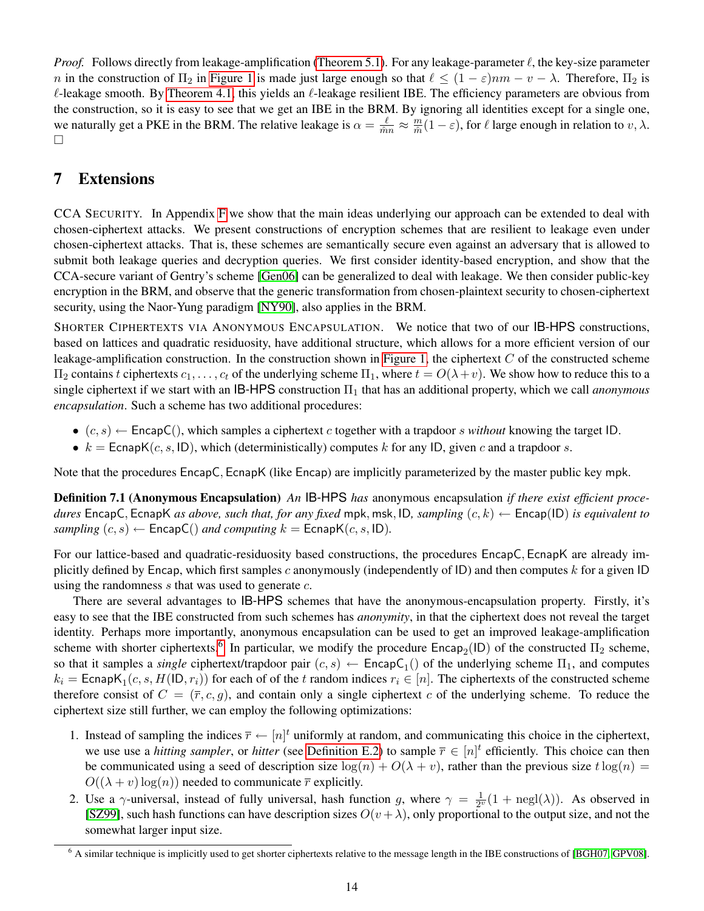*Proof.* Follows directly from leakage-amplification [\(Theorem 5.1\)](#page-11-3). For any leakage-parameter  $\ell$ , the key-size parameter n in the construction of  $\Pi_2$  in [Figure 1](#page-11-1) is made just large enough so that  $\ell \leq (1 - \varepsilon)nm - v - \lambda$ . Therefore,  $\Pi_2$  is  $\ell$ -leakage smooth. By [Theorem 4.1,](#page-10-1) this yields an  $\ell$ -leakage resilient IBE. The efficiency parameters are obvious from the construction, so it is easy to see that we get an IBE in the BRM. By ignoring all identities except for a single one, we naturally get a PKE in the BRM. The relative leakage is  $\alpha = \frac{\ell}{\hat{m}n} \approx \frac{m}{\hat{m}}$  $\frac{m}{m}(1-\varepsilon)$ , for  $\ell$  large enough in relation to  $v, \lambda$ .  $\Box$ 

# 7 Extensions

CCA SECURITY. In Appendix [F](#page-29-0) we show that the main ideas underlying our approach can be extended to deal with chosen-ciphertext attacks. We present constructions of encryption schemes that are resilient to leakage even under chosen-ciphertext attacks. That is, these schemes are semantically secure even against an adversary that is allowed to submit both leakage queries and decryption queries. We first consider identity-based encryption, and show that the CCA-secure variant of Gentry's scheme [\[Gen06\]](#page-15-10) can be generalized to deal with leakage. We then consider public-key encryption in the BRM, and observe that the generic transformation from chosen-plaintext security to chosen-ciphertext security, using the Naor-Yung paradigm [\[NY90\]](#page-16-15), also applies in the BRM.

SHORTER CIPHERTEXTS VIA ANONYMOUS ENCAPSULATION. We notice that two of our IB-HPS constructions, based on lattices and quadratic residuosity, have additional structure, which allows for a more efficient version of our leakage-amplification construction. In the construction shown in [Figure 1,](#page-11-1) the ciphertext  $C$  of the constructed scheme  $\Pi_2$  contains t ciphertexts  $c_1, \ldots, c_t$  of the underlying scheme  $\Pi_1$ , where  $t = O(\lambda + v)$ . We show how to reduce this to a single ciphertext if we start with an IB-HPS construction Π<sup>1</sup> that has an additional property, which we call *anonymous encapsulation*. Such a scheme has two additional procedures:

- $(c, s) \leftarrow$  EncapC(), which samples a ciphertext c together with a trapdoor s without knowing the target ID.
- $k =$  EcnapK(c, s, ID), which (deterministically) computes k for any ID, given c and a trapdoor s.

Note that the procedures EncapC, EcnapK (like Encap) are implicitly parameterized by the master public key mpk.

Definition 7.1 (Anonymous Encapsulation) *An* IB-HPS *has* anonymous encapsulation *if there exist efficient procedures* EncapC, EcnapK *as above, such that, for any fixed* mpk, msk, ID, *sampling*  $(c, k) \leftarrow$  Encap(ID) *is equivalent to sampling*  $(c, s) \leftarrow$  EncapC() *and computing*  $k =$  EcnapK $(c, s, \text{ID})$ .

For our lattice-based and quadratic-residuosity based constructions, the procedures EncapC, EcnapK are already implicitly defined by Encap, which first samples c anonymously (independently of ID) and then computes  $k$  for a given ID using the randomness  $s$  that was used to generate  $c$ .

There are several advantages to IB-HPS schemes that have the anonymous-encapsulation property. Firstly, it's easy to see that the IBE constructed from such schemes has *anonymity*, in that the ciphertext does not reveal the target identity. Perhaps more importantly, anonymous encapsulation can be used to get an improved leakage-amplification scheme with shorter ciphertexts.<sup>[6](#page-13-0)</sup> In particular, we modify the procedure  $\text{Encap}_2(\text{ID})$  of the constructed  $\Pi_2$  scheme, so that it samples a *single* ciphertext/trapdoor pair  $(c, s) \leftarrow$  EncapC<sub>1</sub>() of the underlying scheme  $\Pi_1$ , and computes  $k_i = \textsf{E} \textsf{c} \textsf{mapK}_1(c, s, H(\textsf{ID}, r_i))$  for each of of the t random indices  $r_i \in [n]$ . The ciphertexts of the constructed scheme therefore consist of  $C = (\overline{r}, c, g)$ , and contain only a single ciphertext c of the underlying scheme. To reduce the ciphertext size still further, we can employ the following optimizations:

- 1. Instead of sampling the indices  $\bar{r} \leftarrow [n]^t$  uniformly at random, and communicating this choice in the ciphertext, we use use a *hitting sampler*, or *hitter* (see [Definition E.2\)](#page-26-1) to sample  $\bar{r} \in [n]^t$  efficiently. This choice can then be communicated using a seed of description size  $\log(n) + O(\lambda + v)$ , rather than the previous size  $t \log(n)$  $O((\lambda + v) \log(n))$  needed to communicate  $\overline{r}$  explicitly.
- 2. Use a  $\gamma$ -universal, instead of fully universal, hash function g, where  $\gamma = \frac{1}{2g}$  $\frac{1}{2^v}(1 + \text{negl}(\lambda))$ . As observed in [\[SZ99\]](#page-16-16), such hash functions can have description sizes  $O(v + \lambda)$ , only proportional to the output size, and not the somewhat larger input size.

<span id="page-13-0"></span><sup>6</sup> A similar technique is implicitly used to get shorter ciphertexts relative to the message length in the IBE constructions of [\[BGH07,](#page-15-11) [GPV08\]](#page-15-12).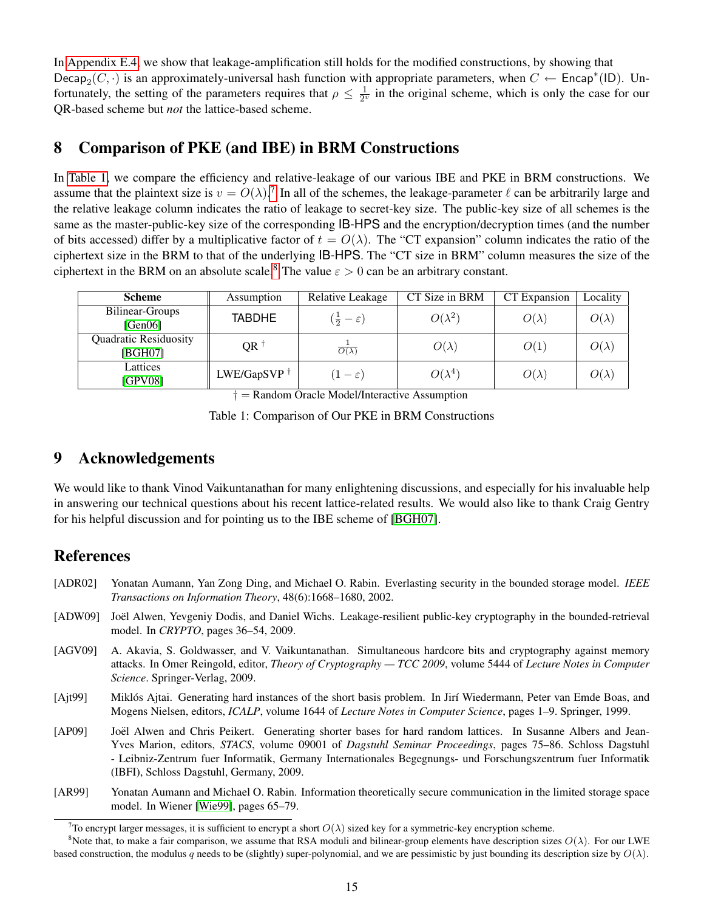In [Appendix E.4,](#page-29-1) we show that leakage-amplification still holds for the modified constructions, by showing that Decap<sub>2</sub>(C, ·) is an approximately-universal hash function with appropriate parameters, when  $C \leftarrow$  Encap<sup>\*</sup>(ID). Unfortunately, the setting of the parameters requires that  $\rho \leq \frac{1}{2^{\alpha}}$  $\frac{1}{2^v}$  in the original scheme, which is only the case for our QR-based scheme but *not* the lattice-based scheme.

# 8 Comparison of PKE (and IBE) in BRM Constructions

In [Table 1,](#page-14-4) we compare the efficiency and relative-leakage of our various IBE and PKE in BRM constructions. We assume that the plaintext size is  $v = O(\lambda)$ .<sup>[7](#page-14-5)</sup> In all of the schemes, the leakage-parameter  $\ell$  can be arbitrarily large and the relative leakage column indicates the ratio of leakage to secret-key size. The public-key size of all schemes is the same as the master-public-key size of the corresponding IB-HPS and the encryption/decryption times (and the number of bits accessed) differ by a multiplicative factor of  $t = O(\lambda)$ . The "CT expansion" column indicates the ratio of the ciphertext size in the BRM to that of the underlying IB-HPS. The "CT size in BRM" column measures the size of the ciphertext in the BRM on an absolute scale.<sup>[8](#page-14-6)</sup> The value  $\varepsilon > 0$  can be an arbitrary constant.

| <b>Scheme</b>                    | Assumption                                 | Relative Leakage                       | CT Size in BRM | CT Expansion | Locality     |
|----------------------------------|--------------------------------------------|----------------------------------------|----------------|--------------|--------------|
| Bilinear-Groups<br>[Gen06]       | <b>TABDHE</b>                              | $\left(\frac{1}{2}-\varepsilon\right)$ | $O(\lambda^2)$ | $O(\lambda)$ | $O(\lambda)$ |
| Quadratic Residuosity<br>[BGH07] | $QR^{\dagger}$                             | $\overline{O(\lambda)}$                | $O(\lambda)$   | O(1)         | $O(\lambda)$ |
| Lattices<br>[GPV08]              | LWE/GapSVP <sup><math>\dagger</math></sup> | $1-\varepsilon$ )                      | $O(\lambda^4)$ | $O(\lambda)$ | $O(\lambda)$ |

<span id="page-14-4"></span> $\dagger$  = Random Oracle Model/Interactive Assumption

Table 1: Comparison of Our PKE in BRM Constructions

# 9 Acknowledgements

We would like to thank Vinod Vaikuntanathan for many enlightening discussions, and especially for his invaluable help in answering our technical questions about his recent lattice-related results. We would also like to thank Craig Gentry for his helpful discussion and for pointing us to the IBE scheme of [\[BGH07\]](#page-15-11).

# References

- <span id="page-14-3"></span>[ADR02] Yonatan Aumann, Yan Zong Ding, and Michael O. Rabin. Everlasting security in the bounded storage model. *IEEE Transactions on Information Theory*, 48(6):1668–1680, 2002.
- <span id="page-14-1"></span>[ADW09] Joël Alwen, Yevgeniy Dodis, and Daniel Wichs. Leakage-resilient public-key cryptography in the bounded-retrieval model. In *CRYPTO*, pages 36–54, 2009.
- <span id="page-14-0"></span>[AGV09] A. Akavia, S. Goldwasser, and V. Vaikuntanathan. Simultaneous hardcore bits and cryptography against memory attacks. In Omer Reingold, editor, *Theory of Cryptography — TCC 2009*, volume 5444 of *Lecture Notes in Computer Science*. Springer-Verlag, 2009.
- <span id="page-14-7"></span>[Ajt99] Miklós Ajtai. Generating hard instances of the short basis problem. In Jirí Wiedermann, Peter van Emde Boas, and Mogens Nielsen, editors, *ICALP*, volume 1644 of *Lecture Notes in Computer Science*, pages 1–9. Springer, 1999.
- <span id="page-14-8"></span>[AP09] Joël Alwen and Chris Peikert. Generating shorter bases for hard random lattices. In Susanne Albers and Jean-Yves Marion, editors, *STACS*, volume 09001 of *Dagstuhl Seminar Proceedings*, pages 75–86. Schloss Dagstuhl - Leibniz-Zentrum fuer Informatik, Germany Internationales Begegnungs- und Forschungszentrum fuer Informatik (IBFI), Schloss Dagstuhl, Germany, 2009.
- <span id="page-14-2"></span>[AR99] Yonatan Aumann and Michael O. Rabin. Information theoretically secure communication in the limited storage space model. In Wiener [\[Wie99\]](#page-16-17), pages 65–79.

<span id="page-14-6"></span><span id="page-14-5"></span><sup>&</sup>lt;sup>7</sup>To encrypt larger messages, it is sufficient to encrypt a short  $O(\lambda)$  sized key for a symmetric-key encryption scheme.

<sup>&</sup>lt;sup>8</sup>Note that, to make a fair comparison, we assume that RSA moduli and bilinear-group elements have description sizes  $O(\lambda)$ . For our LWE based construction, the modulus q needs to be (slightly) super-polynomial, and we are pessimistic by just bounding its description size by  $O(\lambda)$ .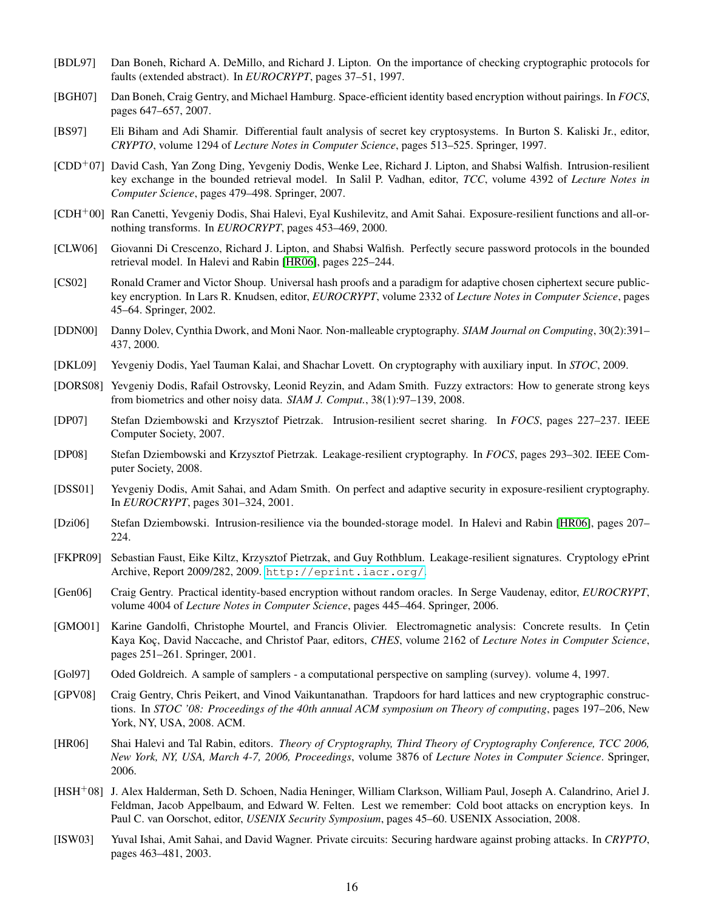- <span id="page-15-1"></span>[BDL97] Dan Boneh, Richard A. DeMillo, and Richard J. Lipton. On the importance of checking cryptographic protocols for faults (extended abstract). In *EUROCRYPT*, pages 37–51, 1997.
- <span id="page-15-11"></span>[BGH07] Dan Boneh, Craig Gentry, and Michael Hamburg. Space-efficient identity based encryption without pairings. In *FOCS*, pages 647–657, 2007.
- <span id="page-15-2"></span>[BS97] Eli Biham and Adi Shamir. Differential fault analysis of secret key cryptosystems. In Burton S. Kaliski Jr., editor, *CRYPTO*, volume 1294 of *Lecture Notes in Computer Science*, pages 513–525. Springer, 1997.
- <span id="page-15-8"></span>[CDD+07] David Cash, Yan Zong Ding, Yevgeniy Dodis, Wenke Lee, Richard J. Lipton, and Shabsi Walfish. Intrusion-resilient key exchange in the bounded retrieval model. In Salil P. Vadhan, editor, *TCC*, volume 4392 of *Lecture Notes in Computer Science*, pages 479–498. Springer, 2007.
- <span id="page-15-13"></span>[CDH+00] Ran Canetti, Yevgeniy Dodis, Shai Halevi, Eyal Kushilevitz, and Amit Sahai. Exposure-resilient functions and all-ornothing transforms. In *EUROCRYPT*, pages 453–469, 2000.
- <span id="page-15-7"></span>[CLW06] Giovanni Di Crescenzo, Richard J. Lipton, and Shabsi Walfish. Perfectly secure password protocols in the bounded retrieval model. In Halevi and Rabin [\[HR06\]](#page-15-19), pages 225–244.
- <span id="page-15-0"></span>[CS02] Ronald Cramer and Victor Shoup. Universal hash proofs and a paradigm for adaptive chosen ciphertext secure publickey encryption. In Lars R. Knudsen, editor, *EUROCRYPT*, volume 2332 of *Lecture Notes in Computer Science*, pages 45–64. Springer, 2002.
- <span id="page-15-21"></span>[DDN00] Danny Dolev, Cynthia Dwork, and Moni Naor. Non-malleable cryptography. *SIAM Journal on Computing*, 30(2):391– 437, 2000.
- <span id="page-15-5"></span>[DKL09] Yevgeniy Dodis, Yael Tauman Kalai, and Shachar Lovett. On cryptography with auxiliary input. In *STOC*, 2009.
- <span id="page-15-18"></span>[DORS08] Yevgeniy Dodis, Rafail Ostrovsky, Leonid Reyzin, and Adam Smith. Fuzzy extractors: How to generate strong keys from biometrics and other noisy data. *SIAM J. Comput.*, 38(1):97–139, 2008.
- <span id="page-15-9"></span>[DP07] Stefan Dziembowski and Krzysztof Pietrzak. Intrusion-resilient secret sharing. In *FOCS*, pages 227–237. IEEE Computer Society, 2007.
- <span id="page-15-16"></span>[DP08] Stefan Dziembowski and Krzysztof Pietrzak. Leakage-resilient cryptography. In *FOCS*, pages 293–302. IEEE Computer Society, 2008.
- <span id="page-15-14"></span>[DSS01] Yevgeniy Dodis, Amit Sahai, and Adam Smith. On perfect and adaptive security in exposure-resilient cryptography. In *EUROCRYPT*, pages 301–324, 2001.
- <span id="page-15-6"></span>[Dzi06] Stefan Dziembowski. Intrusion-resilience via the bounded-storage model. In Halevi and Rabin [\[HR06\]](#page-15-19), pages 207– 224.
- <span id="page-15-17"></span>[FKPR09] Sebastian Faust, Eike Kiltz, Krzysztof Pietrzak, and Guy Rothblum. Leakage-resilient signatures. Cryptology ePrint Archive, Report 2009/282, 2009. <http://eprint.iacr.org/>.
- <span id="page-15-10"></span>[Gen06] Craig Gentry. Practical identity-based encryption without random oracles. In Serge Vaudenay, editor, *EUROCRYPT*, volume 4004 of *Lecture Notes in Computer Science*, pages 445–464. Springer, 2006.
- <span id="page-15-3"></span>[GMO01] Karine Gandolfi, Christophe Mourtel, and Francis Olivier. Electromagnetic analysis: Concrete results. In Çetin Kaya Koc¸, David Naccache, and Christof Paar, editors, *CHES*, volume 2162 of *Lecture Notes in Computer Science*, pages 251–261. Springer, 2001.
- <span id="page-15-20"></span>[Gol97] Oded Goldreich. A sample of samplers - a computational perspective on sampling (survey). volume 4, 1997.
- <span id="page-15-12"></span>[GPV08] Craig Gentry, Chris Peikert, and Vinod Vaikuntanathan. Trapdoors for hard lattices and new cryptographic constructions. In *STOC '08: Proceedings of the 40th annual ACM symposium on Theory of computing*, pages 197–206, New York, NY, USA, 2008. ACM.
- <span id="page-15-19"></span>[HR06] Shai Halevi and Tal Rabin, editors. *Theory of Cryptography, Third Theory of Cryptography Conference, TCC 2006, New York, NY, USA, March 4-7, 2006, Proceedings*, volume 3876 of *Lecture Notes in Computer Science*. Springer, 2006.
- <span id="page-15-4"></span>[HSH<sup>+</sup>08] J. Alex Halderman, Seth D. Schoen, Nadia Heninger, William Clarkson, William Paul, Joseph A. Calandrino, Ariel J. Feldman, Jacob Appelbaum, and Edward W. Felten. Lest we remember: Cold boot attacks on encryption keys. In Paul C. van Oorschot, editor, *USENIX Security Symposium*, pages 45–60. USENIX Association, 2008.
- <span id="page-15-15"></span>[ISW03] Yuval Ishai, Amit Sahai, and David Wagner. Private circuits: Securing hardware against probing attacks. In *CRYPTO*, pages 463–481, 2003.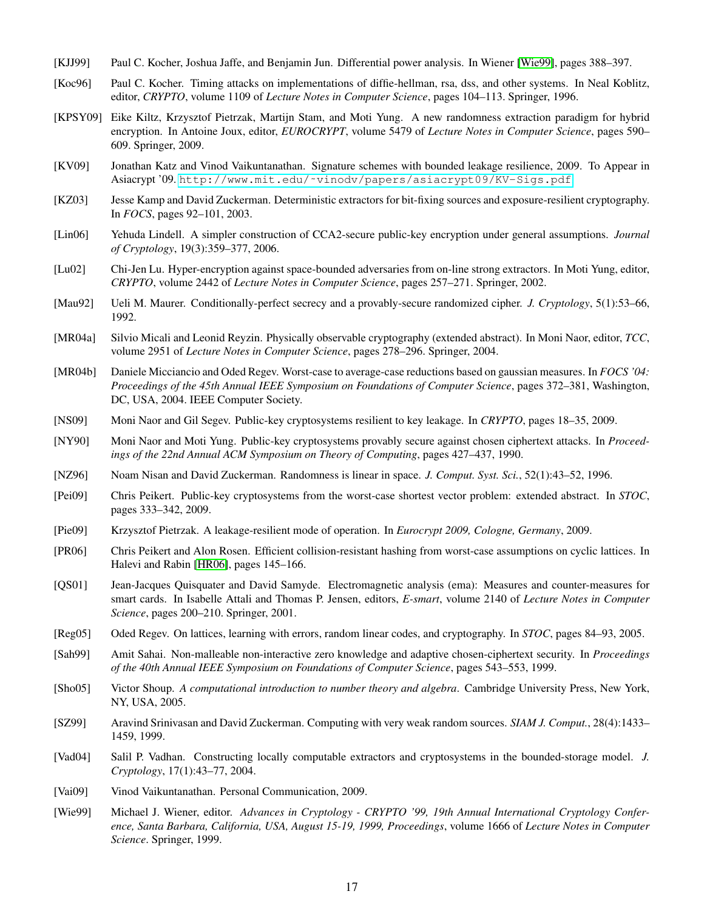- <span id="page-16-1"></span>[KJJ99] Paul C. Kocher, Joshua Jaffe, and Benjamin Jun. Differential power analysis. In Wiener [\[Wie99\]](#page-16-17), pages 388–397.
- <span id="page-16-0"></span>[Koc96] Paul C. Kocher. Timing attacks on implementations of diffie-hellman, rsa, dss, and other systems. In Neal Koblitz, editor, *CRYPTO*, volume 1109 of *Lecture Notes in Computer Science*, pages 104–113. Springer, 1996.
- <span id="page-16-5"></span>[KPSY09] Eike Kiltz, Krzysztof Pietrzak, Martijn Stam, and Moti Yung. A new randomness extraction paradigm for hybrid encryption. In Antoine Joux, editor, *EUROCRYPT*, volume 5479 of *Lecture Notes in Computer Science*, pages 590– 609. Springer, 2009.
- <span id="page-16-4"></span>[KV09] Jonathan Katz and Vinod Vaikuntanathan. Signature schemes with bounded leakage resilience, 2009. To Appear in Asiacrypt '09. [http://www.mit.edu/˜vinodv/papers/asiacrypt09/KV-Sigs.pdf](http://www.mit.edu/~vinodv/papers/asiacrypt09/KV-Sigs.pdf).
- <span id="page-16-6"></span>[KZ03] Jesse Kamp and David Zuckerman. Deterministic extractors for bit-fixing sources and exposure-resilient cryptography. In *FOCS*, pages 92–101, 2003.
- <span id="page-16-22"></span>[Lin06] Yehuda Lindell. A simpler construction of CCA2-secure public-key encryption under general assumptions. *Journal of Cryptology*, 19(3):359–377, 2006.
- <span id="page-16-10"></span>[Lu02] Chi-Jen Lu. Hyper-encryption against space-bounded adversaries from on-line strong extractors. In Moti Yung, editor, *CRYPTO*, volume 2442 of *Lecture Notes in Computer Science*, pages 257–271. Springer, 2002.
- <span id="page-16-9"></span>[Mau92] Ueli M. Maurer. Conditionally-perfect secrecy and a provably-secure randomized cipher. *J. Cryptology*, 5(1):53–66, 1992.
- <span id="page-16-7"></span>[MR04a] Silvio Micali and Leonid Reyzin. Physically observable cryptography (extended abstract). In Moni Naor, editor, *TCC*, volume 2951 of *Lecture Notes in Computer Science*, pages 278–296. Springer, 2004.
- <span id="page-16-18"></span>[MR04b] Daniele Micciancio and Oded Regev. Worst-case to average-case reductions based on gaussian measures. In *FOCS '04: Proceedings of the 45th Annual IEEE Symposium on Foundations of Computer Science*, pages 372–381, Washington, DC, USA, 2004. IEEE Computer Society.
- <span id="page-16-3"></span>[NS09] Moni Naor and Gil Segev. Public-key cryptosystems resilient to key leakage. In *CRYPTO*, pages 18–35, 2009.
- <span id="page-16-15"></span>[NY90] Moni Naor and Moti Yung. Public-key cryptosystems provably secure against chosen ciphertext attacks. In *Proceedings of the 22nd Annual ACM Symposium on Theory of Computing*, pages 427–437, 1990.
- <span id="page-16-12"></span>[NZ96] Noam Nisan and David Zuckerman. Randomness is linear in space. *J. Comput. Syst. Sci.*, 52(1):43–52, 1996.
- <span id="page-16-14"></span>[Pei09] Chris Peikert. Public-key cryptosystems from the worst-case shortest vector problem: extended abstract. In *STOC*, pages 333–342, 2009.
- <span id="page-16-8"></span>[Pie09] Krzysztof Pietrzak. A leakage-resilient mode of operation. In *Eurocrypt 2009, Cologne, Germany*, 2009.
- <span id="page-16-19"></span>[PR06] Chris Peikert and Alon Rosen. Efficient collision-resistant hashing from worst-case assumptions on cyclic lattices. In Halevi and Rabin [\[HR06\]](#page-15-19), pages 145–166.
- <span id="page-16-2"></span>[QS01] Jean-Jacques Quisquater and David Samyde. Electromagnetic analysis (ema): Measures and counter-measures for smart cards. In Isabelle Attali and Thomas P. Jensen, editors, *E-smart*, volume 2140 of *Lecture Notes in Computer Science*, pages 200–210. Springer, 2001.
- <span id="page-16-13"></span>[Reg05] Oded Regev. On lattices, learning with errors, random linear codes, and cryptography. In *STOC*, pages 84–93, 2005.
- <span id="page-16-23"></span>[Sah99] Amit Sahai. Non-malleable non-interactive zero knowledge and adaptive chosen-ciphertext security. In *Proceedings of the 40th Annual IEEE Symposium on Foundations of Computer Science*, pages 543–553, 1999.
- <span id="page-16-21"></span>[Sho05] Victor Shoup. *A computational introduction to number theory and algebra*. Cambridge University Press, New York, NY, USA, 2005.
- <span id="page-16-16"></span>[SZ99] Aravind Srinivasan and David Zuckerman. Computing with very weak random sources. *SIAM J. Comput.*, 28(4):1433– 1459, 1999.
- <span id="page-16-11"></span>[Vad04] Salil P. Vadhan. Constructing locally computable extractors and cryptosystems in the bounded-storage model. *J. Cryptology*, 17(1):43–77, 2004.
- <span id="page-16-20"></span>[Vai09] Vinod Vaikuntanathan. Personal Communication, 2009.
- <span id="page-16-17"></span>[Wie99] Michael J. Wiener, editor. *Advances in Cryptology - CRYPTO '99, 19th Annual International Cryptology Conference, Santa Barbara, California, USA, August 15-19, 1999, Proceedings*, volume 1666 of *Lecture Notes in Computer Science*. Springer, 1999.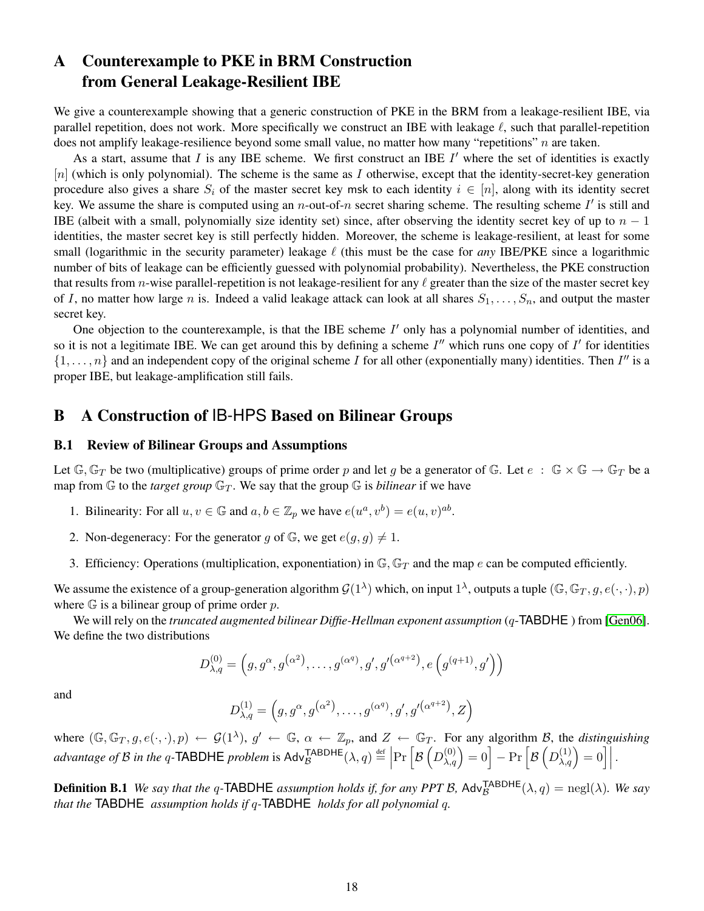# <span id="page-17-0"></span>A Counterexample to PKE in BRM Construction from General Leakage-Resilient IBE

We give a counterexample showing that a generic construction of PKE in the BRM from a leakage-resilient IBE, via parallel repetition, does not work. More specifically we construct an IBE with leakage  $\ell$ , such that parallel-repetition does not amplify leakage-resilience beyond some small value, no matter how many "repetitions"  $n$  are taken.

As a start, assume that  $I$  is any IBE scheme. We first construct an IBE  $I'$  where the set of identities is exactly  $[n]$  (which is only polynomial). The scheme is the same as I otherwise, except that the identity-secret-key generation procedure also gives a share  $S_i$  of the master secret key msk to each identity  $i \in [n]$ , along with its identity secret key. We assume the share is computed using an *n*-out-of-*n* secret sharing scheme. The resulting scheme  $I'$  is still and IBE (albeit with a small, polynomially size identity set) since, after observing the identity secret key of up to  $n - 1$ identities, the master secret key is still perfectly hidden. Moreover, the scheme is leakage-resilient, at least for some small (logarithmic in the security parameter) leakage  $\ell$  (this must be the case for *any* IBE/PKE since a logarithmic number of bits of leakage can be efficiently guessed with polynomial probability). Nevertheless, the PKE construction that results from *n*-wise parallel-repetition is not leakage-resilient for any  $\ell$  greater than the size of the master secret key of I, no matter how large n is. Indeed a valid leakage attack can look at all shares  $S_1, \ldots, S_n$ , and output the master secret key.

One objection to the counterexample, is that the IBE scheme  $I'$  only has a polynomial number of identities, and so it is not a legitimate IBE. We can get around this by defining a scheme  $I''$  which runs one copy of  $I'$  for identities  $\{1,\ldots,n\}$  and an independent copy of the original scheme I for all other (exponentially many) identities. Then I'' is a proper IBE, but leakage-amplification still fails.

# <span id="page-17-1"></span>B A Construction of IB-HPS Based on Bilinear Groups

### B.1 Review of Bilinear Groups and Assumptions

Let  $\mathbb{G}, \mathbb{G}_T$  be two (multiplicative) groups of prime order p and let g be a generator of  $\mathbb{G}$ . Let  $e : \mathbb{G} \times \mathbb{G} \to \mathbb{G}_T$  be a map from  $\mathbb{G}$  to the *target group*  $\mathbb{G}_T$ . We say that the group  $\mathbb{G}$  is *bilinear* if we have

- 1. Bilinearity: For all  $u, v \in \mathbb{G}$  and  $a, b \in \mathbb{Z}_p$  we have  $e(u^a, v^b) = e(u, v)^{ab}$ .
- 2. Non-degeneracy: For the generator g of  $\mathbb{G}$ , we get  $e(g, g) \neq 1$ .
- 3. Efficiency: Operations (multiplication, exponentiation) in  $\mathbb{G}, \mathbb{G}_T$  and the map e can be computed efficiently.

We assume the existence of a group-generation algorithm  $\mathcal{G}(1^{\lambda})$  which, on input  $1^{\lambda}$ , outputs a tuple  $(\mathbb{G}, \mathbb{G}_T, g, e(\cdot, \cdot), p)$ where  $G$  is a bilinear group of prime order  $p$ .

We will rely on the *truncated augmented bilinear Diffie-Hellman exponent assumption* (q-TABDHE ) from [\[Gen06\]](#page-15-10). We define the two distributions

$$
D_{\lambda,q}^{(0)} = (g, g^{\alpha}, g^{(\alpha^2)}, \dots, g^{(\alpha^q)}, g', g'^{(\alpha^{q+2})}, e(g^{(q+1)}, g'))
$$

and

$$
D_{\lambda,q}^{(1)} = (g, g^{\alpha}, g^{(\alpha^2)}, \dots, g^{(\alpha^q)}, g', g'^{(\alpha^{q+2})}, Z)
$$

where  $(\mathbb{G}, \mathbb{G}_T, g, e(\cdot, \cdot), p) \leftarrow \mathcal{G}(1^{\lambda}), g' \leftarrow \mathbb{G}, \alpha \leftarrow \mathbb{Z}_p$ , and  $Z \leftarrow \mathbb{G}_T$ . For any algorithm B, the *distinguishing advantage of B in the q*-TABDHE *problem* is  $\mathsf{Adv}_{\mathcal{B}}^{\mathsf{TABDHE}}(\lambda, q) \stackrel{\text{def}}{=} \Big|$  $\Pr\left[\mathcal{B}\left(D_{\lambda,q}^{(0)}\right)=0\right]-\Pr\left[\mathcal{B}\left(D_{\lambda,q}^{(1)}\right)=0\right]\right|.$ 

**Definition B.1** We say that the q-TABDHE assumption holds if, for any PPT B, Adv $_B^{\text{TABDHE}}(\lambda, q) = \text{negl}(\lambda)$ . We say *that the* TABDHE *assumption holds if* q*-*TABDHE *holds for all polynomial* q*.*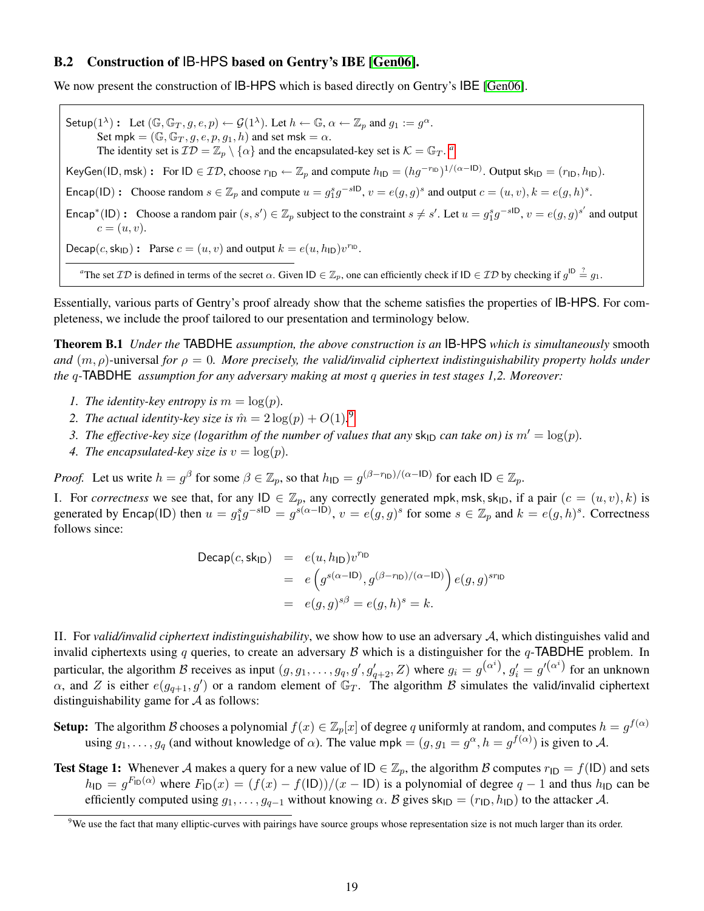### B.2 Construction of IB-HPS based on Gentry's IBE [\[Gen06\]](#page-15-10).

We now present the construction of IB-HPS which is based directly on Gentry's IBE [\[Gen06\]](#page-15-10).

Setup $(1^{\lambda})$ : Let  $(\mathbb{G}, \mathbb{G}_T, g, e, p) \leftarrow \mathcal{G}(1^{\lambda})$ . Let  $h \leftarrow \mathbb{G}, \alpha \leftarrow \mathbb{Z}_p$  and  $g_1 := g^{\alpha}$ . Set mpk =  $(\mathbb{G}, \mathbb{G}_T, g, e, p, g_1, h)$  and set msk =  $\alpha$ . The identity set is  $\mathcal{ID} = \mathbb{Z}_p \setminus \{\alpha\}$  $\mathcal{ID} = \mathbb{Z}_p \setminus \{\alpha\}$  $\mathcal{ID} = \mathbb{Z}_p \setminus \{\alpha\}$  and the encapsulated-key set is  $\mathcal{K} = \mathbb{G}_T$ . KeyGen(ID, msk): For ID  $\in \mathcal{ID}$ , choose  $r_{\text{ID}} \leftarrow \mathbb{Z}_p$  and compute  $h_{\text{ID}} = (hg^{-r_{\text{ID}}})^{1/(\alpha - \text{ID})}$ . Output sk<sub>ID</sub> =  $(r_{\text{ID}}, h_{\text{ID}})$ . Encap(ID): Choose random  $s \in \mathbb{Z}_p$  and compute  $u = g_1^s g^{-s}$ ,  $v = e(g, g)^s$  and output  $c = (u, v), k = e(g, h)^s$ . Encap<sup>\*</sup>(ID): Choose a random pair  $(s, s') \in \mathbb{Z}_p$  subject to the constraint  $s \neq s'$ . Let  $u = g_1^s g^{-s}$ ,  $v = e(g, g)^{s'}$  and output  $c=(u,v).$ Decap $(c, sk_{ID})$ : Parse  $c = (u, v)$  and output  $k = e(u, h_{ID})v^{r_{ID}}$ . *a*The set  $ID$  is defined in terms of the secret  $\alpha$ . Given ID  $\in \mathbb{Z}_p$ , one can efficiently check if ID  $\in \mathcal{ID}$  by checking if  $g^{\text{ID}} \stackrel{?}{=} g_1$ .

<span id="page-18-0"></span>Essentially, various parts of Gentry's proof already show that the scheme satisfies the properties of IB-HPS. For completeness, we include the proof tailored to our presentation and terminology below.

Theorem B.1 *Under the* TABDHE *assumption, the above construction is an* IB-HPS *which is simultaneously* smooth *and*  $(m, \rho)$ -universal *for*  $\rho = 0$ *. More precisely, the valid/invalid ciphertext indistinguishability property holds under the* q*-*TABDHE *assumption for any adversary making at most* q *queries in test stages 1,2. Moreover:*

- *1. The identity-key entropy is*  $m = \log(p)$ *.*
- 2. The actual identity-key size is  $\hat{m} = 2 \log(p) + O(1)$ .<sup>[9](#page-18-1)</sup>
- *3. The effective-key size (logarithm of the number of values that any*  $\mathsf{sk}_{\mathsf{ID}}$  *can take on)* is  $m' = \log(p)$ .
- 4. The encapsulated-key size is  $v = \log(p)$ .

*Proof.* Let us write  $h = g^{\beta}$  for some  $\beta \in \mathbb{Z}_p$ , so that  $h_{\mathsf{ID}} = g^{(\beta - r_{\mathsf{ID}})/(\alpha - \mathsf{ID})}$  for each  $\mathsf{ID} \in \mathbb{Z}_p$ .

I. For *correctness* we see that, for any  $ID \in \mathbb{Z}_p$ , any correctly generated mpk, msk, sk<sub>ID</sub>, if a pair  $(c = (u, v), k)$  is generated by Encap(ID) then  $u = g_1^s g^{-s}$   $\Box = g^{s(\alpha - 1D)}$ ,  $v = e(g, g)^s$  for some  $s \in \mathbb{Z}_p$  and  $k = e(g, h)^s$ . Correctness follows since:

$$
\begin{array}{rcl}\n\text{Decap}(c, \text{sk}_{\text{ID}}) & = & e(u, h_{\text{ID}})v^{r_{\text{ID}}} \\
& = & e\left(g^{s(\alpha - \text{ID})}, g^{(\beta - r_{\text{ID}})/(\alpha - \text{ID})}\right)e(g, g)^{sr_{\text{ID}}} \\
& = & e(g, g)^{s\beta} = e(g, h)^s = k.\n\end{array}
$$

II. For *valid/invalid ciphertext indistinguishability*, we show how to use an adversary A, which distinguishes valid and invalid ciphertexts using q queries, to create an adversary  $\beta$  which is a distinguisher for the q-TABDHE problem. In particular, the algorithm B receives as input  $(g, g_1, \ldots, g_q, g', g'_{q+2}, Z)$  where  $g_i = g^{(\alpha^i)}$ ,  $g'_i = g'^{(\alpha^i)}$  for an unknown  $\alpha$ , and Z is either  $e(g_{q+1}, g')$  or a random element of  $\mathbb{G}_T$ . The algorithm B simulates the valid/invalid ciphertext distinguishability game for  $A$  as follows:

- **Setup:** The algorithm B chooses a polynomial  $f(x) \in \mathbb{Z}_p[x]$  of degree q uniformly at random, and computes  $h = g^{f(\alpha)}$ using  $g_1, \ldots, g_q$  (and without knowledge of  $\alpha$ ). The value mpk  $=(g, g_1 = g^{\alpha}, h = g^{f(\alpha)})$  is given to A.
- Test Stage 1: Whenever A makes a query for a new value of  $ID \in \mathbb{Z}_p$ , the algorithm B computes  $r_{ID} = f(ID)$  and sets  $h_{\text{ID}} = g^{F_{\text{ID}}(\alpha)}$  where  $F_{\text{ID}}(x) = (f(x) - f(\text{ID}))/(x - \text{ID})$  is a polynomial of degree  $q - 1$  and thus  $h_{\text{ID}}$  can be efficiently computed using  $g_1, \ldots, g_{q-1}$  without knowing  $\alpha$ . B gives sk<sub>ID</sub> = ( $r_{\text{ID}}, h_{\text{ID}}$ ) to the attacker A.

<span id="page-18-1"></span><sup>&</sup>lt;sup>9</sup>We use the fact that many elliptic-curves with pairings have source groups whose representation size is not much larger than its order.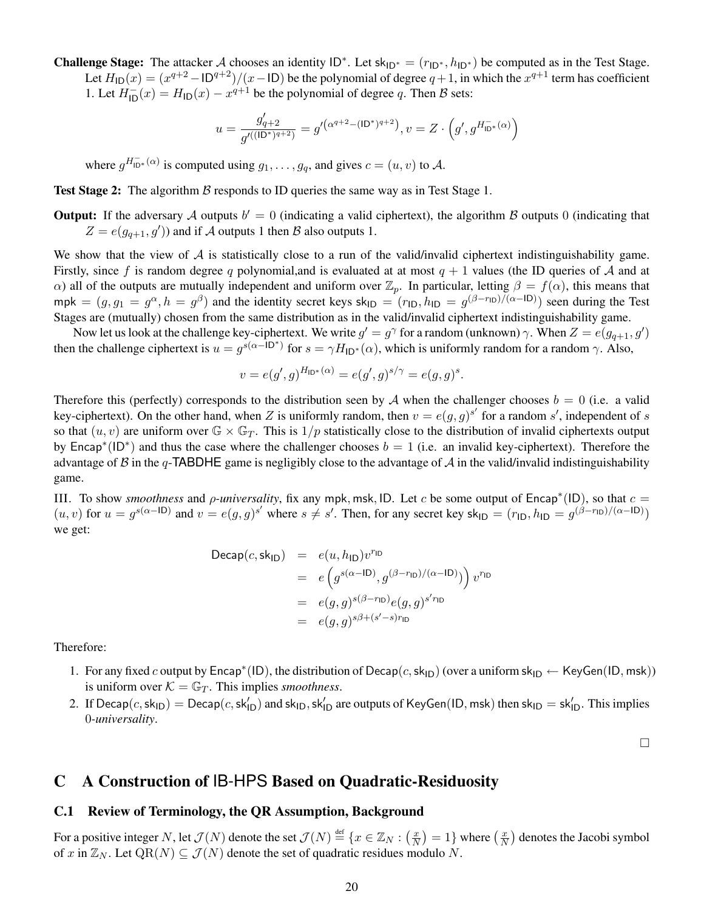**Challenge Stage:** The attacker A chooses an identity ID<sup>\*</sup>. Let  $sk_{ID^*} = (r_{ID^*}, h_{ID^*})$  be computed as in the Test Stage. Let  $H_{\text{ID}}(x) = (x^{q+2} - \text{ID}^{q+2})/(x - \text{ID})$  be the polynomial of degree  $q+1$ , in which the  $x^{q+1}$  term has coefficient 1. Let  $H_{\text{ID}}^-(x) = H_{\text{ID}}(x) - x^{q+1}$  be the polynomial of degree q. Then B sets:

$$
u = \frac{g_{q+2}'}{g''((\text{ID}^*)^{q+2})} = g'^{(\alpha^{q+2} - (\text{ID}^*)^{q+2})}, v = Z \cdot \left(g', g^{H_{\text{ID}^*}^{-}(\alpha)}\right)
$$

where  $g^{H^{-}_{\text{ID}*}}(\alpha)$  is computed using  $g_1, \ldots, g_q$ , and gives  $c = (u, v)$  to A.

**Test Stage 2:** The algorithm  $\beta$  responds to ID queries the same way as in Test Stage 1.

**Output:** If the adversary A outputs  $b' = 0$  (indicating a valid ciphertext), the algorithm B outputs 0 (indicating that  $Z = e(g_{q+1}, g')$  and if A outputs 1 then B also outputs 1.

We show that the view of  $A$  is statistically close to a run of the valid/invalid ciphertext indistinguishability game. Firstly, since f is random degree q polynomial, and is evaluated at at most  $q + 1$  values (the ID queries of A and at α) all of the outputs are mutually independent and uniform over  $\mathbb{Z}_p$ . In particular, letting  $\beta = f(\alpha)$ , this means that mpk =  $(g, g_1 = g^\alpha, h = g^\beta)$  and the identity secret keys sk<sub>ID</sub> =  $(r_{\text{ID}}, h_{\text{ID}} = g^{(\beta - r_{\text{ID}})/(\alpha - \text{ID})})$  seen during the Test Stages are (mutually) chosen from the same distribution as in the valid/invalid ciphertext indistinguishability game.

Now let us look at the challenge key-ciphertext. We write  $g' = g^{\gamma}$  for a random (unknown)  $\gamma$ . When  $Z = e(g_{q+1}, g')$ then the challenge ciphertext is  $u = g^{s(\alpha - \bar{\mathsf{ID}}^*)}$  for  $s = \gamma H_{\mathsf{ID}^*}(\alpha)$ , which is uniformly random for a random  $\gamma$ . Also,

$$
v = e(g', g)^{H_{\text{ID}^*}(\alpha)} = e(g', g)^{s/\gamma} = e(g, g)^s.
$$

Therefore this (perfectly) corresponds to the distribution seen by A when the challenger chooses  $b = 0$  (i.e. a valid key-ciphertext). On the other hand, when Z is uniformly random, then  $v = e(g, g)^{s'}$  for a random s', independent of s so that  $(u, v)$  are uniform over  $\mathbb{G} \times \mathbb{G}_T$ . This is  $1/p$  statistically close to the distribution of invalid ciphertexts output by Encap<sup>\*</sup>(ID<sup>\*</sup>) and thus the case where the challenger chooses  $b = 1$  (i.e. an invalid key-ciphertext). Therefore the advantage of  $\beta$  in the q-TABDHE game is negligibly close to the advantage of  $\lambda$  in the valid/invalid indistinguishability game.

III. To show *smoothness* and  $\rho$ -*universality*, fix any mpk, msk, ID. Let c be some output of Encap<sup>\*</sup>(ID), so that  $c =$  $(u, v)$  for  $u = g^{s(\alpha - \mathsf{ID})}$  and  $v = e(g, g)^{s'}$  where  $s \neq s'$ . Then, for any secret key sk<sub>ID</sub> =  $(r_{\mathsf{ID}}, h_{\mathsf{ID}} = g^{(\beta - r_{\mathsf{ID}})/(\alpha - \mathsf{ID})})$ we get:

$$
\begin{array}{rcl}\n\text{Decap}(c, \text{sk}_{\text{ID}}) & = & e(u, h_{\text{ID}})v^{r_{\text{ID}}} \\
& = & e\left(g^{s(\alpha - \text{ID})}, g^{(\beta - r_{\text{ID}})/(\alpha - \text{ID})}\right)v^{r_{\text{ID}}} \\
& = & e(g, g)^{s(\beta - r_{\text{ID}})}e(g, g)^{s'r_{\text{ID}}} \\
& = & e(g, g)^{s\beta + (s'-s)r_{\text{ID}}}\n\end{array}
$$

Therefore:

- 1. For any fixed c output by Encap<sup>\*</sup>(ID), the distribution of Decap(c, sk<sub>ID</sub>) (over a uniform sk<sub>ID</sub> ← KeyGen(ID, msk)) is uniform over  $K = \mathbb{G}_T$ . This implies *smoothness*.
- 2. If  $\mathsf{Decap}(c,\mathsf{sk}_{\mathsf{ID}})=\mathsf{Decap}(c,\mathsf{sk}_{\mathsf{ID}}')$  and  $\mathsf{sk}_{\mathsf{ID}},\mathsf{sk}_{\mathsf{ID}}'$  are outputs of  $\mathsf{KeyGen}(\mathsf{ID},\mathsf{msk})$  then  $\mathsf{sk}_{\mathsf{ID}}=\mathsf{sk}_{\mathsf{ID}}'$ . This implies 0*-universality*.

 $\Box$ 

# <span id="page-19-0"></span>C A Construction of IB-HPS Based on Quadratic-Residuosity

### C.1 Review of Terminology, the QR Assumption, Background

For a positive integer N, let  $\mathcal{J}(N)$  denote the set  $\mathcal{J}(N) \stackrel{\text{def}}{=} \{x \in \mathbb{Z}_N : (\frac{x}{N})^N\}$  $\left(\frac{x}{N}\right) = 1$ } where  $\left(\frac{x}{N}\right)$  $\frac{x}{N}$ ) denotes the Jacobi symbol of x in  $\mathbb{Z}_N$ . Let  $\mathrm{QR}(N) \subseteq \mathcal{J}(N)$  denote the set of quadratic residues modulo N.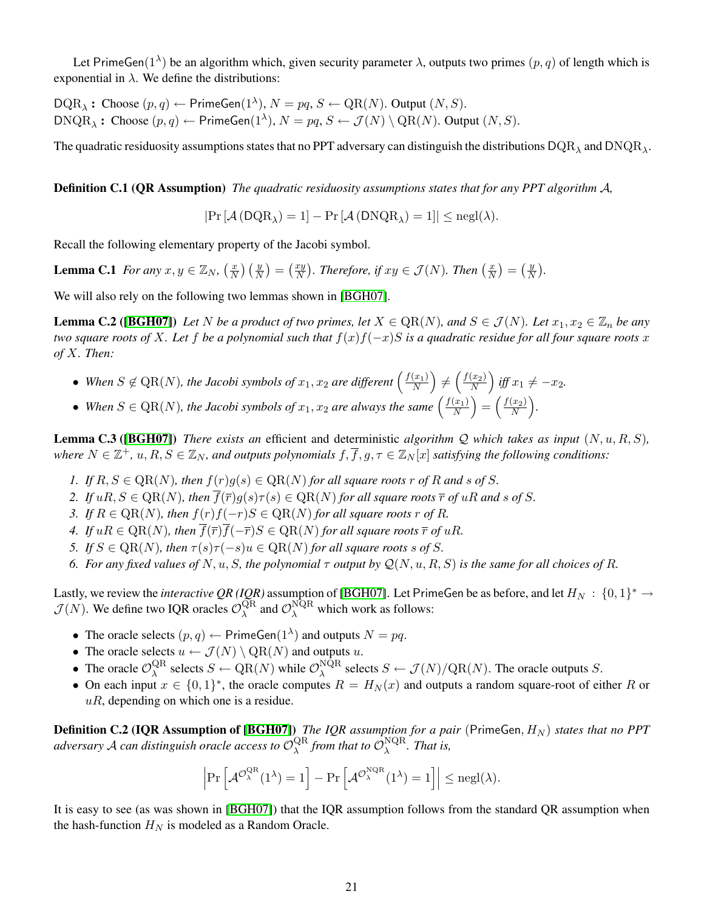Let PrimeGen(1<sup> $\lambda$ </sup>) be an algorithm which, given security parameter  $\lambda$ , outputs two primes  $(p, q)$  of length which is exponential in  $\lambda$ . We define the distributions:

 $\text{DQR}_\lambda$ : Choose  $(p, q) \leftarrow \text{PrimeGen}(1^\lambda), N = pq, S \leftarrow \text{QR}(N)$ . Output  $(N, S)$ .  $\text{DNQR}_\lambda$ : Choose  $(p, q) \leftarrow \text{PrimeGen}(1^\lambda), N = pq, S \leftarrow \mathcal{J}(N) \setminus \text{QR}(N)$ . Output  $(N, S)$ .

<span id="page-20-1"></span>The quadratic residuosity assumptions states that no PPT adversary can distinguish the distributions  $\rm{DQR}_\lambda$  and  $\rm{DNQR}_\lambda$ .

Definition C.1 (QR Assumption) *The quadratic residuosity assumptions states that for any PPT algorithm* A*,*

<span id="page-20-3"></span><span id="page-20-2"></span>
$$
|\mathrm{Pr}\left[\mathcal{A}\left(\mathrm{DQR}_{\lambda}\right)=1\right]-\mathrm{Pr}\left[\mathcal{A}\left(\mathrm{D NQR}_{\lambda}\right)=1\right]| \le \mathrm{negl}(\lambda).
$$

Recall the following elementary property of the Jacobi symbol.

**Lemma C.1** *For any*  $x, y \in \mathbb{Z}_N$ ,  $\left(\frac{x}{N}\right)$  $\left(\frac{x}{N}\right)\left(\frac{y}{N}\right)=\left(\frac{xy}{N}\right)$  $\frac{xy}{N}$ ). Therefore, if  $xy \in \mathcal{J}(N)$ . Then  $\left(\frac{x}{N}\right)$  $\left(\frac{x}{N}\right) = \left(\frac{y}{N}\right)$  $\frac{y}{N}$ .

We will also rely on the following two lemmas shown in [\[BGH07\]](#page-15-11).

**Lemma C.2** ([\[BGH07\]](#page-15-11)) Let N be a product of two primes, let  $X \in QR(N)$ , and  $S \in \mathcal{J}(N)$ . Let  $x_1, x_2 \in \mathbb{Z}_n$  be any *two square roots of* X*. Let* f *be a polynomial such that* f(x)f(−x)S *is a quadratic residue for all four square roots* x *of* X*. Then:*

- When  $S \notin \mathrm{QR}(N)$ , the Jacobi symbols of  $x_1, x_2$  are different  $\left(\frac{f(x_1)}{N}\right)$  $\left(\frac{x_1}{N}\right) \neq \left(\frac{f(x_2)}{N}\right)$  $\left(\frac{x_2}{N}\right)$  *iff*  $x_1 \neq -x_2$ .
- When  $S \in \text{QR}(N)$ , the Jacobi symbols of  $x_1, x_2$  are always the same  $\left(\frac{f(x_1)}{N}\right)$  $\left(\frac{x_1}{N}\right) = \left(\frac{f(x_2)}{N}\right)$  $\frac{(x_2)}{N}$ .

<span id="page-20-0"></span>**Lemma C.3** ([\[BGH07\]](#page-15-11)) *There exists an* efficient and deterministic *algorithm* Q which takes as input  $(N, u, R, S)$ , where  $N \in \mathbb{Z}^+$ ,  $u, R, S \in \mathbb{Z}_N$ , and outputs polynomials  $f, \overline{f}, g, \tau \in \mathbb{Z}_N[x]$  satisfying the following conditions:

- *1.* If  $R, S \in QR(N)$ , then  $f(r)g(s) \in QR(N)$  for all square roots r of R and s of S.
- 2. If  $uR, S \in QR(N)$ , then  $\overline{f}(\overline{r})g(s)\tau(s) \in QR(N)$  for all square roots  $\overline{r}$  of  $uR$  and  $s$  of  $S$ .
- *3. If*  $R ∈ QR(N)$ *, then*  $f(r)f(-r)S ∈ QR(N)$  *for all square roots*  $r$  *of*  $R$ *.*
- *4.* If  $uR \in QR(N)$ , then  $\overline{f}(\overline{r})\overline{f}(-\overline{r})S \in QR(N)$  for all square roots  $\overline{r}$  of  $uR$ .
- *5. If*  $S \in QR(N)$ *, then*  $\tau(s)\tau(-s)u \in QR(N)$  *for all square roots s of* S.
- *6. For any fixed values of* N, u, S, the polynomial  $\tau$  output by  $\mathcal{Q}(N, u, R, S)$  is the same for all choices of R.

Lastly, we review the *interactive QR (IQR)* assumption of [\[BGH07\]](#page-15-11). Let PrimeGen be as before, and let  $H_N: \{0,1\}^* \to$  $\mathcal{J}(N)$ . We define two IQR oracles  $\mathcal{O}_\lambda^{\text{QR}}$  $\chi^{\text{QR}}$  and  $\mathcal{O}_{\lambda}^{\text{NQR}}$  which work as follows:

- The oracle selects  $(p, q) \leftarrow$  PrimeGen $(1^{\lambda})$  and outputs  $N = pq$ .
- The oracle selects  $u \leftarrow \mathcal{J}(N) \setminus \text{QR}(N)$  and outputs u.
- The oracle  $\mathcal{O}_{\lambda}^{\mathrm{QR}}$  $_{\lambda}^{\text{QR}}$  selects  $S \leftarrow \text{QR}(N)$  while  $\mathcal{O}_{\lambda}^{\text{NQR}}$  $\mathcal{S}_{\lambda}$ <sup>NQR</sup> selects  $S \leftarrow \mathcal{J}(N)/\text{QR}(N)$ . The oracle outputs S.
- On each input  $x \in \{0,1\}^*$ , the oracle computes  $R = H_N(x)$  and outputs a random square-root of either R or  $uR$ , depending on which one is a residue.

**Definition C.2 (IQR Assumption of [\[BGH07\]](#page-15-11))** *The IQR assumption for a pair* (PrimeGen,  $H_N$ ) *states that no PPT* adversary A can distinguish oracle access to  $\mathcal{O}^{\mathrm{QR}}_\lambda$  $_{\lambda}^{\mathrm{QR}}$  from that to  $\mathcal{O}_{\lambda}^{\mathrm{NQR}}$  $\lambda^{\text{NQR}}$ . *That is,* 

$$
\left|\Pr\left[\mathcal{A}^{\mathcal{O}^{\rm QR}_\lambda}(1^\lambda)=1\right]-\Pr\left[\mathcal{A}^{\mathcal{O}^{\rm NQR}_\lambda}(1^\lambda)=1\right]\right|\le {\rm negl}(\lambda).
$$

It is easy to see (as was shown in [\[BGH07\]](#page-15-11)) that the IQR assumption follows from the standard QR assumption when the hash-function  $H_N$  is modeled as a Random Oracle.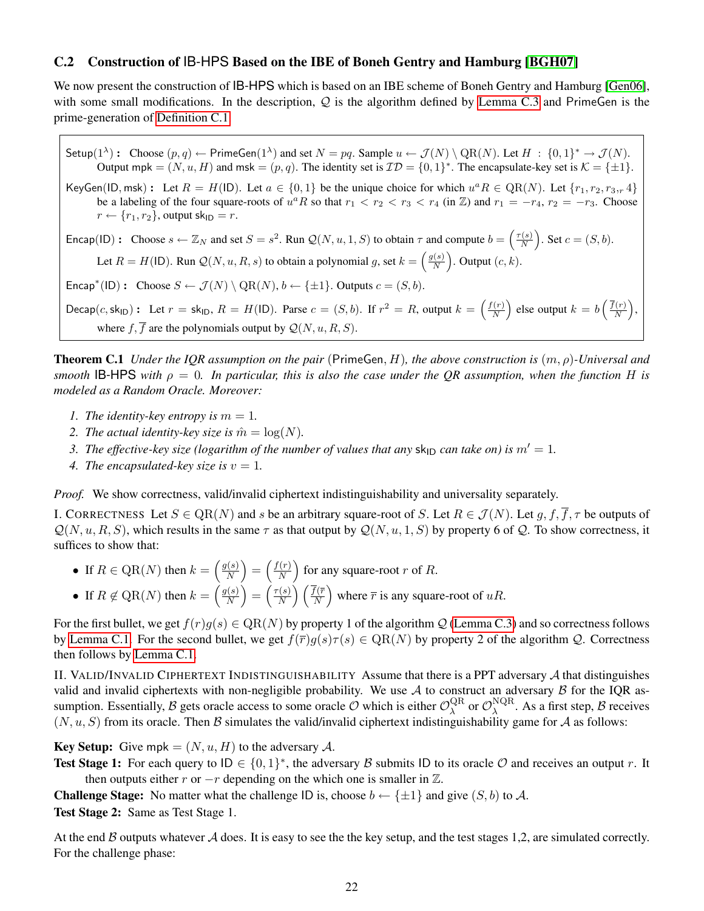## C.2 Construction of IB-HPS Based on the IBE of Boneh Gentry and Hamburg [\[BGH07\]](#page-15-11)

We now present the construction of IB-HPS which is based on an IBE scheme of Boneh Gentry and Hamburg [\[Gen06\]](#page-15-10), with some small modifications. In the description,  $Q$  is the algorithm defined by [Lemma C.3](#page-20-0) and PrimeGen is the prime-generation of [Definition C.1.](#page-20-1)

Setup $(1^{\lambda})$ : Choose  $(p, q) \leftarrow$  PrimeGen $(1^{\lambda})$  and set  $N = pq$ . Sample  $u \leftarrow \mathcal{J}(N) \setminus QR(N)$ . Let  $H : \{0, 1\}^* \rightarrow \mathcal{J}(N)$ . Output mpk =  $(N, u, H)$  and msk =  $(p, q)$ . The identity set is  $\mathcal{ID} = \{0, 1\}^*$ . The encapsulate-key set is  $\mathcal{K} = \{\pm 1\}$ . KeyGen(ID, msk): Let  $R = H(\mathsf{ID})$ . Let  $a \in \{0,1\}$  be the unique choice for which  $u^a R \in QR(N)$ . Let  $\{r_1, r_2, r_3, r_4\}$ be a labeling of the four square-roots of  $u^a R$  so that  $r_1 < r_2 < r_3 < r_4$  (in  $\mathbb{Z}$ ) and  $r_1 = -r_4$ ,  $r_2 = -r_3$ . Choose  $r \leftarrow \{r_1, r_2\}$ , output sk<sub>ID</sub> = *r*. Encap(ID): Choose  $s \leftarrow \mathbb{Z}_N$  and set  $S = s^2$ . Run  $\mathcal{Q}(N, u, 1, S)$  to obtain  $\tau$  and compute  $b = \left(\frac{\tau(s)}{N}\right)$  $\left(\frac{s}{N}\right)$ . Set  $c = (S, b)$ . Let  $R = H(\mathsf{ID})$ . Run  $\mathcal{Q}(N, u, R, s)$  to obtain a polynomial g, set  $k = \left(\frac{g(s)}{N}\right)$  $\frac{N(s)}{N}$ . Output  $(c, k)$ . Encap<sup>\*</sup>(ID): Choose  $S \leftarrow \mathcal{J}(N) \setminus \text{QR}(N), b \leftarrow \{\pm 1\}$ . Outputs  $c = (S, b)$ . Decap $(c, sk_{\text{ID}}):$  Let  $r = sk_{\text{ID}}, R = H(\text{ID})$ . Parse  $c = (S, b)$ . If  $r^2 = R$ , output  $k = \left(\frac{f(r)}{N}\right)$  $\left(\frac{f(r)}{N}\right)$  else output  $k = b \left(\frac{\overline{f}(r)}{N}\right)$  $\frac{r(r)}{N}$ , where  $f, \overline{f}$  are the polynomials output by  $Q(N, u, R, S)$ .

Theorem C.1 *Under the IQR assumption on the pair* (PrimeGen, H)*, the above construction is* (m, ρ)*-Universal and smooth* IB-HPS with  $\rho = 0$ . In particular, this is also the case under the OR assumption, when the function H is *modeled as a Random Oracle. Moreover:*

- *1. The identity-key entropy is*  $m = 1$ .
- 2. The actual identity-key size is  $\hat{m} = \log(N)$ .
- *3. The effective-key size (logarithm of the number of values that any*  $\mathsf{sk}_{\mathsf{ID}}$  *can take on)* is  $m' = 1$ .
- 4. The encapsulated-key size is  $v = 1$ .

*Proof.* We show correctness, valid/invalid ciphertext indistinguishability and universality separately.

I. CORRECTNESS Let  $S \in QR(N)$  and s be an arbitrary square-root of S. Let  $R \in \mathcal{J}(N)$ . Let  $g, f, \overline{f}, \tau$  be outputs of  $\mathcal{Q}(N, u, R, S)$ , which results in the same  $\tau$  as that output by  $\mathcal{Q}(N, u, 1, S)$  by property 6 of  $\mathcal{Q}$ . To show correctness, it suffices to show that:

- If  $R \in \mathbb{Q}(\mathbb{R}^N)$  then  $k = \left(\frac{g(s)}{N}\right)$  $\left(\frac{f(s)}{N}\right) = \left(\frac{f(r)}{N}\right)$  $\sqrt{\frac{r(r)}{N}}$  for any square-root r of R.
- If  $R \notin \text{QR}(N)$  then  $k = \left(\frac{g(s)}{N}\right)$  $\left(\frac{r(s)}{N}\right) = \left(\frac{\tau(s)}{N}\right)$  $\left(\frac{f(s)}{N}\right)\left(\frac{\overline{f}(\overline{r})}{N}\right)$  where  $\overline{r}$  is any square-root of  $uR$ .

For the first bullet, we get  $f(r)g(s) \in QR(N)$  by property 1 of the algorithm Q [\(Lemma C.3\)](#page-20-0) and so correctness follows by [Lemma C.1.](#page-20-2) For the second bullet, we get  $f(\overline{r})g(s)\tau(s) \in QR(N)$  by property 2 of the algorithm Q. Correctness then follows by [Lemma C.1.](#page-20-2)

II. VALID/INVALID CIPHERTEXT INDISTINGUISHABILITY Assume that there is a PPT adversary A that distinguishes valid and invalid ciphertexts with non-negligible probability. We use  $A$  to construct an adversary  $B$  for the IQR assumption. Essentially, B gets oracle access to some oracle  $\mathcal{O}$  which is either  $\mathcal{O}_\lambda^{\text{QR}}$  $^{\rm QR}_{\lambda}$  or  $\mathcal{O}^{\rm NQR}_\lambda$  $\lambda^{\text{NQR}}$ . As a first step, B receives  $(N, u, S)$  from its oracle. Then B simulates the valid/invalid ciphertext indistinguishability game for A as follows:

**Key Setup:** Give mpk =  $(N, u, H)$  to the adversary A.

**Test Stage 1:** For each query to  $ID \in \{0, 1\}^*$ , the adversary B submits ID to its oracle O and receives an output r. It then outputs either r or  $-r$  depending on the which one is smaller in  $\mathbb{Z}$ .

**Challenge Stage:** No matter what the challenge ID is, choose  $b \leftarrow {\pm 1}$  and give  $(S, b)$  to A. Test Stage 2: Same as Test Stage 1.

At the end B outputs whatever A does. It is easy to see the the key setup, and the test stages 1,2, are simulated correctly. For the challenge phase: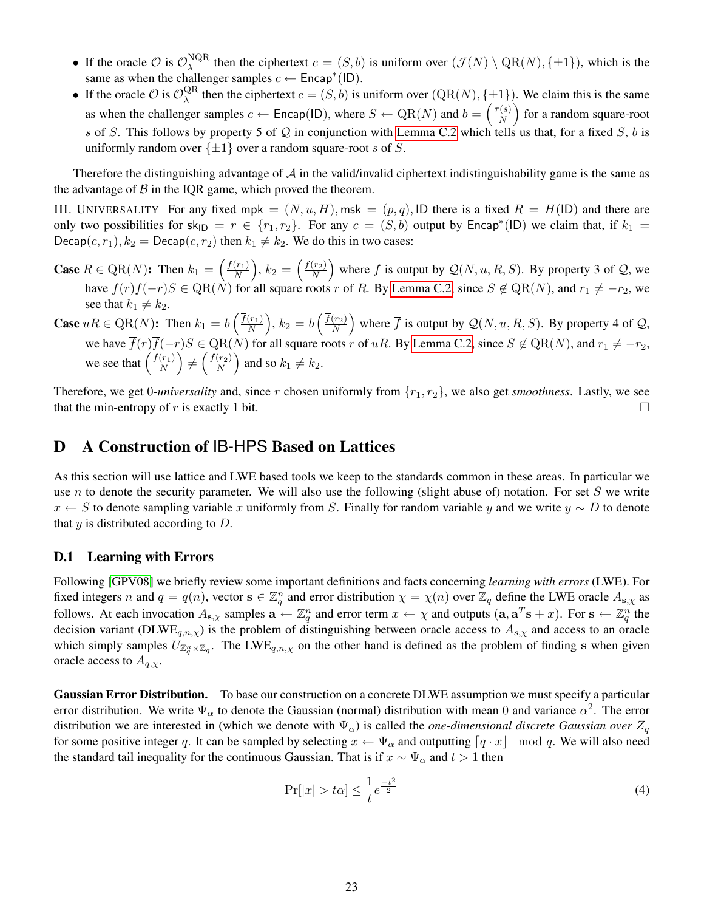- If the oracle  $\mathcal{O}$  is  $\mathcal{O}_{\lambda}^{\text{NQR}}$ NQR then the ciphertext  $c = (S, b)$  is uniform over  $(\mathcal{J}(N) \setminus \text{QR}(N), \{\pm 1\})$ , which is the same as when the challenger samples  $c \leftarrow$  Encap<sup>\*</sup>(ID).
- If the oracle  $\mathcal{O}$  is  $\mathcal{O}_{\lambda}^{\text{QR}}$  $\mathcal{L}_{\lambda}^{\text{QK}}$  then the ciphertext  $c = (S, b)$  is uniform over  $(QR(N), \{\pm 1\})$ . We claim this is the same as when the challenger samples  $c \leftarrow \mathsf{Encap}(\mathsf{ID})$ , where  $S \leftarrow \mathrm{QR}(N)$  and  $b = \left(\frac{\tau(s)}{N}\right)^{1-s}$  $\left(\frac{f(s)}{N}\right)$  for a random square-root s of S. This follows by property 5 of  $Q$  in conjunction with [Lemma C.2](#page-20-3) which tells us that, for a fixed  $S$ ,  $b$  is uniformly random over  $\{\pm 1\}$  over a random square-root s of S.

Therefore the distinguishing advantage of  $A$  in the valid/invalid ciphertext indistinguishability game is the same as the advantage of  $\beta$  in the IQR game, which proved the theorem.

III. UNIVERSALITY For any fixed mpk =  $(N, u, H)$ , msk =  $(p, q)$ , ID there is a fixed  $R = H(1D)$  and there are only two possibilities for  $sk_{ID} = r \in \{r_1, r_2\}$ . For any  $c = (S, b)$  output by Encap<sup>\*</sup>(ID) we claim that, if  $k_1 =$ Decap $(c, r_1), k_2 = \text{Decap}(c, r_2)$  then  $k_1 \neq k_2$ . We do this in two cases:

- **Case**  $R \in \text{QR}(N)$ : Then  $k_1 = \left(\frac{f(r_1)}{N}\right)$  $\left(\frac{\left(r_{1}\right)}{N}\right),\, k_{2}=\left(\frac{f\left(r_{2}\right)}{N}\right)$  $\left(\frac{(r_2)}{N}\right)$  where f is output by  $\mathcal{Q}(N, u, R, S)$ . By property 3 of  $\mathcal{Q}$ , we have  $f(r)f(-r)S \in QR(N)$  for all square roots r of R. By [Lemma C.2,](#page-20-3) since  $S \notin QR(N)$ , and  $r_1 \neq -r_2$ , we see that  $k_1 \neq k_2$ .
- **Case**  $uR \in QR(N)$ : Then  $k_1 = b \left( \frac{\overline{f}(r_1)}{N} \right)$  $\left(\frac{(r_1)}{N}\right),\, k_2=b\left(\frac{\overline{f}(r_2)}{N}\right)$  $\left(\frac{(r_2)}{N}\right)$  where  $\overline{f}$  is output by  $\mathcal{Q}(N, u, R, S)$ . By property 4 of  $\mathcal{Q},$ we have  $\overline{f(\overline{r})f(-\overline{r})}S \in QR(N)$  for all square roots  $\overline{r}$  of uR. By [Lemma C.2,](#page-20-3) since  $S \notin QR(N)$ , and  $r_1 \neq -r_2$ , we see that  $\left(\frac{\overline{f}(r_1)}{N}\right)$  $\left(\frac{(r_1)}{N}\right) \neq \left(\frac{\overline{f}(r_2)}{N}\right)$  $\binom{(r_2)}{N}$  and so  $k_1 \neq k_2$ .

Therefore, we get 0-*universality* and, since r chosen uniformly from {r1, r2}, we also get *smoothness*. Lastly, we see that the min-entropy of r is exactly 1 bit.

# <span id="page-22-0"></span>D A Construction of IB-HPS Based on Lattices

As this section will use lattice and LWE based tools we keep to the standards common in these areas. In particular we use n to denote the security parameter. We will also use the following (slight abuse of) notation. For set  $S$  we write  $x \leftarrow S$  to denote sampling variable x uniformly from S. Finally for random variable y and we write  $y \sim D$  to denote that  $y$  is distributed according to  $D$ .

### D.1 Learning with Errors

Following [\[GPV08\]](#page-15-12) we briefly review some important definitions and facts concerning *learning with errors* (LWE). For fixed integers n and  $q = q(n)$ , vector  $\mathbf{s} \in \mathbb{Z}_q^n$  and error distribution  $\chi = \chi(n)$  over  $\mathbb{Z}_q$  define the LWE oracle  $A_{\mathbf{s},\chi}$  as follows. At each invocation  $A_{s,x}$  samples  $\mathbf{a} \leftarrow \mathbb{Z}_q^n$  and error term  $x \leftarrow \chi$  and outputs  $(\mathbf{a}, \mathbf{a}^T\mathbf{s} + x)$ . For  $\mathbf{s} \leftarrow \mathbb{Z}_q^n$  the decision variant (DLWE<sub>q,n, $\chi$ </sub>) is the problem of distinguishing between oracle access to  $A_{s,\chi}$  and access to an oracle which simply samples  $U_{\mathbb{Z}_q^n\times\mathbb{Z}_q}$ . The LWE<sub>q,n, $\chi$ </sub> on the other hand is defined as the problem of finding s when given oracle access to  $A_{q,\chi}$ .

Gaussian Error Distribution. To base our construction on a concrete DLWE assumption we must specify a particular error distribution. We write  $\Psi_\alpha$  to denote the Gaussian (normal) distribution with mean 0 and variance  $\alpha^2$ . The error distribution we are interested in (which we denote with  $\overline{\Psi}_{\alpha}$ ) is called the *one-dimensional discrete Gaussian over*  $Z_q$ for some positive integer q. It can be sampled by selecting  $x \leftarrow \Psi_\alpha$  and outputting  $\left[q \cdot x\right]$  mod q. We will also need the standard tail inequality for the continuous Gaussian. That is if  $x \sim \Psi_{\alpha}$  and  $t > 1$  then

<span id="page-22-1"></span>
$$
\Pr[|x| > t\alpha] \le \frac{1}{t} e^{\frac{-t^2}{2}} \tag{4}
$$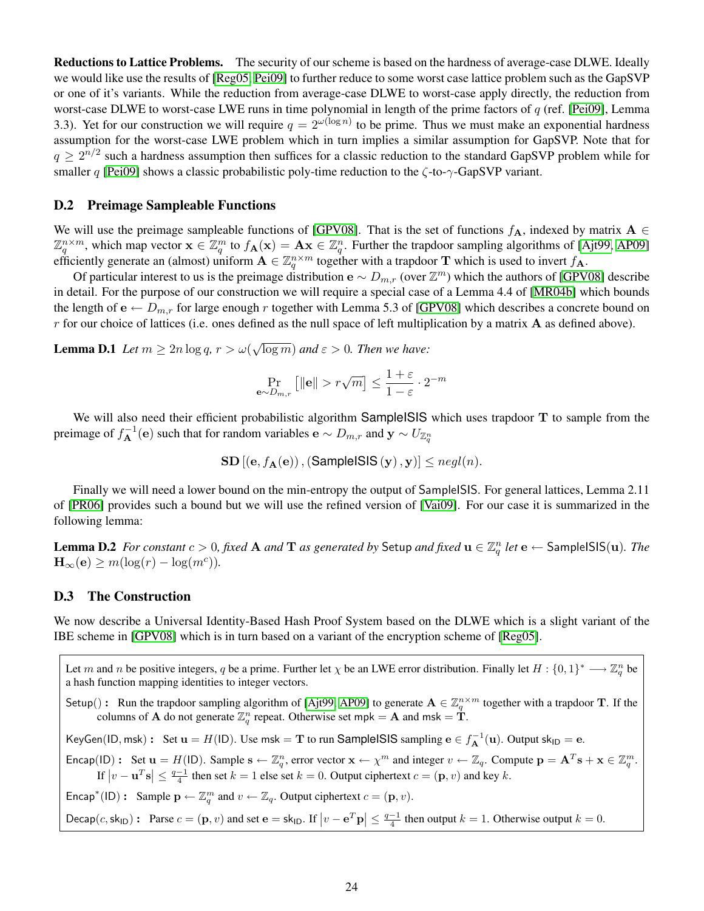Reductions to Lattice Problems. The security of our scheme is based on the hardness of average-case DLWE. Ideally we would like use the results of [\[Reg05,](#page-16-13) [Pei09\]](#page-16-14) to further reduce to some worst case lattice problem such as the GapSVP or one of it's variants. While the reduction from average-case DLWE to worst-case apply directly, the reduction from worst-case DLWE to worst-case LWE runs in time polynomial in length of the prime factors of  $q$  (ref. [\[Pei09\]](#page-16-14), Lemma 3.3). Yet for our construction we will require  $q = 2^{\omega(\log n)}$  to be prime. Thus we must make an exponential hardness assumption for the worst-case LWE problem which in turn implies a similar assumption for GapSVP. Note that for  $q \geq 2^{n/2}$  such a hardness assumption then suffices for a classic reduction to the standard GapSVP problem while for smaller q [\[Pei09\]](#page-16-14) shows a classic probabilistic poly-time reduction to the  $\zeta$ -to- $\gamma$ -GapSVP variant.

#### D.2 Preimage Sampleable Functions

We will use the preimage sampleable functions of [\[GPV08\]](#page-15-12). That is the set of functions  $f_A$ , indexed by matrix  $A \in$  $\mathbb{Z}_q^{n \times m}$ , which map vector  $\mathbf{x} \in \mathbb{Z}_q^m$  to  $f_{\mathbf{A}}(\mathbf{x}) = \mathbf{A}\mathbf{x} \in \mathbb{Z}_q^n$ . Further the trapdoor sampling algorithms of [\[Ajt99,](#page-14-7) [AP09\]](#page-14-8) efficiently generate an (almost) uniform  $A \in \mathbb{Z}_q^{n \times m}$  together with a trapdoor T which is used to invert  $f_A$ .

Of particular interest to us is the preimage distribution  $e \sim D_{m,r}$  (over  $\mathbb{Z}^m$ ) which the authors of [\[GPV08\]](#page-15-12) describe in detail. For the purpose of our construction we will require a special case of a Lemma 4.4 of [\[MR04b\]](#page-16-18) which bounds the length of  $\mathbf{e} \leftarrow D_{m,r}$  for large enough r together with Lemma 5.3 of [\[GPV08\]](#page-15-12) which describes a concrete bound on  $r$  for our choice of lattices (i.e. ones defined as the null space of left multiplication by a matrix  $\bf{A}$  as defined above).

**Lemma D.1** *Let*  $m \ge 2n \log q$ ,  $r > \omega$ √  $\overline{\log m}$ ) and  $\varepsilon > 0$ . Then we have:

<span id="page-23-0"></span>
$$
\Pr_{\mathbf{e}\sim D_{m,r}}\left[\|\mathbf{e}\| > r\sqrt{m}\right] \le \frac{1+\varepsilon}{1-\varepsilon} \cdot 2^{-m}
$$

We will also need their efficient probabilistic algorithm SampleISIS which uses trapdoor T to sample from the preimage of  $f_{\bf A}^{-1}({\bf e})$  such that for random variables  ${\bf e}\sim D_{m,r}$  and  ${\bf y}\sim U_{\mathbb{Z}_q^n}$ 

<span id="page-23-1"></span>
$$
\mathbf{SD}\left[(\mathbf{e}, f_{\mathbf{A}}(\mathbf{e}))\right], \left(\mathsf{SampleISIS}\left(\mathbf{y}\right), \mathbf{y}\right)\right] \leq \mathit{negl}(n).
$$

Finally we will need a lower bound on the min-entropy the output of SampleISIS. For general lattices, Lemma 2.11 of [\[PR06\]](#page-16-19) provides such a bound but we will use the refined version of [\[Vai09\]](#page-16-20). For our case it is summarized in the following lemma:

**Lemma D.2** For constant  $c > 0$ , fixed  $A$  and  $T$  as generated by Setup and fixed  $u \in \mathbb{Z}_q^n$  let  $e \leftarrow$  SampleISIS( $u$ ). The  $\mathbf{H}_{\infty}(\mathbf{e}) \geq m(\log(r) - \log(m^c)).$ 

#### D.3 The Construction

We now describe a Universal Identity-Based Hash Proof System based on the DLWE which is a slight variant of the IBE scheme in [\[GPV08\]](#page-15-12) which is in turn based on a variant of the encryption scheme of [\[Reg05\]](#page-16-13).

Let m and n be positive integers, q be a prime. Further let  $\chi$  be an LWE error distribution. Finally let  $H: \{0,1\}^* \longrightarrow \mathbb{Z}_q^n$  be a hash function mapping identities to integer vectors. Setup(): Run the trapdoor sampling algorithm of [\[Ajt99,](#page-14-7) [AP09\]](#page-14-8) to generate  $A \in \mathbb{Z}_q^{n \times m}$  together with a trapdoor T. If the columns of **A** do not generate  $\mathbb{Z}_q^n$  repeat. Otherwise set mpk = **A** and msk = **T**. KeyGen(ID, msk): Set  $\mathbf{u} = H(\mathsf{ID})$ . Use msk = T to run SampleISIS sampling  $\mathbf{e} \in f_{\mathbf{A}}^{-1}(\mathbf{u})$ . Output sk<sub>ID</sub> = e. Encap(ID): Set  $\mathbf{u} = H(\mathsf{ID})$ . Sample  $\mathbf{s} \leftarrow \mathbb{Z}_q^n$ , error vector  $\mathbf{x} \leftarrow \chi^m$  and integer  $v \leftarrow \mathbb{Z}_q$ . Compute  $\mathbf{p} = \mathbf{A}^T \mathbf{s} + \mathbf{x} \in \mathbb{Z}_q^m$ . If  $|v - \mathbf{u}^T \mathbf{s}| \leq \frac{q-1}{4}$  then set  $k = 1$  else set  $k = 0$ . Output ciphertext  $c = (\mathbf{p}, v)$  and key k. Encap<sup>\*</sup>(ID): Sample  $\mathbf{p} \leftarrow \mathbb{Z}_q^m$  and  $v \leftarrow \mathbb{Z}_q$ . Output ciphertext  $c = (\mathbf{p}, v)$ . Decap $(c, sk_{ID})$ : Parse  $c = (\mathbf{p}, v)$  and set  $\mathbf{e} = sk_{ID}$ . If  $|v - \mathbf{e}^T \mathbf{p}| \leq \frac{q-1}{4}$  then output  $k = 1$ . Otherwise output  $k = 0$ .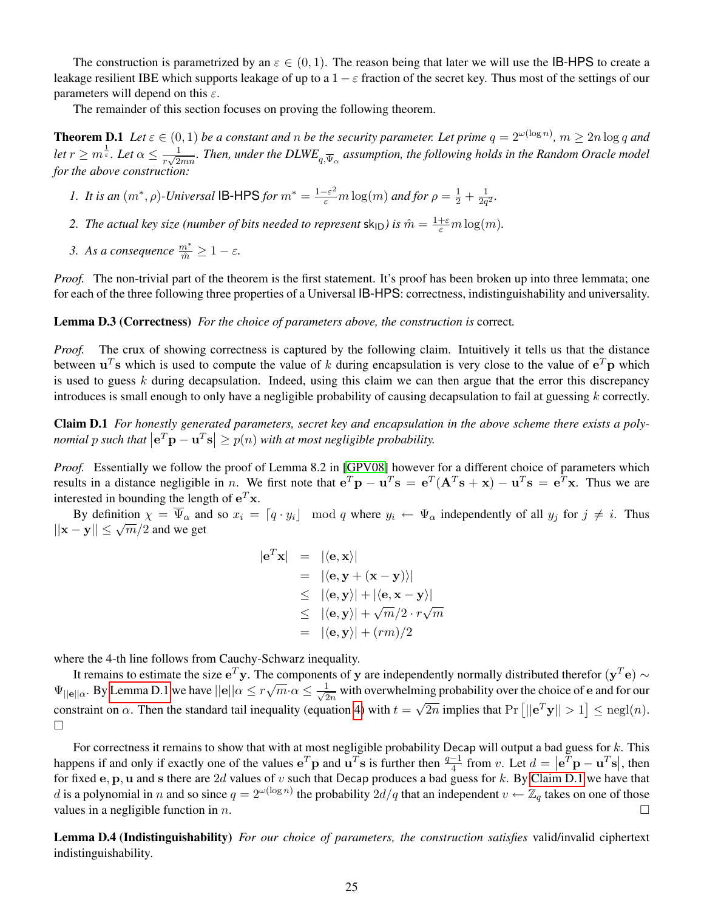The construction is parametrized by an  $\varepsilon \in (0,1)$ . The reason being that later we will use the IB-HPS to create a leakage resilient IBE which supports leakage of up to a  $1 - \varepsilon$  fraction of the secret key. Thus most of the settings of our parameters will depend on this  $\varepsilon$ .

The remainder of this section focuses on proving the following theorem.

<span id="page-24-1"></span>**Theorem D.1** Let  $\varepsilon \in (0,1)$  be a constant and n be the security parameter. Let prime  $q = 2^{\omega(\log n)}$ ,  $m \ge 2n \log q$  and *let*  $r \geq m^{\frac{1}{\varepsilon}}$ *. Let*  $\alpha \leq \frac{1}{\sqrt{2}}$  $\frac{1}{r\sqrt{2mn}}$ . Then, under the  $DLWE_{q,\overline{\Psi}_{\alpha}}$  assumption, the following holds in the Random Oracle model *for the above construction:*

*1. It is an*  $(m^*, \rho)$ -Universal IB-HPS for  $m^* = \frac{1-\varepsilon^2}{\varepsilon} m \log(m)$  and for  $\rho = \frac{1}{2} + \frac{1}{2q}$  $\frac{1}{2q^2}$ .

- 2. The actual key size (number of bits needed to represent  $\mathsf{sk}_{\mathsf{ID}}$ ) is  $\hat{m} = \frac{1+\varepsilon}{\varepsilon} m \log(m)$ .
- *3.* As a consequence  $\frac{m^*}{\hat{m}} \geq 1 \varepsilon$ .

*Proof.* The non-trivial part of the theorem is the first statement. It's proof has been broken up into three lemmata; one for each of the three following three properties of a Universal IB-HPS: correctness, indistinguishability and universality.

#### Lemma D.3 (Correctness) *For the choice of parameters above, the construction is* correct*.*

*Proof.* The crux of showing correctness is captured by the following claim. Intuitively it tells us that the distance between  $\mathbf{u}^T$ s which is used to compute the value of k during encapsulation is very close to the value of  $\mathbf{e}^T\mathbf{p}$  which is used to guess  $k$  during decapsulation. Indeed, using this claim we can then argue that the error this discrepancy introduces is small enough to only have a negligible probability of causing decapsulation to fail at guessing  $k$  correctly.

<span id="page-24-0"></span>Claim D.1 *For honestly generated parameters, secret key and encapsulation in the above scheme there exists a poly* $n$ *omial*  $p$  such that  $\left| e^T\mathbf{p} - \mathbf{u}^T\mathbf{s} \right| \geq p(n)$  with at most negligible probability.

*Proof.* Essentially we follow the proof of Lemma 8.2 in [\[GPV08\]](#page-15-12) however for a different choice of parameters which results in a distance negligible in *n*. We first note that  $e^T p - u^T s = e^T (A^T s + x) - u^T s = e^T x$ . Thus we are interested in bounding the length of  $e^T$ **x**.

By definition  $\chi = \overline{\Psi}_{\alpha}$  and so  $x_i = [q \cdot y_i] \mod q$  where  $y_i \leftarrow \Psi_{\alpha}$  independently of all  $y_j$  for  $j \neq i$ . Thus  $||\mathbf{x} - \mathbf{y}|| \leq \sqrt{m/2}$  and we get

$$
|\mathbf{e}^T \mathbf{x}| = |\langle \mathbf{e}, \mathbf{x} \rangle|
$$
  
\n
$$
= |\langle \mathbf{e}, \mathbf{y} + (\mathbf{x} - \mathbf{y}) \rangle|
$$
  
\n
$$
\leq |\langle \mathbf{e}, \mathbf{y} \rangle| + |\langle \mathbf{e}, \mathbf{x} - \mathbf{y} \rangle|
$$
  
\n
$$
\leq |\langle \mathbf{e}, \mathbf{y} \rangle| + \sqrt{m/2} \cdot r\sqrt{m}
$$
  
\n
$$
= |\langle \mathbf{e}, \mathbf{y} \rangle| + (rm)/2
$$

where the 4-th line follows from Cauchy-Schwarz inequality.

It remains to estimate the size  $e^T y$ . The components of y are independently normally distributed therefor  $(y^T e) \sim$  $\Psi_{\text{||e||}\alpha}$ . By [Lemma D.1](#page-23-0) we have  $\text{||e||}\alpha \leq r\sqrt{m}\cdot \alpha \leq \frac{1}{\sqrt{2}}$  $\frac{1}{2n}$  with overwhelming probability over the choice of e and for our constraint on  $\alpha$ . Then the standard tail inequality (equation [4\)](#page-22-1) with  $t = \sqrt{2n}$  implies that  $Pr[\left|\left| \mathbf{e}^T \mathbf{y} \right|\right| > 1] \leq negl(n)$ .  $\Box$ 

For correctness it remains to show that with at most negligible probability Decap will output a bad guess for  $k$ . This happens if and only if exactly one of the values  $e^T p$  and  $u^T s$  is further then  $\frac{q-1}{4}$  from v. Let  $d = |e^T p - u^T s|$ , then for fixed e, p, u and s there are 2d values of v such that Decap produces a bad guess for k. By [Claim D.1](#page-24-0) we have that d is a polynomial in n and so since  $q = 2^{\omega(\log n)}$  the probability  $2d/q$  that an independent  $v \leftarrow \mathbb{Z}_q$  takes on one of those values in a negligible function in n.

Lemma D.4 (Indistinguishability) *For our choice of parameters, the construction satisfies* valid/invalid ciphertext indistinguishability*.*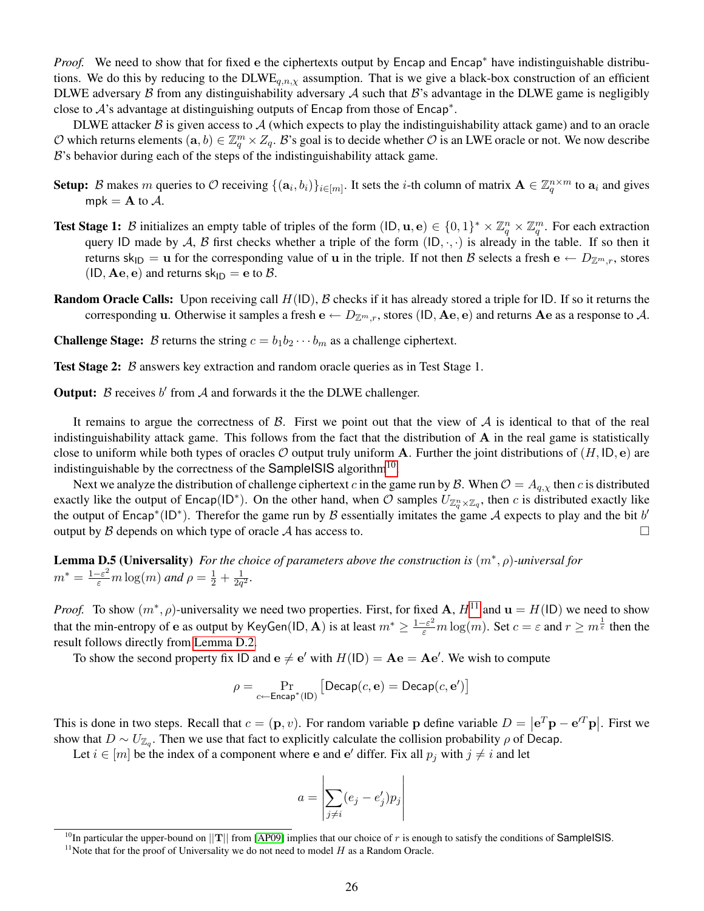*Proof.* We need to show that for fixed e the ciphertexts output by Encap and Encap<sup>\*</sup> have indistinguishable distributions. We do this by reducing to the  $DLWE_{q,n,\chi}$  assumption. That is we give a black-box construction of an efficient DLWE adversary  $\beta$  from any distinguishability adversary  $\lambda$  such that  $\beta$ 's advantage in the DLWE game is negligibly close to A's advantage at distinguishing outputs of Encap from those of Encap<sup>∗</sup> .

DLWE attacker  $\beta$  is given access to  $\mathcal A$  (which expects to play the indistinguishability attack game) and to an oracle O which returns elements  $(a, b) \in \mathbb{Z}_q^m \times Z_q$ . B's goal is to decide whether O is an LWE oracle or not. We now describe B's behavior during each of the steps of the indistinguishability attack game.

- **Setup:** B makes m queries to O receiving  $\{(\mathbf{a}_i, b_i)\}_{i \in [m]}$ . It sets the *i*-th column of matrix  $\mathbf{A} \in \mathbb{Z}_q^{n \times m}$  to  $\mathbf{a}_i$  and gives mpk =  $\bf{A}$  to  $\bf{A}$ .
- **Test Stage 1:** B initializes an empty table of triples of the form  $(\mathsf{ID}, \mathbf{u}, \mathbf{e}) \in \{0, 1\}^* \times \mathbb{Z}_q^n \times \mathbb{Z}_q^m$ . For each extraction query ID made by A, B first checks whether a triple of the form  $(ID, \cdot, \cdot)$  is already in the table. If so then it returns sk<sub>ID</sub> = u for the corresponding value of u in the triple. If not then B selects a fresh e  $\leftarrow D_{\mathbb{Z}^m,r}$ , stores  $(ID, Ae, e)$  and returns sk<sub>ID</sub> = e to B.
- **Random Oracle Calls:** Upon receiving call  $H(\mathsf{ID})$ ,  $\mathcal B$  checks if it has already stored a triple for  $\mathsf{ID}$ . If so it returns the corresponding u. Otherwise it samples a fresh  $e \leftarrow D_{\mathbb{Z}^m,r}$ , stores (ID,  $Ae, e$ ) and returns  $Ae$  as a response to A.

**Challenge Stage:** B returns the string  $c = b_1b_2 \cdots b_m$  as a challenge ciphertext.

Test Stage 2: B answers key extraction and random oracle queries as in Test Stage 1.

**Output:**  $\beta$  receives  $b'$  from  $\mathcal A$  and forwards it the the DLWE challenger.

It remains to argue the correctness of  $\beta$ . First we point out that the view of  $\mathcal A$  is identical to that of the real indistinguishability attack game. This follows from the fact that the distribution of  $A$  in the real game is statistically close to uniform while both types of oracles  $\mathcal O$  output truly uniform **A**. Further the joint distributions of  $(H, \mathsf{ID}, \mathbf{e})$  are indistinguishable by the correctness of the SampleISIS algorithm<sup>[10](#page-25-0)</sup>.

Next we analyze the distribution of challenge ciphertext c in the game run by B. When  $\mathcal{O} = A_{q,\chi}$  then c is distributed exactly like the output of Encap(ID<sup>\*</sup>). On the other hand, when  $\mathcal O$  samples  $U_{\mathbb{Z}_q^n\times\mathbb{Z}_q}$ , then c is distributed exactly like the output of Encap<sup>\*</sup>(ID<sup>\*</sup>). Therefor the game run by B essentially imitates the game A expects to play and the bit b' output by B depends on which type of oracle A has access to.

**Lemma D.5 (Universality)** For the choice of parameters above the construction is  $(m^*, \rho)$ -universal for  $m^* = \frac{1-\varepsilon^2}{\varepsilon} m \log(m)$  and  $\rho = \frac{1}{2} + \frac{1}{2q}$  $\frac{1}{2q^2}$ .

*Proof.* To show  $(m^*, \rho)$ -universality we need two properties. First, for fixed **A**,  $H^{11}$  $H^{11}$  $H^{11}$  and  $\mathbf{u} = H(\mathsf{ID})$  we need to show that the min-entropy of e as output by KeyGen(ID, A) is at least  $m^* \ge \frac{1-\varepsilon^2}{\varepsilon} m \log(m)$ . Set  $c = \varepsilon$  and  $r \ge m^{\frac{1}{\varepsilon}}$  then the result follows directly from [Lemma D.2.](#page-23-1)

To show the second property fix ID and  $e \neq e'$  with  $H(ID) = Ae = Ae'$ . We wish to compute

$$
\rho = \Pr_{c \gets \mathsf{Encap}^*(\mathsf{ID})} \left[ \mathsf{Decap}(c, \mathbf{e}) = \mathsf{Decap}(c, \mathbf{e}') \right]
$$

This is done in two steps. Recall that  $c = (\mathbf{p}, v)$ . For random variable  $\mathbf{p}$  define variable  $D = [\mathbf{e}^T \mathbf{p} - \mathbf{e}^T \mathbf{p}]$ . First we show that  $D \sim U_{\mathbb{Z}_q}$ . Then we use that fact to explicitly calculate the collision probability  $\rho$  of Decap.

Let  $i \in [m]$  be the index of a component where e and e' differ. Fix all  $p_j$  with  $j \neq i$  and let

$$
a = \left| \sum_{j \neq i} (e_j - e'_j) p_j \right|
$$

<span id="page-25-0"></span><sup>&</sup>lt;sup>10</sup>In particular the upper-bound on ||T|| from [\[AP09\]](#page-14-8) implies that our choice of r is enough to satisfy the conditions of SampleISIS.

<span id="page-25-1"></span><sup>&</sup>lt;sup>11</sup>Note that for the proof of Universality we do not need to model  $H$  as a Random Oracle.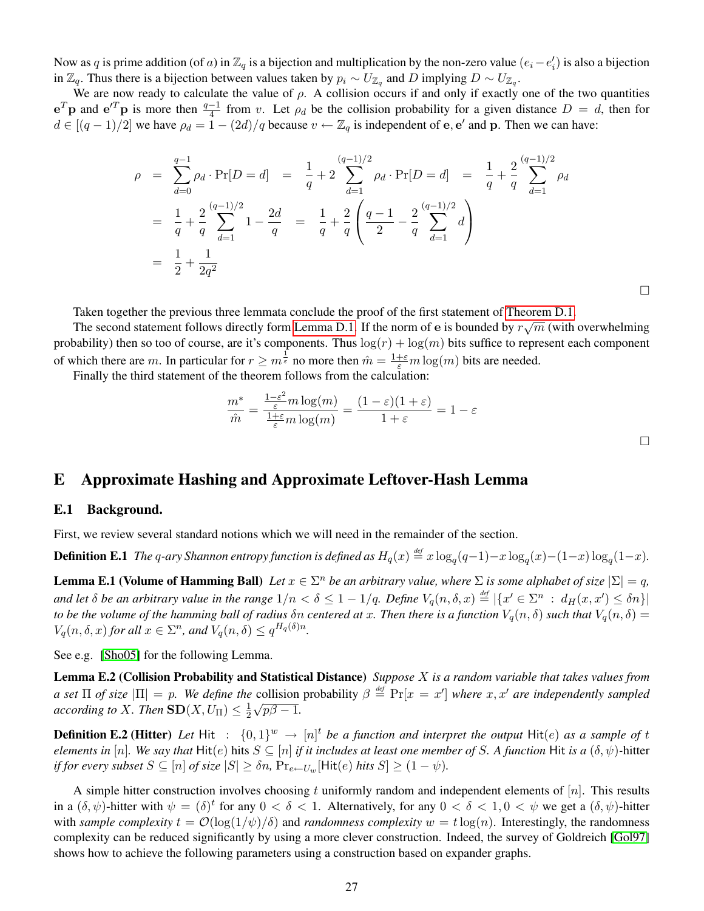Now as q is prime addition (of a) in  $\mathbb{Z}_q$  is a bijection and multiplication by the non-zero value  $(e_i - e'_i)$  is also a bijection in  $\mathbb{Z}_q$ . Thus there is a bijection between values taken by  $p_i \sim U_{\mathbb{Z}_q}$  and D implying  $D \sim U_{\mathbb{Z}_q}$ .

We are now ready to calculate the value of  $\rho$ . A collision occurs if and only if exactly one of the two quantities  $e^T$ **p** and  $e^t$ <sup>T</sup>**p** is more then  $\frac{q-1}{4}$  from v. Let  $\rho_d$  be the collision probability for a given distance  $D = d$ , then for  $d \in [(q-1)/2]$  we have  $\rho_d = 1 - (2d)/q$  because  $v \leftarrow \mathbb{Z}_q$  is independent of e, e' and p. Then we can have:

$$
\rho = \sum_{d=0}^{q-1} \rho_d \cdot \Pr[D=d] = \frac{1}{q} + 2 \sum_{d=1}^{(q-1)/2} \rho_d \cdot \Pr[D=d] = \frac{1}{q} + \frac{2}{q} \sum_{d=1}^{(q-1)/2} \rho_d
$$

$$
= \frac{1}{q} + \frac{2}{q} \sum_{d=1}^{(q-1)/2} 1 - \frac{2d}{q} = \frac{1}{q} + \frac{2}{q} \left( \frac{q-1}{2} - \frac{2}{q} \sum_{d=1}^{(q-1)/2} d \right)
$$

$$
= \frac{1}{2} + \frac{1}{2q^2}
$$

Taken together the previous three lemmata conclude the proof of the first statement of [Theorem D.1.](#page-24-1)

The second statement follows directly form [Lemma D.1.](#page-23-0) If the norm of e is bounded by  $r\sqrt{m}$  (with overwhelming probability) then so too of course, are it's components. Thus  $\log(r) + \log(m)$  bits suffice to represent each component of which there are m. In particular for  $r \geq m^{\frac{1}{\varepsilon}}$  no more then  $\hat{m} = \frac{1+\varepsilon}{\varepsilon} m \log(m)$  bits are needed.

Finally the third statement of the theorem follows from the calculation:

$$
\frac{m^*}{\hat{m}} = \frac{\frac{1-\varepsilon^2}{\varepsilon} m \log(m)}{\frac{1+\varepsilon}{\varepsilon} m \log(m)} = \frac{(1-\varepsilon)(1+\varepsilon)}{1+\varepsilon} = 1-\varepsilon
$$

 $\Box$ 

 $\Box$ 

## <span id="page-26-0"></span>E Approximate Hashing and Approximate Leftover-Hash Lemma

#### E.1 Background.

First, we review several standard notions which we will need in the remainder of the section.

**Definition E.1** The q-ary Shannon entropy function is defined as  $H_q(x) \stackrel{\text{def}}{=} x \log_q(q-1) - x \log_q(x) - (1-x) \log_q(1-x)$ .

<span id="page-26-2"></span>**Lemma E.1 (Volume of Hamming Ball)** *Let*  $x \in \Sigma^n$  *be an arbitrary value, where*  $\Sigma$  *is some alphabet of size*  $|\Sigma| = q$ *,* and let  $\delta$  be an arbitrary value in the range  $1/n < \delta \leq 1-1/q$ . Define  $V_q(n,\delta,x) \stackrel{\text{\tiny def}}{=} |\{x' \in \Sigma^n : d_H(x,x') \leq \delta n\}|$ *to be the volume of the hamming ball of radius*  $\delta n$  *centered at x. Then there is a function*  $V_q(n, \delta)$  *such that*  $V_q(n, \delta)$  =  $V_q(n, \delta, x)$  for all  $x \in \Sigma^n$ , and  $V_q(n, \delta) \leq q^{H_q(\delta)n}$ .

<span id="page-26-3"></span>See e.g. [\[Sho05\]](#page-16-21) for the following Lemma.

Lemma E.2 (Collision Probability and Statistical Distance) *Suppose* X *is a random variable that takes values from a set*  $\Pi$  *of size*  $|\Pi| = p$ . We define the collision probability  $\beta \stackrel{\text{def}}{=} \Pr[x = x']$  where  $x, x'$  are independently sampled *according to* X. Then  $\mathbf{SD}(X, U_{\Pi}) \leq \frac{1}{2}$  $\frac{1}{2}\sqrt{p\beta-1}$ .

<span id="page-26-1"></span>**Definition E.2 (Hitter)** Let Hit :  $\{0,1\}^w \to [n]^t$  be a function and interpret the output Hit(e) as a sample of t *elements in* [n]. We say that  $Hit(e)$  hits  $S \subseteq [n]$  *if it includes at least one member of* S. A function Hit *is a*  $(\delta, \psi)$ -hitter *if for every subset*  $S \subseteq [n]$  *of size*  $|S| \geq \delta n$ ,  $\Pr_{e \leftarrow U_w}[\text{Hit}(e) \text{ hits } S] \geq (1 - \psi)$ .

A simple hitter construction involves choosing t uniformly random and independent elements of  $[n]$ . This results in a  $(\delta, \psi)$ -hitter with  $\psi = (\delta)^t$  for any  $0 < \delta < 1$ . Alternatively, for any  $0 < \delta < 1, 0 < \psi$  we get a  $(\delta, \psi)$ -hitter with *sample complexity*  $t = \mathcal{O}(\log(1/\psi)/\delta)$  and *randomness complexity*  $w = t \log(n)$ . Interestingly, the randomness complexity can be reduced significantly by using a more clever construction. Indeed, the survey of Goldreich [\[Gol97\]](#page-15-20) shows how to achieve the following parameters using a construction based on expander graphs.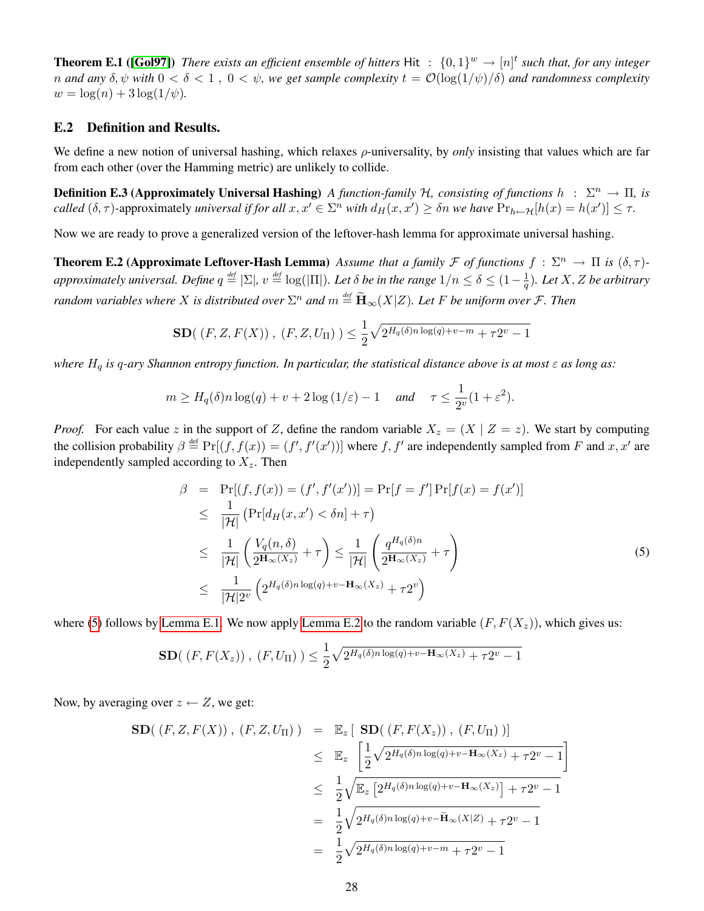**Theorem E.1** ([\[Gol97\]](#page-15-20)) There exists an efficient ensemble of hitters Hit  $\; : \; \{0,1\}^w \to [n]^t$  such that, for any integer n and any  $\delta$ ,  $\psi$  with  $0 < \delta < 1$ ,  $0 < \psi$ , we get sample complexity  $t = \mathcal{O}(\log(1/\psi)/\delta)$  and randomness complexity  $w = \log(n) + 3\log(1/\psi)$ .

### E.2 Definition and Results.

We define a new notion of universal hashing, which relaxes ρ-universality, by *only* insisting that values which are far from each other (over the Hamming metric) are unlikely to collide.

**Definition E.3 (Approximately Universal Hashing)** *A function-family* H, consisting of functions  $h : \Sigma^n \to \Pi$ , is *called*  $(\delta, \tau)$ -approximately *universal if for all*  $x, x' \in \Sigma^n$  *with*  $d_H(x, x') \geq \delta^n$  *we have*  $Pr_{h \leftarrow H}[h(x) = h(x')] \leq \tau$ .

<span id="page-27-1"></span>Now we are ready to prove a generalized version of the leftover-hash lemma for approximate universal hashing.

**Theorem E.2 (Approximate Leftover-Hash Lemma)** *Assume that a family*  $\mathcal F$  *of functions*  $f : \Sigma^n \to \Pi$  *is*  $(\delta, \tau)$ *approximately universal. Define*  $q \stackrel{\text{def}}{=} |\Sigma|$ ,  $v \stackrel{\text{def}}{=} \log(|\Pi|)$ *. Let*  $\delta$  *be in the range*  $1/n \leq \delta \leq (1 - \frac{1}{a})$ q )*. Let* X, Z *be arbitrary random variables where*  $X$  *is distributed over*  $\Sigma^n$  *and*  $m \stackrel{\text{def}}{=} \widetilde{\bf H}_\infty(X|Z)$ *. Let*  $F$  *be uniform over*  ${\cal F}$ *. Then* 

<span id="page-27-0"></span>
$$
\mathbf{SD}((F, Z, F(X)), (F, Z, U_{\Pi})) \le \frac{1}{2} \sqrt{2^{H_q(\delta) n \log(q) + v - m} + \tau 2^v - 1}
$$

*where* H<sup>q</sup> *is* q*-ary Shannon entropy function. In particular, the statistical distance above is at most* ε *as long as:*

$$
m \ge H_q(\delta) n \log(q) + v + 2 \log(1/\varepsilon) - 1
$$
 and  $\tau \le \frac{1}{2^v} (1 + \varepsilon^2)$ .

*Proof.* For each value z in the support of Z, define the random variable  $X_z = (X | Z = z)$ . We start by computing the collision probability  $\beta \stackrel{\text{def}}{=} \Pr[(f, f(x)) = (f', f'(x'))]$  where f, f' are independently sampled from F and x, x' are independently sampled according to  $X_z$ . Then

<span id="page-27-2"></span>
$$
\beta = \Pr[(f, f(x)) = (f', f'(x'))] = \Pr[f = f'] \Pr[f(x) = f(x')]
$$
\n
$$
\leq \frac{1}{|\mathcal{H}|} \left( \Pr[d_H(x, x') < \delta n] + \tau \right)
$$
\n
$$
\leq \frac{1}{|\mathcal{H}|} \left( \frac{V_q(n, \delta)}{2^{H_\infty(X_z)}} + \tau \right) \leq \frac{1}{|\mathcal{H}|} \left( \frac{q^{H_q(\delta)n}}{2^{H_\infty(X_z)}} + \tau \right)
$$
\n
$$
\leq \frac{1}{|\mathcal{H}| 2^v} \left( 2^{H_q(\delta)n \log(q) + v - H_\infty(X_z)} + \tau 2^v \right)
$$
\n(5)

where [\(5\)](#page-27-2) follows by [Lemma E.1.](#page-26-2) We now apply [Lemma E.2](#page-26-3) to the random variable  $(F, F(X_z))$ , which gives us:

$$
\mathbf{SD}(\left(F, F(X_z)\right), \left(F, U_{\Pi}\right)) \leq \frac{1}{2} \sqrt{2^{H_q(\delta)n \log(q) + v - \mathbf{H}_{\infty}(X_z)} + \tau 2^v - 1}
$$

Now, by averaging over  $z \leftarrow Z$ , we get:

$$
\begin{array}{rcl}\n\text{SD}(\ (F, Z, F(X)) \ , \ (F, Z, U_{\Pi}) \ ) & = & \mathbb{E}_{z} \left[ \ \text{SD}(\ (F, F(X_{z})) \ , \ (F, U_{\Pi}) \ ) \right] \\
& \leq & \mathbb{E}_{z} \left[ \frac{1}{2} \sqrt{2^{H_{q}(\delta) n \log(q) + v - H_{\infty}(X_{z})} + \tau 2^{v} - 1} \right] \\
& \leq & \frac{1}{2} \sqrt{\mathbb{E}_{z} \left[ 2^{H_{q}(\delta) n \log(q) + v - H_{\infty}(X_{z})} \right] + \tau 2^{v} - 1} \\
& = & \frac{1}{2} \sqrt{2^{H_{q}(\delta) n \log(q) + v - \tilde{H}_{\infty}(X|Z)} + \tau 2^{v} - 1} \\
& = & \frac{1}{2} \sqrt{2^{H_{q}(\delta) n \log(q) + v - m} + \tau 2^{v} - 1}\n\end{array}
$$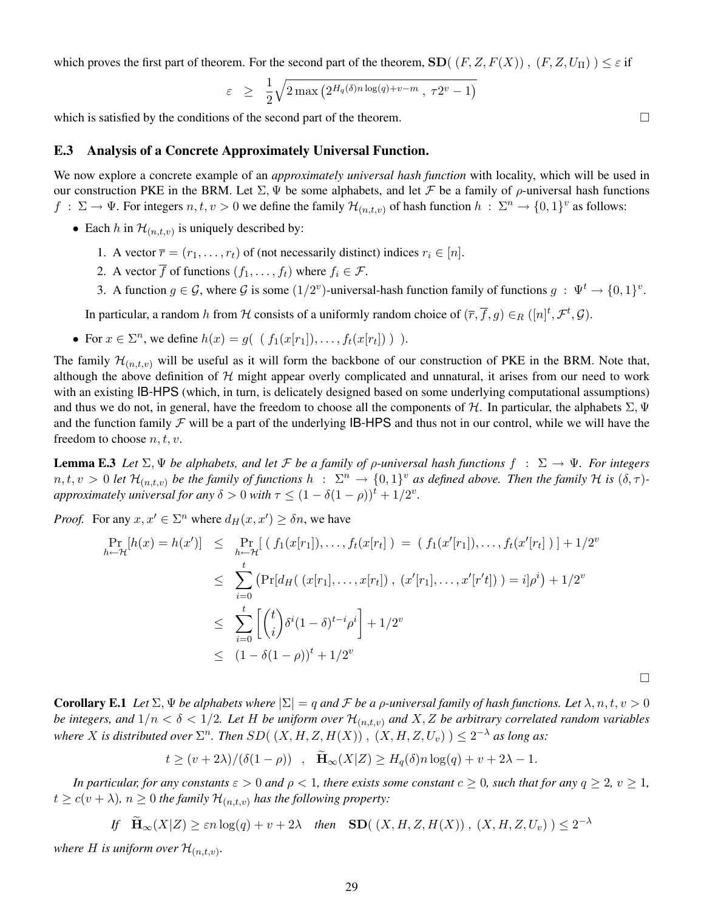which proves the first part of theorem. For the second part of the theorem,  $SD((F, Z, F(X))$ ,  $(F, Z, U_{\Pi})) \leq \varepsilon$  if

$$
\varepsilon \geq \frac{1}{2} \sqrt{2 \max \left( 2^{H_q(\delta) n \log(q) + v - m} , \tau 2^v - 1 \right)}
$$

which is satisfied by the conditions of the second part of the theorem.  $\Box$ 

#### <span id="page-28-0"></span>E.3 Analysis of a Concrete Approximately Universal Function.

We now explore a concrete example of an *approximately universal hash function* with locality, which will be used in our construction PKE in the BRM. Let  $\Sigma$ ,  $\Psi$  be some alphabets, and let  $\mathcal F$  be a family of  $\rho$ -universal hash functions  $f: \Sigma \to \Psi$ . For integers  $n, t, v > 0$  we define the family  $\mathcal{H}_{(n,t,v)}$  of hash function  $h: \Sigma^n \to \{0,1\}^v$  as follows:

- Each h in  $\mathcal{H}_{(n,t,v)}$  is uniquely described by:
	- 1. A vector  $\overline{r} = (r_1, \ldots, r_t)$  of (not necessarily distinct) indices  $r_i \in [n]$ .
	- 2. A vector  $\overline{f}$  of functions  $(f_1, \ldots, f_t)$  where  $f_i \in \mathcal{F}$ .
	- 3. A function  $g \in \mathcal{G}$ , where  $\mathcal{G}$  is some  $(1/2^v)$ -universal-hash function family of functions  $g : \Psi^t \to \{0,1\}^v$ .

In particular, a random h from H consists of a uniformly random choice of  $(\overline{r},\overline{f},g) \in_R ([n]^t,\mathcal{F}^t,\mathcal{G})$ .

• For  $x \in \Sigma^n$ , we define  $h(x) = g((f_1(x[r_1]), \ldots, f_t(x[r_t]))$ .

The family  $\mathcal{H}_{(n,t,v)}$  will be useful as it will form the backbone of our construction of PKE in the BRM. Note that, although the above definition of  $H$  might appear overly complicated and unnatural, it arises from our need to work with an existing IB-HPS (which, in turn, is delicately designed based on some underlying computational assumptions) and thus we do not, in general, have the freedom to choose all the components of H. In particular, the alphabets  $\Sigma, \Psi$ and the function family  $\mathcal F$  will be a part of the underlying IB-HPS and thus not in our control, while we will have the freedom to choose  $n, t, v$ .

**Lemma E.3** Let  $\Sigma$ ,  $\Psi$  *be alphabets, and let*  $\mathcal F$  *be a family of*  $\rho$ *-universal hash functions*  $f : \Sigma \to \Psi$ *. For integers*  $n, t, v > 0$  *let*  $\mathcal{H}_{(n,t,v)}$  *be the family of functions*  $h : \Sigma^n \to \{0,1\}^v$  *as defined above. Then the family*  $\mathcal{H}$  *is*  $(\delta, \tau)$ *approximately universal for any*  $\delta > 0$  *with*  $\tau \leq (1 - \delta(1 - \rho))^t + 1/2^v$ .

*Proof.* For any  $x, x' \in \Sigma^n$  where  $d_H(x, x') \ge \delta n$ , we have

$$
\Pr_{h \leftarrow \mathcal{H}}[h(x) = h(x')] \leq \Pr_{h \leftarrow \mathcal{H}}[(f_1(x[r_1]), \dots, f_t(x[r_t]) = (f_1(x'[r_1]), \dots, f_t(x'[r_t])] + 1/2^v) \leq \sum_{i=0}^t (\Pr[d_H((x[r_1], \dots, x[r_t]), (x'[r_1], \dots, x'[r't])) = i]\rho^i) + 1/2^v \leq \sum_{i=0}^t \left[ \binom{t}{i} \delta^i (1-\delta)^{t-i} \rho^i \right] + 1/2^v \leq (1-\delta(1-\rho))^t + 1/2^v
$$

 $\Box$ 

**Corollary E.1** Let  $\Sigma$ ,  $\Psi$  be alphabets where  $|\Sigma| = q$  and  $\mathcal F$  be a *ρ*-universal family of hash functions. Let  $\lambda$ ,  $n, t, v > 0$ *be integers, and*  $1/n < \delta < 1/2$ . Let H *be uniform over*  $\mathcal{H}_{(n,t,v)}$  *and* X, Z *be arbitrary correlated random variables* where X is distributed over  $\Sigma^n$ . Then  $SD( (X, H, Z, H(X))$  ,  $(X, H, Z, U_v)$   $) \leq 2^{-\lambda}$  as long as:

$$
t \ge (v + 2\lambda)/(\delta(1 - \rho))
$$
,  $\mathbf{H}_{\infty}(X|Z) \ge H_q(\delta)n \log(q) + v + 2\lambda - 1$ .

*In particular, for any constants*  $\varepsilon > 0$  *and*  $\rho < 1$ *, there exists some constant*  $c \ge 0$ *, such that for any*  $q \ge 2$ *, v*  $\ge 1$ *,*  $t \ge c(v + \lambda)$ ,  $n \ge 0$  the family  $\mathcal{H}_{(n,t,v)}$  has the following property:

*If*  $\widetilde{\mathbf{H}}_{\infty}(X|Z) \geq \varepsilon n \log(q) + v + 2\lambda$  *then*  $\mathbf{SD}((X, H, Z, H(X)), (X, H, Z, U_v)) \leq 2^{-\lambda}$ 

where  $H$  is uniform over  $\mathcal{H}_{(n,t,v)}$ .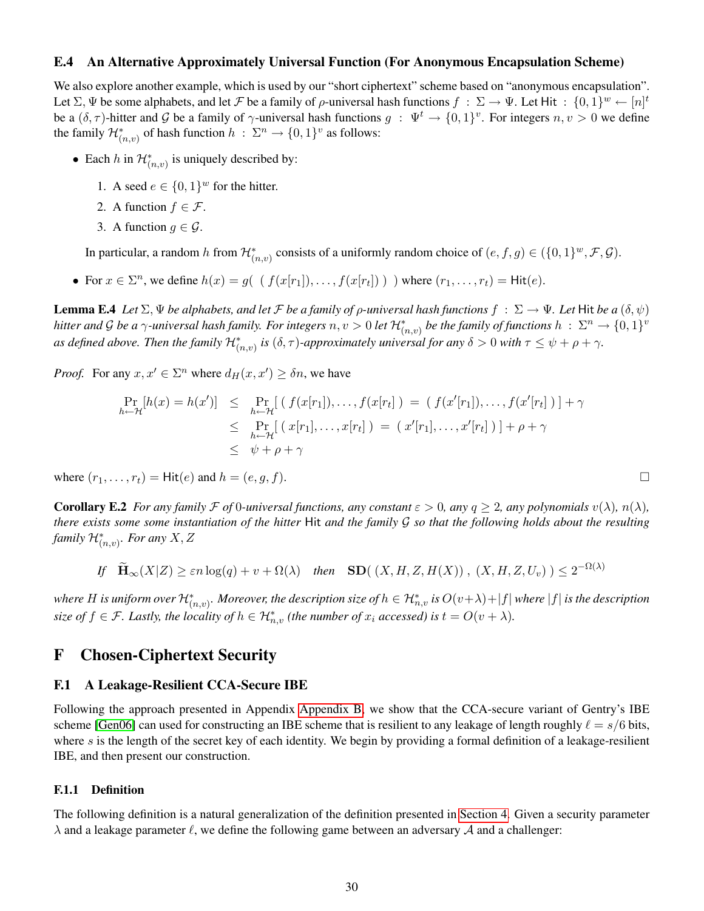### <span id="page-29-1"></span>E.4 An Alternative Approximately Universal Function (For Anonymous Encapsulation Scheme)

We also explore another example, which is used by our "short ciphertext" scheme based on "anonymous encapsulation". Let  $\Sigma$ ,  $\Psi$  be some alphabets, and let  $\mathcal F$  be a family of  $\rho$ -universal hash functions  $f : \Sigma \to \Psi$ . Let Hit  $: \{0,1\}^w \leftarrow [n]^t$ be a  $(\delta, \tau)$ -hitter and G be a family of  $\gamma$ -universal hash functions  $g : \Psi^t \to \{0,1\}^v$ . For integers  $n, v > 0$  we define the family  $\mathcal{H}_{(n,v)}^*$  of hash function  $h : \Sigma^n \to \{0,1\}^v$  as follows:

- Each h in  $\mathcal{H}_{(n,v)}^*$  is uniquely described by:
	- 1. A seed  $e \in \{0,1\}^w$  for the hitter.
	- 2. A function  $f \in \mathcal{F}$ .
	- 3. A function  $g \in \mathcal{G}$ .

In particular, a random h from  $\mathcal{H}_{(n,v)}^*$  consists of a uniformly random choice of  $(e, f, g) \in (\{0, 1\}^w, \mathcal{F}, \mathcal{G})$ .

• For  $x \in \Sigma^n$ , we define  $h(x) = g((f(x[r_1]), \ldots, f(x[r_t]))$  where  $(r_1, \ldots, r_t) = \text{Hit}(e)$ .

**Lemma E.4** *Let*  $\Sigma$ ,  $\Psi$  *be alphabets, and let*  $\mathcal F$  *be a family of*  $\rho$ *-universal hash functions*  $f : \Sigma \to \Psi$ *. Let* Hit *be a*  $(\delta, \psi)$ *hitter and*  $G$  *be a*  $\gamma$ -universal hash family. For integers  $n,v>0$  let  ${\cal H}_{(n,v)}^*$  be the family of functions  $h\,:\,\Sigma^n\to\{0,1\}^v$ *as defined above. Then the family*  $\mathcal{H}_{(n,v)}^*$  *is*  $(\delta, \tau)$ -approximately universal for any  $\delta > 0$  with  $\tau \leq \psi + \rho + \gamma$ .

*Proof.* For any  $x, x' \in \Sigma^n$  where  $d_H(x, x') \ge \delta n$ , we have

$$
\Pr_{h \leftarrow \mathcal{H}}[h(x) = h(x')] \leq \Pr_{h \leftarrow \mathcal{H}}[(f(x[r_1]), \dots, f(x[r_t]) = (f(x'[r_1]), \dots, f(x'[r_t])] + \gamma
$$
\n
$$
\leq \Pr_{h \leftarrow \mathcal{H}}[(x[r_1], \dots, x[r_t]) = (x'[r_1], \dots, x'[r_t])] + \rho + \gamma
$$
\n
$$
\leq \psi + \rho + \gamma
$$

where  $(r_1, \ldots, r_t) = \text{Hit}(e)$  and  $h = (e, q, f)$ .

**Corollary E.2** For any family F of 0-universal functions, any constant  $\varepsilon > 0$ , any  $q \ge 2$ , any polynomials  $v(\lambda)$ ,  $n(\lambda)$ , *there exists some some instantiation of the hitter* Hit *and the family* G *so that the following holds about the resulting* family  $\mathcal{H}^{*}_{(n,v)}$ *. For any*  $X, Z$ 

If 
$$
\widetilde{\mathbf{H}}_{\infty}(X|Z) \geq \varepsilon n \log(q) + v + \Omega(\lambda)
$$
 then  $\mathbf{SD}((X, H, Z, H(X)), (X, H, Z, U_v)) \leq 2^{-\Omega(\lambda)}$ 

where  $H$  is uniform over  $\mathcal{H}_{(n,v)}^*$ . Moreover, the description size of  $h\in\mathcal{H}_{n,v}^*$  is  $O(v+\lambda)+|f|$  where  $|f|$  is the description *size of*  $f \in \mathcal{F}$ . Lastly, the locality of  $h \in \mathcal{H}_{n,v}^*$  (the number of  $x_i$  accessed) is  $t = O(v + \lambda)$ .

## <span id="page-29-0"></span>F Chosen-Ciphertext Security

#### F.1 A Leakage-Resilient CCA-Secure IBE

Following the approach presented in Appendix [Appendix B,](#page-17-1) we show that the CCA-secure variant of Gentry's IBE scheme [\[Gen06\]](#page-15-10) can used for constructing an IBE scheme that is resilient to any leakage of length roughly  $\ell = s/6$  bits, where s is the length of the secret key of each identity. We begin by providing a formal definition of a leakage-resilient IBE, and then present our construction.

#### F.1.1 Definition

The following definition is a natural generalization of the definition presented in [Section 4.](#page-8-0) Given a security parameter  $\lambda$  and a leakage parameter  $\ell$ , we define the following game between an adversary  $\mathcal A$  and a challenger: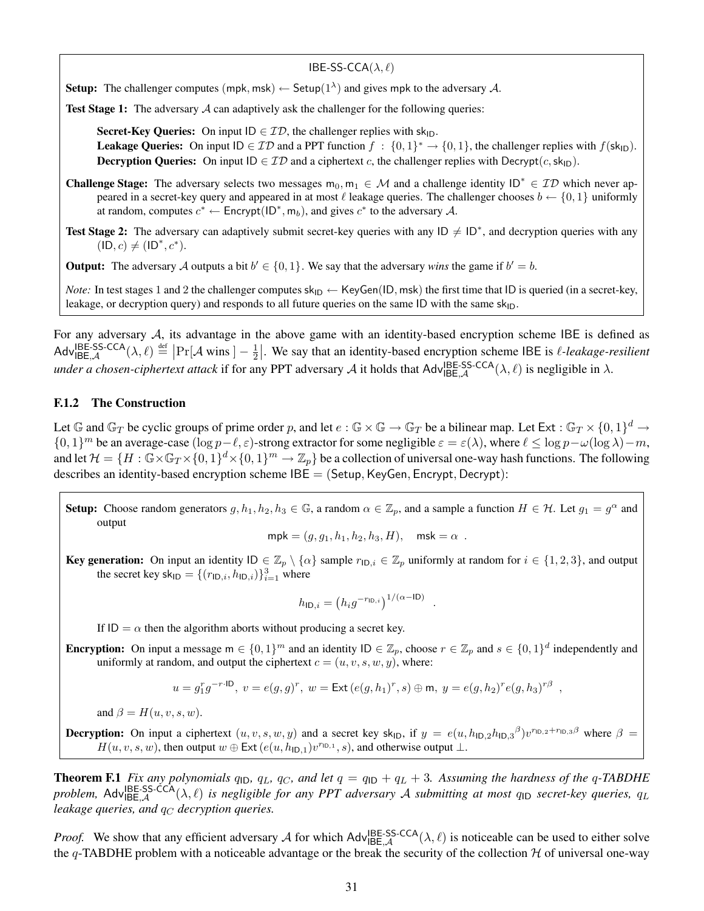IBE-SS-CCA $(\lambda, \ell)$ 

**Setup:** The challenger computes (mpk, msk)  $\leftarrow$  Setup( $1^{\lambda}$ ) and gives mpk to the adversary A.

**Test Stage 1:** The adversary  $\mathcal A$  can adaptively ask the challenger for the following queries:

Secret-Key Queries: On input  $ID \in TD$ , the challenger replies with sk<sub>ID</sub>.

**Leakage Queries:** On input  $ID \in TD$  and a PPT function  $f : \{0,1\}^* \to \{0,1\}$ , the challenger replies with  $f(\mathsf{sk}_{ID})$ . **Decryption Queries:** On input  $ID \in TD$  and a ciphertext c, the challenger replies with Decrypt $(c, sk_{ID})$ .

**Challenge Stage:** The adversary selects two messages  $m_0, m_1 \in M$  and a challenge identity  $ID^* \in TD$  which never appeared in a secret-key query and appeared in at most  $\ell$  leakage queries. The challenger chooses  $b \leftarrow \{0, 1\}$  uniformly at random, computes  $c^* \leftarrow$  Encrypt(ID<sup>\*</sup>, m<sub>b</sub>), and gives  $c^*$  to the adversary A.

Test Stage 2: The adversary can adaptively submit secret-key queries with any  $ID \neq ID^*$ , and decryption queries with any  $(\overline{ID}, c) \neq (\overline{ID}^*, c^*)$ .

**Output:** The adversary A outputs a bit  $b' \in \{0, 1\}$ . We say that the adversary *wins* the game if  $b' = b$ .

*Note:* In test stages 1 and 2 the challenger computes  $sk_{ID} \leftarrow KeyGen(ID, msk)$  the first time that ID is queried (in a secret-key, leakage, or decryption query) and responds to all future queries on the same ID with the same  $sk<sub>ID</sub>$ .

For any adversary A, its advantage in the above game with an identity-based encryption scheme IBE is defined as Adv<sub>IBE-SS</sub>-CCA ( $\lambda$ ,  $\ell$ )  $\stackrel{\text{def}}{=}$   $|\Pr[\mathcal{A} \text{ wins }] - \frac{1}{2}$  $\frac{1}{2}$ . We say that an identity-based encryption scheme IBE is  $\ell$ -leakage-resilient *under a chosen-ciphertext attack* if for any PPT adversary A it holds that Adv<sup>IBE-SS-CCA</sup>( $\lambda$ ,  $\ell$ ) is negligible in  $\lambda$ .

## F.1.2 The Construction

Let  $\mathbb G$  and  $\mathbb G_T$  be cyclic groups of prime order p, and let  $e:\mathbb G\times\mathbb G\to\mathbb G_T$  be a bilinear map. Let  $\mathsf{Ext}:\mathbb G_T\times\{0,1\}^d\to$  $\{0,1\}^m$  be an average-case  $(\log p-\ell, \varepsilon)$ -strong extractor for some negligible  $\varepsilon = \varepsilon(\lambda)$ , where  $\ell \leq \log p - \omega(\log \lambda) - m$ , and let  $\mathcal{H} = \{H : \mathbb{G} \times \mathbb{G}_T \times \{0,1\}^d \times \{0,1\}^m \to \mathbb{Z}_p\}$  be a collection of universal one-way hash functions. The following describes an identity-based encryption scheme IBE = (Setup, KeyGen, Encrypt, Decrypt):

**Setup:** Choose random generators  $g, h_1, h_2, h_3 \in \mathbb{G}$ , a random  $\alpha \in \mathbb{Z}_p$ , and a sample a function  $H \in \mathcal{H}$ . Let  $g_1 = g^{\alpha}$  and output

$$
\mathsf{mpk} = (g, g_1, h_1, h_2, h_3, H), \quad \mathsf{msk} = \alpha.
$$

**Key generation:** On input an identity  $ID \in \mathbb{Z}_p \setminus \{\alpha\}$  sample  $r_{ID,i} \in \mathbb{Z}_p$  uniformly at random for  $i \in \{1,2,3\}$ , and output the secret key sk<sub>ID</sub> =  $\{(r_{\mathsf{ID},i}, h_{\mathsf{ID},i})\}_{i=1}^3$  where

$$
h_{\mathsf{ID},i} = \left(h_ig^{-r_{\mathsf{ID},i}}\right)^{1/(\alpha-\mathsf{ID})}
$$

.

If  $ID = \alpha$  then the algorithm aborts without producing a secret key.

**Encryption:** On input a message  $m \in \{0,1\}^m$  and an identity  $ID \in \mathbb{Z}_p$ , choose  $r \in \mathbb{Z}_p$  and  $s \in \{0,1\}^d$  independently and uniformly at random, and output the ciphertext  $c = (u, v, s, w, y)$ , where:

 $u = g_1^r g^{-r \cdot \text{ID}}, \ v = e(g, g)^r, \ w = \text{Ext}(e(g, h_1)^r, s) \oplus \text{m}, \ y = e(g, h_2)^r e(g, h_3)^{r \beta}$ 

and  $\beta = H(u, v, s, w)$ .

**Decryption:** On input a ciphertext  $(u, v, s, w, y)$  and a secret key sk<sub>ID</sub>, if  $y = e(u, h_{\text{ID},2}h_{\text{ID},3}\beta)v^{r_{\text{ID},2}+r_{\text{ID},3}\beta}$  where  $\beta =$  $H(u, v, s, w)$ , then output  $w \oplus \text{Ext}(e(u, h_{\text{ID},1})v^{r_{\text{ID},1}}, s)$ , and otherwise output  $\perp$ .

**Theorem F.1** *Fix any polynomials*  $q_{\text{1D}}$ *,*  $q_L$ *,*  $q_C$ *, and let*  $q = q_{\text{1D}} + q_L + 3$ *. Assuming the hardness of the* q-TABDHE *problem,* Adv<sup>IBE-SS-CCA(λ, ℓ) is negligible for any PPT adversary A submitting at most  $q$ <sub>ID</sub> secret-key queries,  $q_L$ </sup> *leakage queries, and*  $q_C$  *decryption queries.* 

*Proof.* We show that any efficient adversary A for which Adv<sup>IBE-SS-CCA</sup> $(\lambda, \ell)$  is noticeable can be used to either solve the q-TABDHE problem with a noticeable advantage or the break the security of the collection  $H$  of universal one-way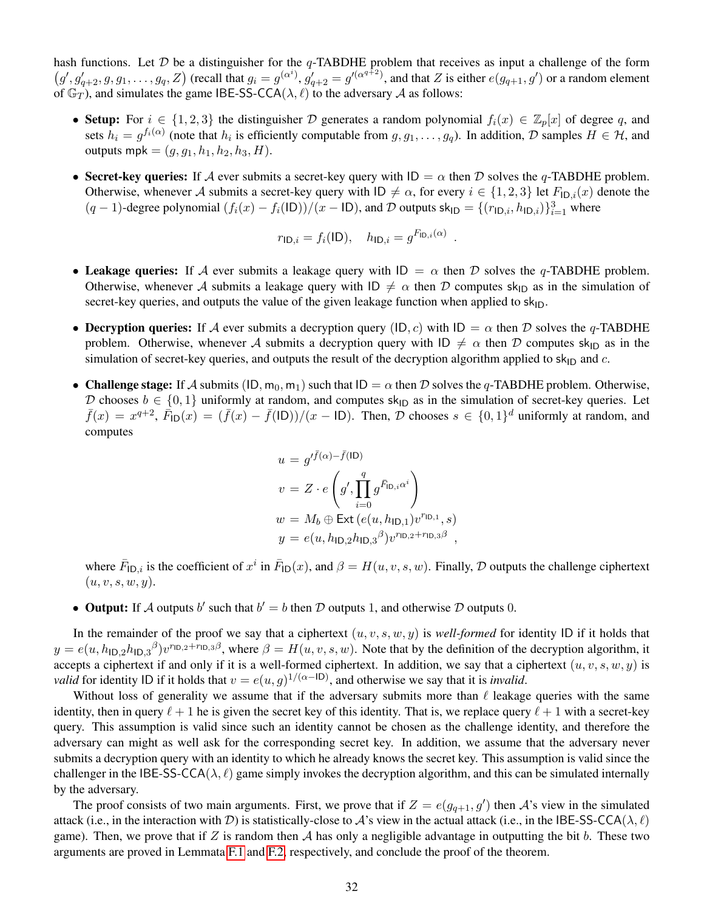hash functions. Let  $D$  be a distinguisher for the q-TABDHE problem that receives as input a challenge of the form  $(g', g'_{q+2}, g, g_1, \ldots, g_q, Z)$  (recall that  $g_i = g^{(\alpha^i)}, g'_{q+2} = g'^{(\alpha^{q+2})}$ , and that Z is either  $e(g_{q+1}, g')$  or a random element of  $\mathbb{G}_T$ ), and simulates the game IBE-SS-CCA( $\lambda$ ,  $\ell$ ) to the adversary A as follows:

- Setup: For  $i \in \{1,2,3\}$  the distinguisher D generates a random polynomial  $f_i(x) \in \mathbb{Z}_p[x]$  of degree q, and sets  $h_i = g^{f_i(\alpha)}$  (note that  $h_i$  is efficiently computable from  $g, g_1, \ldots, g_q$ ). In addition, D samples  $H \in \mathcal{H}$ , and outputs mpk =  $(q, q_1, h_1, h_2, h_3, H)$ .
- Secret-key queries: If A ever submits a secret-key query with  $ID = \alpha$  then D solves the q-TABDHE problem. Otherwise, whenever A submits a secret-key query with  $ID \neq \alpha$ , for every  $i \in \{1, 2, 3\}$  let  $F_{ID,i}(x)$  denote the  $(q-1)$ -degree polynomial  $(f_i(x) - f_i(ID))/(x - ID)$ , and D outputs  $sk_{ID} = \{(r_{ID,i}, h_{ID,i})\}_{i=1}^3$  where

$$
r_{ID,i} = f_i(ID), \quad h_{ID,i} = g^{F_{ID,i}(\alpha)}
$$

.

- Leakage queries: If A ever submits a leakage query with  $ID = \alpha$  then D solves the q-TABDHE problem. Otherwise, whenever A submits a leakage query with  $ID \neq \alpha$  then D computes sk<sub>ID</sub> as in the simulation of secret-key queries, and outputs the value of the given leakage function when applied to  $sk<sub>ID</sub>$ .
- Decryption queries: If A ever submits a decryption query (ID, c) with  $ID = \alpha$  then D solves the q-TABDHE problem. Otherwise, whenever A submits a decryption query with  $ID \neq \alpha$  then D computes sk<sub>ID</sub> as in the simulation of secret-key queries, and outputs the result of the decryption algorithm applied to  $\text{sk}_{\text{ID}}$  and c.
- Challenge stage: If A submits (ID,  $m_0$ ,  $m_1$ ) such that ID =  $\alpha$  then D solves the q-TABDHE problem. Otherwise, D chooses  $b \in \{0, 1\}$  uniformly at random, and computes sk<sub>ID</sub> as in the simulation of secret-key queries. Let  $\bar{f}(x) = x^{q+2}$ ,  $\bar{F}_{\text{ID}}(x) = (\bar{f}(x) - \bar{f}(\text{ID}))/(x - \text{ID})$ . Then, D chooses  $s \in \{0,1\}^d$  uniformly at random, and computes

$$
u = g'^{\bar{f}(\alpha) - \bar{f}(\text{ID})}
$$
  
\n
$$
v = Z \cdot e \left( g', \prod_{i=0}^{q} g^{\bar{F}_{\text{ID},i}\alpha^{i}} \right)
$$
  
\n
$$
w = M_{b} \oplus \text{Ext}\left(e(u, h_{\text{ID},1})v^{r_{\text{ID},1}}, s\right)
$$
  
\n
$$
y = e(u, h_{\text{ID},2}h_{\text{ID},3}\beta)v^{r_{\text{ID},2} + r_{\text{ID},3}\beta},
$$

where  $\bar{F}_{|D,i}$  is the coefficient of  $x^i$  in  $\bar{F}_{|D}(x)$ , and  $\beta = H(u, v, s, w)$ . Finally,  $D$  outputs the challenge ciphertext  $(u, v, s, w, y).$ 

• Output: If A outputs b' such that  $b' = b$  then D outputs 1, and otherwise D outputs 0.

In the remainder of the proof we say that a ciphertext  $(u, v, s, w, y)$  is *well-formed* for identity ID if it holds that  $y = e(u, h_{\text{ID},2}h_{\text{ID},3}\beta)v^{r_{\text{ID},2}+r_{\text{ID},3}\beta}$ , where  $\beta = H(u, v, s, w)$ . Note that by the definition of the decryption algorithm, it accepts a ciphertext if and only if it is a well-formed ciphertext. In addition, we say that a ciphertext  $(u, v, s, w, y)$  is *valid* for identity ID if it holds that  $v = e(u, g)^{1/(\alpha - ID)}$ , and otherwise we say that it is *invalid*.

Without loss of generality we assume that if the adversary submits more than  $\ell$  leakage queries with the same identity, then in query  $\ell + 1$  he is given the secret key of this identity. That is, we replace query  $\ell + 1$  with a secret-key query. This assumption is valid since such an identity cannot be chosen as the challenge identity, and therefore the adversary can might as well ask for the corresponding secret key. In addition, we assume that the adversary never submits a decryption query with an identity to which he already knows the secret key. This assumption is valid since the challenger in the IBE-SS-CCA( $\lambda$ ,  $\ell$ ) game simply invokes the decryption algorithm, and this can be simulated internally by the adversary.

<span id="page-31-0"></span>The proof consists of two main arguments. First, we prove that if  $Z = e(g_{q+1}, g')$  then  $\mathcal{A}$ 's view in the simulated attack (i.e., in the interaction with D) is statistically-close to A's view in the actual attack (i.e., in the IBE-SS-CCA( $\lambda, \ell$ ) game). Then, we prove that if Z is random then A has only a negligible advantage in outputting the bit b. These two arguments are proved in Lemmata [F.1](#page-31-0) and [F.2,](#page-33-0) respectively, and conclude the proof of the theorem.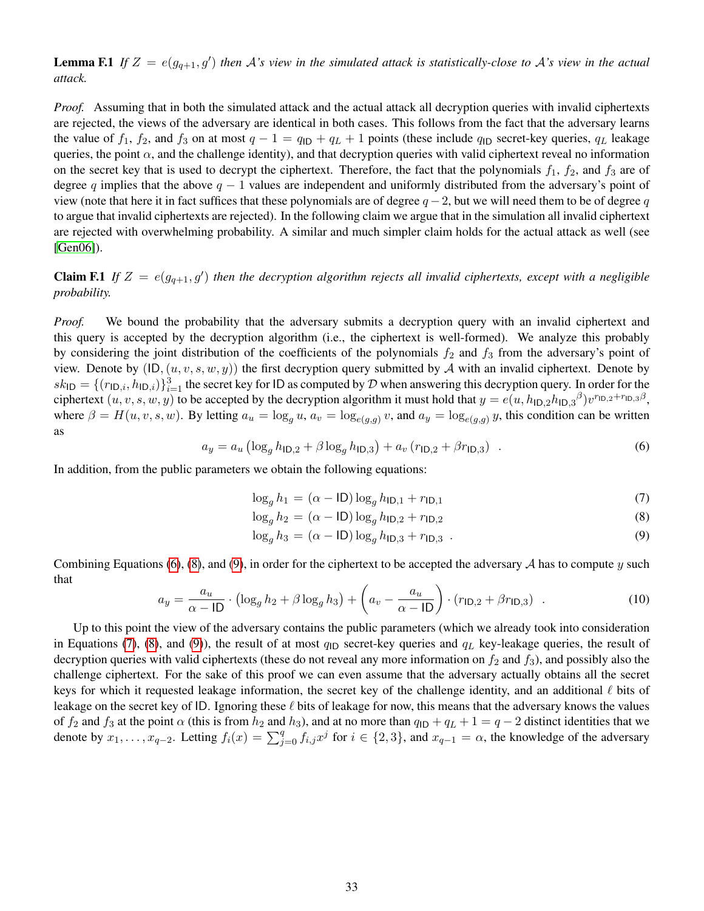**Lemma F.1** If  $Z = e(g_{q+1}, g')$  then A's view in the simulated attack is statistically-close to A's view in the actual *attack.*

*Proof.* Assuming that in both the simulated attack and the actual attack all decryption queries with invalid ciphertexts are rejected, the views of the adversary are identical in both cases. This follows from the fact that the adversary learns the value of  $f_1$ ,  $f_2$ , and  $f_3$  on at most  $q - 1 = q_{ID} + q_L + 1$  points (these include  $q_{ID}$  secret-key queries,  $q_L$  leakage queries, the point  $\alpha$ , and the challenge identity), and that decryption queries with valid ciphertext reveal no information on the secret key that is used to decrypt the ciphertext. Therefore, the fact that the polynomials  $f_1$ ,  $f_2$ , and  $f_3$  are of degree q implies that the above  $q - 1$  values are independent and uniformly distributed from the adversary's point of view (note that here it in fact suffices that these polynomials are of degree  $q - 2$ , but we will need them to be of degree q to argue that invalid ciphertexts are rejected). In the following claim we argue that in the simulation all invalid ciphertext are rejected with overwhelming probability. A similar and much simpler claim holds for the actual attack as well (see [\[Gen06\]](#page-15-10)).

<span id="page-32-3"></span>**Claim F.1** If  $Z = e(g_{q+1}, g')$  then the decryption algorithm rejects all invalid ciphertexts, except with a negligible *probability.*

*Proof.* We bound the probability that the adversary submits a decryption query with an invalid ciphertext and this query is accepted by the decryption algorithm (i.e., the ciphertext is well-formed). We analyze this probably by considering the joint distribution of the coefficients of the polynomials  $f_2$  and  $f_3$  from the adversary's point of view. Denote by  $(ID, (u, v, s, w, y))$  the first decryption query submitted by A with an invalid ciphertext. Denote by  $sk_{\text{ID}} = \{(r_{\text{ID},i}, h_{\text{ID},i})\}_{i=1}^3$  the secret key for ID as computed by D when answering this decryption query. In order for the ciphertext  $(u, v, s, w, y)$  to be accepted by the decryption algorithm it must hold that  $y = e(u, h_{\text{ID},2}h_{\text{ID},3}\beta)v^{r_{\text{ID},2}+r_{\text{ID},3}\beta}$ , where  $\beta = H(u, v, s, w)$ . By letting  $a_u = \log_q u$ ,  $a_v = \log_{e(g,g)} v$ , and  $a_y = \log_{e(g,g)} y$ , this condition can be written as

<span id="page-32-0"></span>
$$
a_y = a_u \left( \log_g h_{\text{ID},2} + \beta \log_g h_{\text{ID},3} \right) + a_v \left( r_{\text{ID},2} + \beta r_{\text{ID},3} \right) \tag{6}
$$

In addition, from the public parameters we obtain the following equations:

<span id="page-32-1"></span>
$$
\log_g h_1 = (\alpha - \text{ID}) \log_g h_{\text{ID},1} + r_{\text{ID},1} \tag{7}
$$

$$
\log_g h_2 = (\alpha - \mathsf{ID}) \log_g h_{\mathsf{ID},2} + r_{\mathsf{ID},2} \tag{8}
$$

$$
\log_g h_3 = (\alpha - \text{ID}) \log_g h_{\text{ID},3} + r_{\text{ID},3} \tag{9}
$$

Combining Equations [\(6\)](#page-32-0), [\(8\)](#page-32-1), and [\(9\)](#page-32-1), in order for the ciphertext to be accepted the adversary  $A$  has to compute  $y$  such that

<span id="page-32-2"></span>
$$
a_y = \frac{a_u}{\alpha - 1} \cdot \left( \log_g h_2 + \beta \log_g h_3 \right) + \left( a_v - \frac{a_u}{\alpha - 1} \right) \cdot \left( r_{1D,2} + \beta r_{1D,3} \right) \tag{10}
$$

Up to this point the view of the adversary contains the public parameters (which we already took into consideration in Equations [\(7\)](#page-32-1), [\(8\)](#page-32-1), and [\(9\)](#page-32-1)), the result of at most  $q_{\text{ID}}$  secret-key queries and  $q_L$  key-leakage queries, the result of decryption queries with valid ciphertexts (these do not reveal any more information on  $f_2$  and  $f_3$ ), and possibly also the challenge ciphertext. For the sake of this proof we can even assume that the adversary actually obtains all the secret keys for which it requested leakage information, the secret key of the challenge identity, and an additional  $\ell$  bits of leakage on the secret key of ID. Ignoring these  $\ell$  bits of leakage for now, this means that the adversary knows the values of  $f_2$  and  $f_3$  at the point  $\alpha$  (this is from  $h_2$  and  $h_3$ ), and at no more than  $q_{ID} + q_L + 1 = q - 2$  distinct identities that we denote by  $x_1, \ldots, x_{q-2}$ . Letting  $f_i(x) = \sum_{j=0}^q f_{i,j}x^j$  for  $i \in \{2,3\}$ , and  $x_{q-1} = \alpha$ , the knowledge of the adversary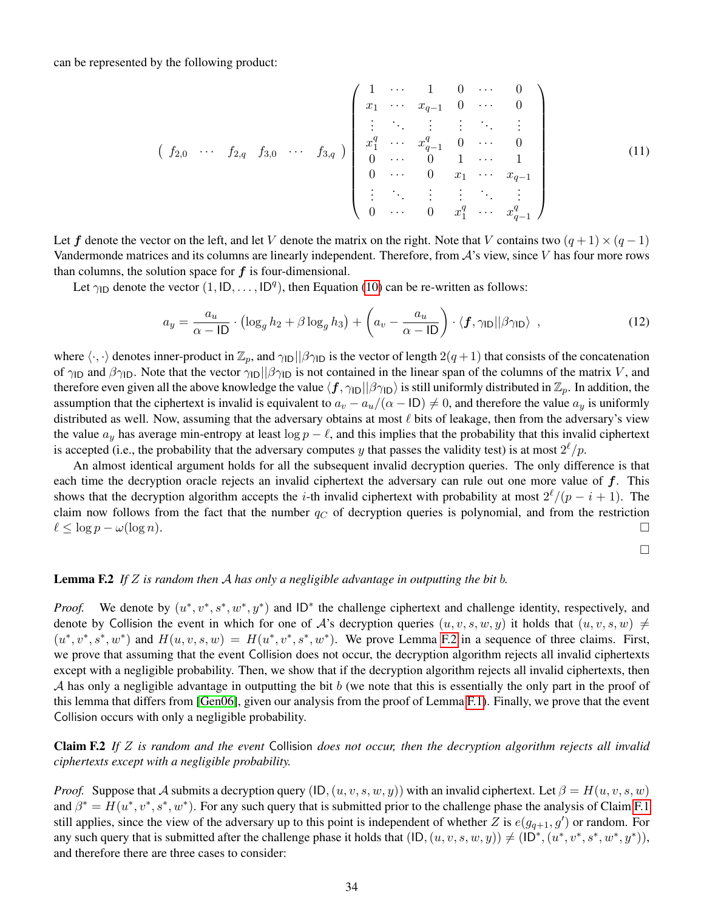can be represented by the following product:

$$
\begin{pmatrix}\n1 & \cdots & 1 & 0 & \cdots & 0 \\
x_1 & \cdots & x_{q-1} & 0 & \cdots & 0 \\
\vdots & \ddots & \vdots & \vdots & \ddots & \vdots \\
x_1^q & \cdots & x_{q-1}^q & 0 & \cdots & 0 \\
\vdots & \ddots & \vdots & \vdots & \ddots & 0 \\
0 & \cdots & 0 & 1 & \cdots & 1 \\
0 & \cdots & 0 & x_1 & \cdots & x_{q-1} \\
\vdots & \ddots & \vdots & \vdots & \ddots & \vdots \\
0 & \cdots & 0 & x_1^q & \cdots & x_{q-1}^q\n\end{pmatrix}
$$
\n(11)

Let f denote the vector on the left, and let V denote the matrix on the right. Note that V contains two  $(q + 1) \times (q - 1)$ Vandermonde matrices and its columns are linearly independent. Therefore, from  $A$ 's view, since V has four more rows than columns, the solution space for  $f$  is four-dimensional.

Let  $\gamma_{\text{ID}}$  denote the vector  $(1, \text{ID}, \dots, \text{ID}^q)$ , then Equation [\(10\)](#page-32-2) can be re-written as follows:

<span id="page-33-1"></span>
$$
a_y = \frac{a_u}{\alpha - 1} \cdot \left( \log_g h_2 + \beta \log_g h_3 \right) + \left( a_v - \frac{a_u}{\alpha - 1} \right) \cdot \left\langle f, \gamma_{1D} || \beta \gamma_{1D} \right\rangle , \qquad (12)
$$

where  $\langle \cdot, \cdot \rangle$  denotes inner-product in  $\mathbb{Z}_p$ , and  $\gamma_{\text{ID}}||\beta\gamma_{\text{ID}}$  is the vector of length  $2(q + 1)$  that consists of the concatenation of  $\gamma_{\text{ID}}$  and  $\beta\gamma_{\text{ID}}$ . Note that the vector  $\gamma_{\text{ID}}||\beta\gamma_{\text{ID}}$  is not contained in the linear span of the columns of the matrix V, and therefore even given all the above knowledge the value  $\langle f, \gamma_{\text{ID}} || \beta \gamma_{\text{ID}} \rangle$  is still uniformly distributed in  $\mathbb{Z}_p$ . In addition, the assumption that the ciphertext is invalid is equivalent to  $a_v - a_u/(\alpha - 1D) \neq 0$ , and therefore the value  $a_y$  is uniformly distributed as well. Now, assuming that the adversary obtains at most  $\ell$  bits of leakage, then from the adversary's view the value  $a_y$  has average min-entropy at least  $\log p - \ell$ , and this implies that the probability that this invalid ciphertext is accepted (i.e., the probability that the adversary computes y that passes the validity test) is at most  $2^{\ell}/p$ .

An almost identical argument holds for all the subsequent invalid decryption queries. The only difference is that each time the decryption oracle rejects an invalid ciphertext the adversary can rule out one more value of  $f$ . This shows that the decryption algorithm accepts the *i*-th invalid ciphertext with probability at most  $2^{\ell}/(p-i+1)$ . The claim now follows from the fact that the number  $q_C$  of decryption queries is polynomial, and from the restriction  $\ell \leq \log p - \omega(\log n).$ 

 $\Box$ 

#### <span id="page-33-0"></span>Lemma F.2 *If* Z *is random then* A *has only a negligible advantage in outputting the bit* b*.*

*Proof.* We denote by  $(u^*, v^*, s^*, w^*, y^*)$  and ID<sup>\*</sup> the challenge ciphertext and challenge identity, respectively, and denote by Collision the event in which for one of A's decryption queries  $(u, v, s, w, y)$  it holds that  $(u, v, s, w) \neq$  $(u^*, v^*, s^*, w^*)$  and  $H(u, v, s, w) = H(u^*, v^*, s^*, w^*)$ . We prove Lemma [F.2](#page-33-0) in a sequence of three claims. First, we prove that assuming that the event Collision does not occur, the decryption algorithm rejects all invalid ciphertexts except with a negligible probability. Then, we show that if the decryption algorithm rejects all invalid ciphertexts, then A has only a negligible advantage in outputting the bit  $b$  (we note that this is essentially the only part in the proof of this lemma that differs from [\[Gen06\]](#page-15-10), given our analysis from the proof of Lemma [F.1\)](#page-31-0). Finally, we prove that the event Collision occurs with only a negligible probability.

<span id="page-33-2"></span>Claim F.2 *If* Z *is random and the event* Collision *does not occur, then the decryption algorithm rejects all invalid ciphertexts except with a negligible probability.*

*Proof.* Suppose that A submits a decryption query (ID,  $(u, v, s, w, y)$ ) with an invalid ciphertext. Let  $\beta = H(u, v, s, w)$ and  $\beta^* = H(u^*, v^*, s^*, w^*)$ . For any such query that is submitted prior to the challenge phase the analysis of Claim [F.1](#page-32-3) still applies, since the view of the adversary up to this point is independent of whether Z is  $e(g_{q+1}, g')$  or random. For any such query that is submitted after the challenge phase it holds that  $(ID, (u, v, s, w, y)) \neq (ID^*, (u^*, v^*, s^*, w^*, y^*)),$ and therefore there are three cases to consider: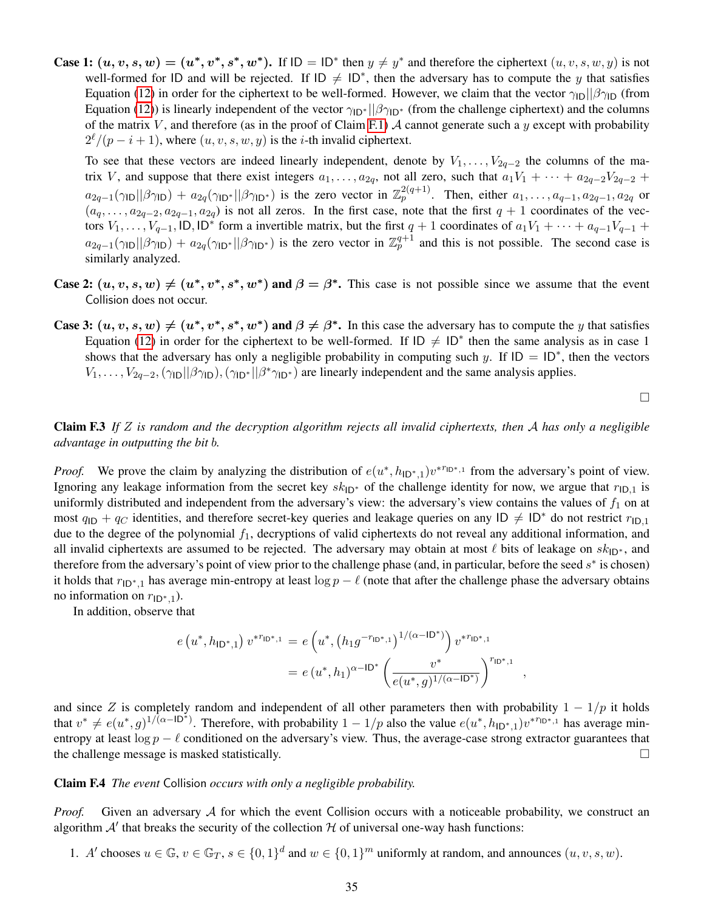**Case 1:**  $(u, v, s, w) = (u^*, v^*, s^*, w^*)$ . If  $ID = ID^*$  then  $y \neq y^*$  and therefore the ciphertext  $(u, v, s, w, y)$  is not well-formed for ID and will be rejected. If  $ID \neq ID^*$ , then the adversary has to compute the y that satisfies Equation [\(12\)](#page-33-1) in order for the ciphertext to be well-formed. However, we claim that the vector  $\gamma_{\text{ID}} || \beta \gamma_{\text{ID}}$  (from Equation [\(12\)](#page-33-1)) is linearly independent of the vector  $\gamma_{\text{ID}^*} ||\beta \gamma_{\text{ID}^*}$  (from the challenge ciphertext) and the columns of the matrix V, and therefore (as in the proof of Claim [F.1\)](#page-32-3) A cannot generate such a y except with probability  $2^{\ell}/(p-i+1)$ , where  $(u, v, s, w, y)$  is the *i*-th invalid ciphertext.

To see that these vectors are indeed linearly independent, denote by  $V_1, \ldots, V_{2q-2}$  the columns of the matrix V, and suppose that there exist integers  $a_1, \ldots, a_{2q}$ , not all zero, such that  $a_1V_1 + \cdots + a_{2q-2}V_{2q-2}$  +  $a_{2q-1}(\gamma_{\text{ID}}||\beta\gamma_{\text{ID}}) + a_{2q}(\gamma_{\text{ID}^*}||\beta\gamma_{\text{ID}^*})$  is the zero vector in  $\mathbb{Z}_p^{2(q+1)}$ . Then, either  $a_1,\ldots,a_{q-1},a_{2q-1},a_{2q}$  or  $(a_q, \ldots, a_{2q-2}, a_{2q-1}, a_{2q})$  is not all zeros. In the first case, note that the first  $q+1$  coordinates of the vectors  $V_1, \ldots, V_{q-1}$ , ID, ID<sup>\*</sup> form a invertible matrix, but the first  $q+1$  coordinates of  $a_1V_1 + \cdots + a_{q-1}V_{q-1}$  +  $a_{2q-1}(\gamma_{\text{ID}}||\beta\gamma_{\text{ID}}) + a_{2q}(\gamma_{\text{ID}^*}||\beta\gamma_{\text{ID}^*})$  is the zero vector in  $\mathbb{Z}_p^{q+1}$  and this is not possible. The second case is similarly analyzed.

- Case 2:  $(u, v, s, w) \neq (u^*, v^*, s^*, w^*)$  and  $\beta = \beta^*$ . This case is not possible since we assume that the event Collision does not occur.
- **Case 3:**  $(u, v, s, w) \neq (u^*, v^*, s^*, w^*)$  and  $\beta \neq \beta^*$ . In this case the adversary has to compute the y that satisfies Equation [\(12\)](#page-33-1) in order for the ciphertext to be well-formed. If  $ID \neq ID^*$  then the same analysis as in case 1 shows that the adversary has only a negligible probability in computing such y. If  $ID = ID^*$ , then the vectors  $V_1, \ldots, V_{2q-2}, (\gamma_{\text{ID}} || \beta \gamma_{\text{ID}}), (\gamma_{\text{ID}^*} || \beta^* \gamma_{\text{ID}^*})$  are linearly independent and the same analysis applies.

 $\Box$ 

<span id="page-34-0"></span>Claim F.3 *If* Z *is random and the decryption algorithm rejects all invalid ciphertexts, then* A *has only a negligible advantage in outputting the bit* b*.*

*Proof.* We prove the claim by analyzing the distribution of  $e(u^*, h_{\text{ID}^*,1})v^{*\text{r}_{\text{ID}^*,1}}$  from the adversary's point of view. Ignoring any leakage information from the secret key  $sk_{1D^*}$  of the challenge identity for now, we argue that  $r_{1D,1}$  is uniformly distributed and independent from the adversary's view: the adversary's view contains the values of  $f_1$  on at most  $q_{\text{ID}} + q_C$  identities, and therefore secret-key queries and leakage queries on any  $ID \neq ID^*$  do not restrict  $r_{\text{ID,1}}$ due to the degree of the polynomial  $f_1$ , decryptions of valid ciphertexts do not reveal any additional information, and all invalid ciphertexts are assumed to be rejected. The adversary may obtain at most  $\ell$  bits of leakage on  $sk_{\text{ID}^*}$ , and therefore from the adversary's point of view prior to the challenge phase (and, in particular, before the seed  $s^*$  is chosen) it holds that  $r_{ID^*,1}$  has average min-entropy at least  $log p - \ell$  (note that after the challenge phase the adversary obtains no information on  $r_{ID^*,1}$ ).

In addition, observe that

$$
e(u^*, h_{\mathsf{ID}^*, 1}) v^{*r_{\mathsf{ID}^*, 1}} = e(u^*, (h_1 g^{-r_{\mathsf{ID}^*, 1}})^{1/(\alpha - \mathsf{ID}^*)}) v^{*r_{\mathsf{ID}^*, 1}}
$$
  
= 
$$
e(u^*, h_1)^{\alpha - \mathsf{ID}^*} \left(\frac{v^*}{e(u^*, g)^{1/(\alpha - \mathsf{ID}^*)}}\right)^{r_{\mathsf{ID}^*, 1}},
$$

and since Z is completely random and independent of all other parameters then with probability  $1 - 1/p$  it holds that  $v^* \neq e(u^*, g)^{1/(\alpha - |D^*)}$ . Therefore, with probability  $1 - 1/p$  also the value  $e(u^*, h_{|D^*, 1})v^{*r_{|D^*, 1}}$  has average minentropy at least  $\log p - \ell$  conditioned on the adversary's view. Thus, the average-case strong extractor guarantees that the challenge message is masked statistically.  $\Box$ 

#### Claim F.4 *The event* Collision *occurs with only a negligible probability.*

*Proof.* Given an adversary A for which the event Collision occurs with a noticeable probability, we construct an algorithm  $A'$  that breaks the security of the collection  $H$  of universal one-way hash functions:

1. A' chooses  $u \in \mathbb{G}$ ,  $v \in \mathbb{G}_T$ ,  $s \in \{0,1\}^d$  and  $w \in \{0,1\}^m$  uniformly at random, and announces  $(u, v, s, w)$ .